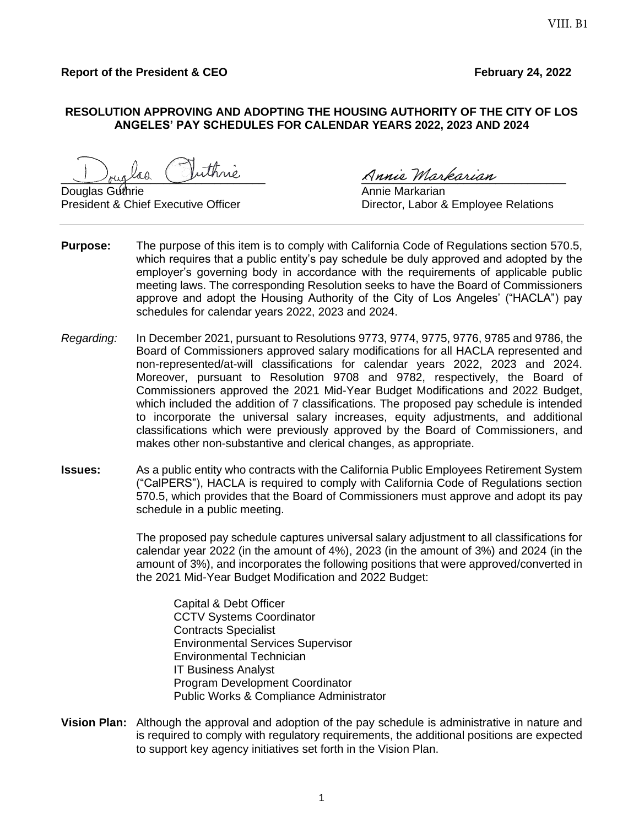## **Report of the President & CEO February 24, 2022**

## **RESOLUTION APPROVING AND ADOPTING THE HOUSING AUTHORITY OF THE CITY OF LOS ANGELES' PAY SCHEDULES FOR CALENDAR YEARS 2022, 2023 AND 2024**

laa Vuthrie Annie Markarian

Douglas Guthrie **Annie Markarian** 

President & Chief Executive Officer **Director, Labor & Employee Relations** 

- **Purpose:** The purpose of this item is to comply with California Code of Regulations section 570.5, which requires that a public entity's pay schedule be duly approved and adopted by the employer's governing body in accordance with the requirements of applicable public meeting laws. The corresponding Resolution seeks to have the Board of Commissioners approve and adopt the Housing Authority of the City of Los Angeles' ("HACLA") pay schedules for calendar years 2022, 2023 and 2024.
- *Regarding:* In December 2021, pursuant to Resolutions 9773, 9774, 9775, 9776, 9785 and 9786, the Board of Commissioners approved salary modifications for all HACLA represented and non-represented/at-will classifications for calendar years 2022, 2023 and 2024. Moreover, pursuant to Resolution 9708 and 9782, respectively, the Board of Commissioners approved the 2021 Mid-Year Budget Modifications and 2022 Budget, which included the addition of 7 classifications. The proposed pay schedule is intended to incorporate the universal salary increases, equity adjustments, and additional classifications which were previously approved by the Board of Commissioners, and makes other non-substantive and clerical changes, as appropriate.
- **Issues:** As a public entity who contracts with the California Public Employees Retirement System ("CalPERS"), HACLA is required to comply with California Code of Regulations section 570.5, which provides that the Board of Commissioners must approve and adopt its pay schedule in a public meeting.

The proposed pay schedule captures universal salary adjustment to all classifications for calendar year 2022 (in the amount of 4%), 2023 (in the amount of 3%) and 2024 (in the amount of 3%), and incorporates the following positions that were approved/converted in the 2021 Mid-Year Budget Modification and 2022 Budget:

Capital & Debt Officer CCTV Systems Coordinator Contracts Specialist Environmental Services Supervisor Environmental Technician IT Business Analyst Program Development Coordinator Public Works & Compliance Administrator

**Vision Plan:** Although the approval and adoption of the pay schedule is administrative in nature and is required to comply with regulatory requirements, the additional positions are expected to support key agency initiatives set forth in the Vision Plan.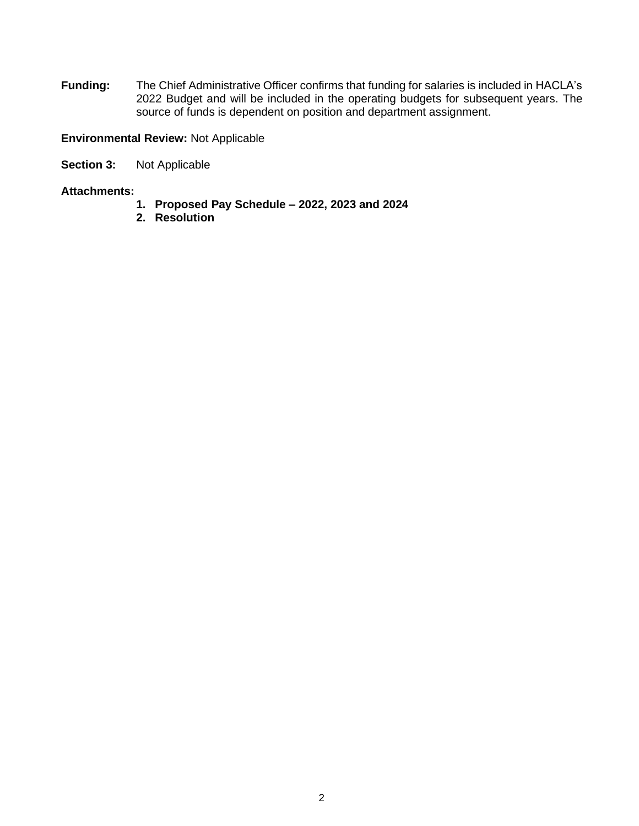**Funding:** The Chief Administrative Officer confirms that funding for salaries is included in HACLA's 2022 Budget and will be included in the operating budgets for subsequent years. The source of funds is dependent on position and department assignment.

**Environmental Review:** Not Applicable

**Section 3:** Not Applicable

## **Attachments:**

- **1. Proposed Pay Schedule – 2022, 2023 and 2024**
- **2. Resolution**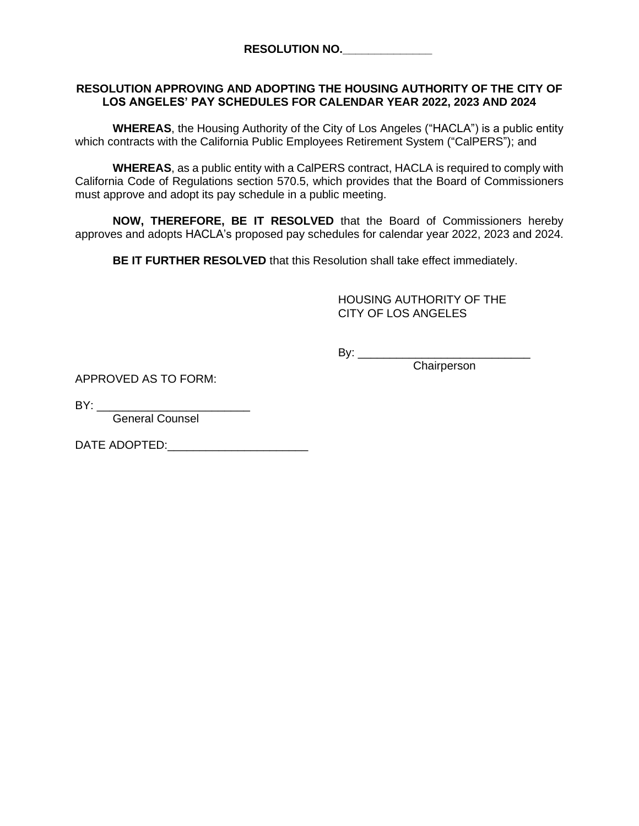## **RESOLUTION APPROVING AND ADOPTING THE HOUSING AUTHORITY OF THE CITY OF LOS ANGELES' PAY SCHEDULES FOR CALENDAR YEAR 2022, 2023 AND 2024**

**WHEREAS**, the Housing Authority of the City of Los Angeles ("HACLA") is a public entity which contracts with the California Public Employees Retirement System ("CalPERS"); and

**WHEREAS**, as a public entity with a CalPERS contract, HACLA is required to comply with California Code of Regulations section 570.5, which provides that the Board of Commissioners must approve and adopt its pay schedule in a public meeting.

**NOW, THEREFORE, BE IT RESOLVED** that the Board of Commissioners hereby approves and adopts HACLA's proposed pay schedules for calendar year 2022, 2023 and 2024.

**BE IT FURTHER RESOLVED** that this Resolution shall take effect immediately.

HOUSING AUTHORITY OF THE CITY OF LOS ANGELES

By: \_\_\_\_\_\_\_\_\_\_\_\_\_\_\_\_\_\_\_\_\_\_\_\_\_\_\_

**Chairperson** 

APPROVED AS TO FORM:

 $BY:$ 

General Counsel

DATE ADOPTED: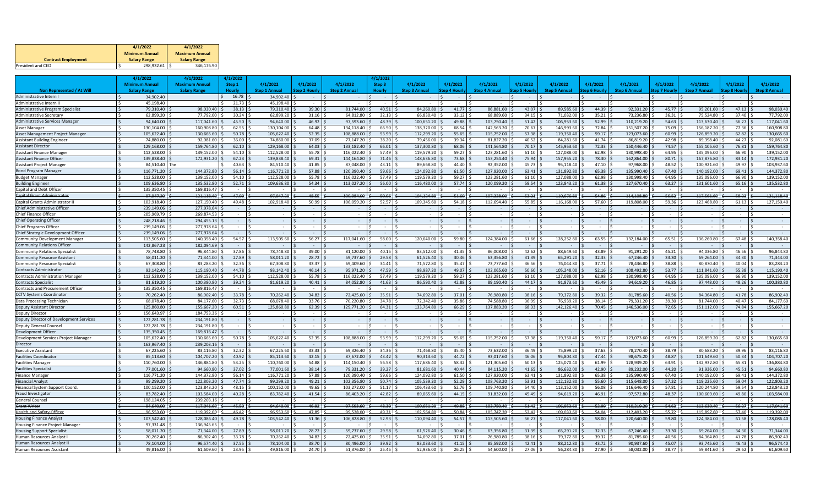|                            | 4/1/2022              | 4/1/2022              |
|----------------------------|-----------------------|-----------------------|
|                            | <b>Minimum Annual</b> | <b>Maximum Annual</b> |
| <b>Contract Employment</b> | <b>Salary Range</b>   | <b>Salary Range</b>   |
| President and CEO          | 298.932.61            | 346.176.90            |

|                                                                         | 4/1/2022             |                        | 4/1/2022                 | 4/1/2022                 |                         |                |                        | 4/1/2022       |                          |                     |                          |                       |                          |                     |                          |                          |                          |                   |                          |
|-------------------------------------------------------------------------|----------------------|------------------------|--------------------------|--------------------------|-------------------------|----------------|------------------------|----------------|--------------------------|---------------------|--------------------------|-----------------------|--------------------------|---------------------|--------------------------|--------------------------|--------------------------|-------------------|--------------------------|
|                                                                         | <b>Minimum Annua</b> |                        | <b>Maximum Annua</b>     | Step 1                   | 4/1/2022                | 4/1/2022       | 4/1/2022               | Step 3         | 4/1/2022                 | 4/1/2022            | 4/1/2022                 | 4/1/2022              | 4/1/2022                 | 4/1/2022            | 4/1/2022                 | 4/1/2022                 | 4/1/2022                 | 4/1/2022          | 4/1/2022                 |
| Non Represented / At Will                                               | <b>Salary Range</b>  |                        | <b>Salary Range</b>      | <b>Hourly</b>            | <b>Step 1 Annual</b>    | Step 2 Hourly  | <b>Step 2 Annual</b>   | <b>Hourly</b>  | <b>Step 3 Annual</b>     | <b>Step 4 Hourh</b> | <b>Step 4 Annual</b>     | <b>Step 5 Hourly</b>  | <b>Step 5 Annual</b>     | <b>Step 6 Hourl</b> | <b>Step 6 Annual</b>     | <b>Step 7 Hourly</b>     | <b>Step 7 Annual</b>     | tep 8 Hourl       | <b>Step 8 Annual</b>     |
| Administrative Intern I                                                 |                      | 34,902.40              |                          | 16.78                    | 34,902.40               |                |                        | $\sim$ $-$     |                          |                     |                          | $\sim$                |                          |                     |                          | $\sim$                   |                          |                   |                          |
| Administrative Intern II                                                |                      | 45.198.40              |                          | 21.73<br>Š.              | 45.198.40               |                |                        |                | $\sim$                   | $\sim$              |                          | ١¢<br>$\sim$          |                          |                     |                          | $\overline{\phantom{a}}$ |                          |                   |                          |
| <b>Administrative Program Specialist</b>                                |                      | 79,310.40              | 98,030.40                | 38.13                    | 79,310.40               | 39.30          | 81,744.00              | 40.51          | 84,260.80                | 41.77               | 86,881.60                | $43.07$ \$            | 89,585.60                | 44.39               | 92,331.20                | 45.77                    | 95,201.60                | 47.13             | 98,030.40                |
| Administrative Secretary                                                |                      | 62,899.20              | 77,792.00                | 30.24                    | 62,899.20               | 31.16          | 64.812.80              | 32.13          | 66,830.40                | 33.12               | 68.889.60                | $34.15$ \$            | 71,032.00                | 35.21               | 73,236.80                | 36.31                    | 75,524.80                | 37.40             | 77,792.00                |
| <b>Administrative Services Manager</b>                                  |                      | 94,640.00              | 117,041.60               | 45.50                    | 94,640.00               | 46.92          | 97.593.60              | 48.39          | 100,651.20               | 49.88               | 103,750.40               | 51.42                 | 106,953.60               | 52.99               | 110,219.20               | 54.63                    | 113,630.40               | 56.27             | 117,041.60               |
| Asset Manager                                                           |                      | 130.104.00             | 160.908.80               | 62.55                    | 130.104.00              | 64.48          | 134.118.40             | 66.50          | 138.320.00               | 68.54               | 142.563.20               | 70.67                 | 146.993.60               | 72.84               | 151.507.20               | 75.09                    | 156.187.20               | 77.36             | 160.908.80               |
| Asset Management Project Manager                                        |                      | 105,622.40             | 130,665.60               | 50.78                    | 105,622.40              | 52.35          | 108,888.00             | 53.99          | 112,299.20               | 55.65               | 115,752.00               | 57.38                 | 119,350.40               | 59.17               | 123,073.60               | 60.99                    | 126,859.20               | 62.82             | 130,665.60               |
| <b>Assistant Building Engineer</b>                                      |                      | 74.880.00              | 92,081.60                | 36.00                    | 74,880.00               | 37.09          | 77,147.20              | 38.20          | 79,456.00                | 39.34               | 81,827.20                | 40.52                 | 84,281.60                | 41.74               | 86,819.20                | 42.98                    | 89.398.40                | 44.27             | 92,081.60                |
| <b>Assistant Director</b>                                               |                      | 129,168.00             | 159.764.80               | 62.10                    | 129,168.00              | 64.03          | 133.182.40             | 66.01          | 137.300.80               | 68.06               | 141.564.80               | 70.17                 | 145.953.6                | 72.33               | 150,446.40               | 74.57                    | 155,105.60               | 76.81             | 159,764.8                |
| <b>Assistant Finance Manage</b>                                         |                      | 112,528.00             | 139,152.00               | 54.10                    | 112,528.00              | 55.78          | 116,022.40             | 57.49          | 119,579.20               | 59.27               | 123,281.60               | $61.10$ \$            | 127,088.00               | 62.98               | 130,998.40               | 64.95                    | 135.096.00               | 66.90             | 139,152.00               |
| <b>Assistant Finance Officer</b>                                        |                      | 139.838.40             | 172.931.20               | 67.23                    | 139,838.40              | 69.31          | 144.164.80             | 71.46          | 148.636.80               | 73.68               | 153.254.40               | 75.94                 | 157.955.20               | 78.30               | 162.864.00               | 80.71                    | 167.876.80               | 83.14             | 172,931.20               |
| Assistant Project Manager                                               |                      | 84.510.40 The          |                          | 40.63                    | 84,510.40               | 41.85          | 87.048.00              | 43.11          | 89.668.80                | 44.40               | 92,352.00                | 45.73                 | 95.118.40                | 47.10               | 97,968.00                | 48.52                    | 100.921.60               | 49.97             | 103,937.60               |
| <b>Bond Program Manager</b>                                             |                      | 116.771.20             | 144.372.80               | 56.14                    | 116.771.20              | 57.88          | 120.390.40             | 59.66          | 124.092.80               | 61.50               | 127.920.00               | 63.41                 | 131.892.80               | 65.38               | 135.990.40               | 67.40                    | 140.192.00               | 69.41             | 144.372.8                |
| <b>Budget Manager</b>                                                   |                      | 112,528.00             | 139,152.00               | 54.10                    | 112,528.00              | 55.78          | 116,022.40             | 57.49          | 119,579.20               | 59.27               | 123,281.60               | 61.10                 | 127.088.00               | 62.98               | 130,998.40               | 64.95                    | 135,096.00               | 66.90             | 139,152.0                |
| <b>Building Enginee</b>                                                 |                      | 109,636.80             | 135,532.80               | 52.71                    | 109,636.80              | 54.34          | 113,027.20             | 56.00          | 116,480.00               | 57.74               | 120,099.20               | $59.54$ :             | 123,843.20               | 61.38               | 127,670.40               | 63.27                    | 131,601.60               | 65.16             | 135,532.80               |
| Capital and Debt Officer                                                |                      | 135,350.45             | 169,816.47               |                          |                         |                |                        |                |                          |                     |                          |                       |                          |                     |                          |                          |                          |                   |                          |
| <b>Capital Grant Administrato</b>                                       |                      | 97,947.20              | 121,118.40               | 47.09                    | 97,947.20               | 48.55          | 100.984.00             | $-50.06$       | 104,124.80               | 51.60               | 107,328.00               | 53.21                 | 110,676.80               | 54.86               | 114,108.80               | 56.52                    | 117,561.60               | $-58.23$          | 121,118.40               |
| Capital Grants Administrator I                                          |                      | 102,918.40             | 127,150.40               | 49.48                    | 102,918.40              | 50.99          | 106.059.20             | 52.57          | 109.345.60               | 54.18               | 112,694.40               | 55.85                 | 116.168.00               | 57.60               | 119,808.00               | 59.36                    | 123,468.8                | 61.13             | 127,150.40               |
| Chief Administrative Officer                                            |                      | 239.149.06             | 277.978.64               | $\sim$                   |                         |                |                        |                |                          |                     |                          |                       |                          |                     |                          | $\sim$                   |                          |                   |                          |
| <b>Chief Finance Officer</b>                                            |                      | 205.969.79             | 269.874.53               | $\sim$                   |                         |                |                        |                |                          |                     |                          | 1 <                   |                          |                     | $\sim$                   |                          |                          |                   |                          |
| <b>Chief Operating Officer</b>                                          |                      | 248.218.46             | 294.455.13               | $\sim$                   | $\sim$ 100 $\mu$        | $\sim$         | $\sim$                 | $\sim$         | $\sim$                   | $\sim$              |                          | $\sim$                | $\sim$                   |                     | $\sim$                   |                          |                          |                   |                          |
| Chief Programs Officer                                                  | $\zeta$              | 239,149.06             | 277,978.64               |                          |                         |                |                        |                |                          |                     |                          | ١¢                    |                          |                     | $\sim$                   |                          |                          |                   | $\sim$                   |
| Chief Strategic Development Officer                                     |                      | 239,149.06             | 277,978.64               | $\sim$                   | $\sim$                  |                |                        |                |                          |                     |                          | I S                   |                          |                     |                          |                          |                          |                   |                          |
| Community Development Manager                                           | Ŝ.                   | 113,505.60             | 140,358.40               | 54.57S                   | 113,505.60              | 56.27          | 117,041.60             | 58.00          | 120,640.00               | 59.80               | 124,384.00               | $61.66$ \$            | 128,252.80               | 63.55               | 132,184.00               | 65.51                    | 136,260.80               | 67.48             | 140,358.40               |
| <b>Community Relations Officer</b>                                      |                      | 142.867.23             | 182.094.69               |                          |                         |                |                        |                |                          |                     |                          |                       |                          |                     |                          |                          |                          |                   |                          |
| Community Relations Specialist                                          |                      | 78,748.80              | 96,844.80                | 37.86                    | 78,748.80               | 39.00          | 81,120.00              | 40.15          | 83,512.00                | 41.35               | 86,008.00                | 42.62                 | 88,649.60                | 43.89               | 91,291.20                | 45.21                    | 94,036.80                | 46.56             | 96,844.80                |
| <b>Community Resource Assistant</b>                                     |                      | 58,011.20              | 71,344.00                | 27.89                    | 58,011.20               | 28.72          | 59.737.60              | 29.58          | 61.526.40                | 30.46               | 63.356.80                | 31.39                 | 65,291.20                | 32.33               | 67.246.40                | 33.30                    | 69.264.00                | 34.30             | 71,344.00                |
| Community Resource Specialist                                           |                      | 67.308.80              | 83.283.20                | 32.36                    | 67.308.80               | 33.37          | 69.409.60              | 34.41          | 71,572.80                | 35.47               | 73.777.60                | 36.56                 | 76,044.80                | 37.71               | 78.436.80                | 38.88                    | 80.870.40                | 40.04             | 83,283.20                |
| Contracts Administrator                                                 |                      | 93,142.40              | 115,190.40               | 44.78 \$                 | 93,142.40               | 46.14          | 95,971.20              | 47.59          | 98,987.20                | 49.07               | 102,065.60               | $50.60$ \$            | 105,248.00               | 52.16               | 108,492.80               | 53.77                    | 111,841.60               | 55.38             | 115,190.40               |
| <b>Contracts Administration Manager</b>                                 |                      | 112.528.00             | 139,152.00               | $54.10$ 5                | 112.528.00              | 55.78          | 116.022.40             | 57.49          | 119.579.20               | 59.27               | 123.281.60               | $61.10$ \$            | 127.088.00               | 62.98               | 130.998.40               | 64.95                    | 135.096.00               | 66.90             | 139,152.00               |
| <b>Contracts Specialist</b>                                             |                      | 81,619.20              | 100.380.80               | 39.24                    | 81.619.20               | 40.41          | 84.052.80              | 41.63          | 86.590.40                | 42.88               | 89,190.40                | 44.17 :               | 91.873.60                | 45.49               | 94,619.20                | 46.85                    | 97.448.00                | 48.26             | 100,380.80               |
| <b>Contracts and Procurement Officer</b>                                |                      | 135.350.45             | 169.816.47               | $\overline{\phantom{a}}$ |                         |                |                        |                |                          |                     |                          |                       |                          |                     |                          |                          |                          |                   |                          |
| <b>CCTV Systems Coordinato</b>                                          |                      | 70,262.40              | 86,902.40                | 33.78                    | 70,262.40               | 34.82          | 72,425.60              | 35.91          | 74,692.80                | 37.01               | 76,980.80                | $38.16$ \$            | 79,372.80                | 39.32               | 81,785.60                | 40.56                    | 84,364.80                | 41.78             | 86,902.40                |
| Data Processing Technicia                                               |                      | 68.078.40              | 84.177.60                | 32.73                    | 68.078.40               | 33.76          | 70.220.80              | 34.78          | 72.342.40                | 35.86               | 74.588.80                | 36.99                 | 76.939.20                | 38.14               | 79.331.20                | 39.30                    | 81.744.00                | 40.47             | 84.177.60                |
| Deputy Assistant Director                                               |                      | 125,860.80             | 155,667.20               | 60.51                    | 125,860.80              | 62.39          | 129,771.20             | 64.31          | 133,764.80               | 66.29               | 137,883.20               | 68.33                 | 142,126.40               | 70.45               | 146,536.00               | 72.65                    | 151,112.00               | 74.84             | 155,667.20               |
| Deputy Director                                                         |                      | 156,643.97             | 184,753.36               |                          |                         |                |                        |                |                          |                     |                          |                       |                          |                     |                          |                          |                          |                   |                          |
| Deputy Director of Development Services                                 |                      | 172,281.78             | 234,191.80               | $\sim$                   |                         |                |                        |                |                          |                     |                          |                       |                          |                     | $\sim$                   |                          |                          |                   | $\sim$                   |
| Deputy General Counsel                                                  |                      | 172,281.78             | 234,191.80               |                          |                         |                |                        |                |                          |                     |                          |                       |                          |                     |                          |                          |                          |                   |                          |
| Development Officer                                                     |                      | 135.350.45             | 169.816.47               | $\sim$                   |                         |                |                        |                |                          |                     |                          |                       |                          |                     |                          |                          |                          |                   |                          |
| Development Services Project Manager                                    |                      | 105,622.40             | 130.665.60               | $50.78$ \$               | 105.622.40              | 52.35          | 108.888.00             | 53.99          | 112,299.20               | 55.65               | 115,752.00               | $57.38$ \$            | 119,350.40               | 59.17               | 123,073.60               | 60.99                    | 126,859.20               | 62.82             | 130,665.60               |
| Director                                                                |                      | 163.967.40             | 239.203.16               |                          |                         |                |                        |                |                          |                     |                          |                       |                          |                     |                          |                          |                          |                   |                          |
| <b>Executive Assistant</b>                                              | $\zeta$              | 67.225.60              | 83.116.80                | 32.32                    | 67.225.60               | 33.33          | 69.326.40              | 34.36          | 71.468.80                | 35.40               | 73.632.00                | $36.49$ \$            | 75.899.20                | 37.63               | 78.270.40                | 38.79                    | 80.683.20                | 39.96             | 83,116.80                |
| <b>Facilities Coordinato</b>                                            |                      | 85,113.60              | 104,707.20               | 40.92                    | 85,113.60               | 42.15          | 87,672.00              | 43.42          | 90,313.60                | 44.72               | 93,017.60                | $46.06$ \$            | 95,804.80                | 47.44               | 98,675.20                | 48.87                    | 101,649.60               | 50.34             | 104,707.20               |
| <b>Facilities Manager</b>                                               |                      | 110.760.00             | 136.884.80               | 53.25                    | 110,760.00              | 54.88          | 114,150.40             | 56.58          | 117.686.40               | 58.32               | 121,305.60               | $60.13$ \$            | 125,070.40               | 61.99               | 128,939.20               | 63.91                    | 132,932.80               | 65.81             | 136.884.8                |
| Facilities Specialist                                                   |                      | 77,001.60              | 94,660.80                | 37.02                    | 77,001.60               | 38.14          | 79,331.20              | 39.27          | 81,681.60                | 40.44               | 84,115.20                | 41.65                 | 86,632.00                | 42.90               | 89,232.00                | 44.20                    | 91,936.00                | 45.51             | 94,660.80                |
| Finance Manage                                                          |                      | 116,771.20             | 144,372.80               | 56.14                    | 116,771.20              | 57.88          | 120,390.40             | 59.66          | 124,092.80               | 61.50               | 127,920.00               | 63.41                 | 131,892.80               | 65.38               | 135,990.40               | 67.40                    | 140,192.00               | 69.41             | 144,372.80               |
| Financial Analys                                                        |                      | 99,299.20              | 122,803.20               | 47.74                    | 99,299.20               | 49.21          | 102,356.80             | 50.74          | 105,539.20               | 52.29               | 108,763.20               | $53.91$ :             | 112,132.80               | 55.60               | 115,648.00               | 57.32                    | 119,225.60               | 59.04             | 122,803.20<br>123.843.20 |
| Financial System Support Coord                                          |                      | 100.152.00             | 123.843.20               | 48.15                    | 100.152.00              | 49.65          | 103.272.00             | 51.17          | 106.433.60               | 52.76               | 109.740.80               | $54.40$ :             | 113,152.00               | 56.08               | 116,646.40               | 57.81                    | 120.244.80               | 59.54             |                          |
| Fraud Investigator                                                      |                      | 83.782.40              | 103.584.00               | 40.28                    | 83.782.40               | 41.54          | 86.403.20              | 42.82          | 89.065.60                | 44.15               | 91.832.00                | 45.49                 | 94.619.20                | 46.91               | 97,572.80                | 48.37                    | 100.609.60               | 49.80             | 103,584.00               |
| <b>General Counse</b>                                                   |                      | 198,124.05             | 239,203.16               | $\sim$                   |                         |                |                        |                |                          |                     |                          |                       |                          |                     |                          |                          |                          |                   | 117,041.60               |
| Grant Writer<br><b>Health and Safety Officer</b>                        |                      | 94.640.00<br>96.553.60 | 117.041.60<br>119.392.00 | 45.50<br>46.42           | 94.640.00               | 46.92<br>47.85 | 97.593.60<br>99.528.00 | 48.39          | 100.651.20<br>102.564.80 | 49.88<br>50.84      | 103.750.40<br>105.747.20 | $-51.42$<br>52.42     | 106.953.60<br>109.033.60 | 52.99<br>54.04      | 110.219.20               | $-54.63$                 | 113.630.40<br>115,897.60 | $-56.27$<br>57.40 | 119,392.00               |
|                                                                         |                      | 103.542.40             | 128.086.40               | 49.78                    | 96,553.60<br>103.542.40 | 51.36          | 106.828.80             | 49.31<br>52.93 | 110.094.40               | 54.57               | 113,505.60               | 56.27                 | 117.041.60               | 58.00               | 112,403.20<br>120.640.00 | 55.72<br>59.80           | 124.384.00               | 61.58             | 128,086.40               |
| <b>Housing Finance Analyst</b><br><b>Housing Finance Project Manage</b> |                      | 97,331.48              | 136,945.65               |                          |                         |                |                        |                |                          |                     |                          |                       |                          |                     |                          |                          |                          |                   |                          |
|                                                                         |                      | 58.011.20              | 71.344.00                | 27.89                    | 58.011.20               | 28.72          | 59.737.60              | 29.58          | 61.526.40                | 30.46               | 63.356.80                | $31.39$ $\frac{1}{2}$ | 65.291.20                | 32.33               | 67,246.40                | 33.30                    | 69.264.00                | 34.30             | 71.344.00                |
| <b>Housing Support Specialist</b><br>Human Resources Analyst            |                      | 70,262.40              | 86,902.40                | 33.78                    | 70,262.40               | 34.82          |                        | 35.91          |                          | 37.01               | 76,980.80                | 38.16                 | 79,372.80                | 39.32               | 81,785.60                | 40.56                    | 84,364.80                | 41.78             | 86,902.40                |
|                                                                         |                      |                        |                          | 37.55                    |                         | 38.70          | 72,425.60<br>80.496.00 | 39.92          | 74,692.80                |                     |                          |                       |                          | 43.72               | 90,937.60                |                          | 93,745.60                | 46.43             | 96,574.40                |
| Human Resources Analyst I                                               |                      | 78,104.00<br>49.816.00 | 96,574.40<br>61.609.60   | 23.95                    | 78,104.00<br>49.816.00  |                |                        |                | 83,033.60                | 41.15               | 85,592.00<br>54.600.00   | 42.41<br>27.06        | 88,212.80<br>56.284.8    | 27.90               |                          | 45.07                    | 59.841.6                 |                   |                          |
| Human Resources Assistant                                               |                      |                        |                          |                          |                         | 24.70          | 51,376.0               | 25.45          | 52,936.00                | 26.25               |                          |                       |                          |                     | 58,032.00                | 28.77                    |                          | 29.62             | 61,609.60                |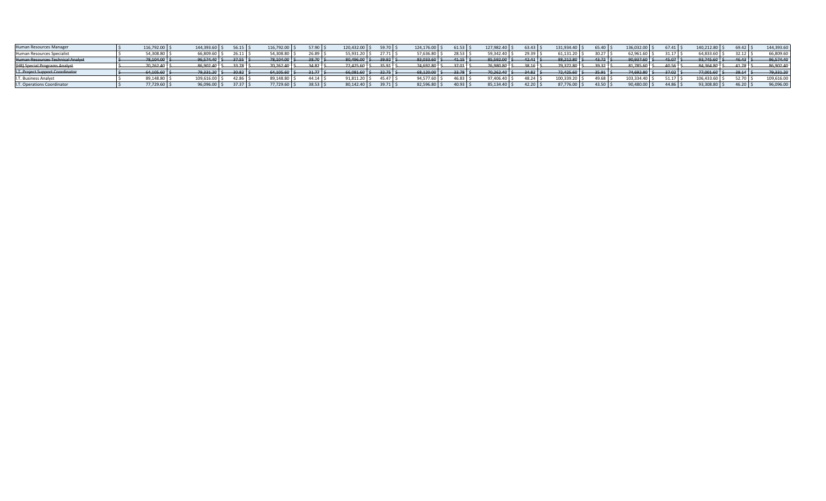| 116,792.00 | 144,393.60 | 56.15                                                      | 116,792.00                                               | 57.90     | 120,432.00 \$                                                                | $59.70$ \$ | 124,176.00      | 61.53                                                                        | 127,982.40 | 63.43                                        | 131,934.40             | $65.40$ \;                                         | 136,032.00 | 67.41       | 140,212.80 \$                                                                     | 69.42       | 144,393.60                                                                        |
|------------|------------|------------------------------------------------------------|----------------------------------------------------------|-----------|------------------------------------------------------------------------------|------------|-----------------|------------------------------------------------------------------------------|------------|----------------------------------------------|------------------------|----------------------------------------------------|------------|-------------|-----------------------------------------------------------------------------------|-------------|-----------------------------------------------------------------------------------|
| 54,308.80  | 66,809.60  |                                                            |                                                          | 26.89     | 55,931.20                                                                    | 27.71      | 57,636.80       | 28.53                                                                        | 59,342.40  |                                              | 61,131.20              | 30.27                                              |            | 31.17       |                                                                                   | 32.12       | 66,809.60                                                                         |
|            | 96,574.40  |                                                            |                                                          | 28.70     |                                                                              |            | 83,033.60       |                                                                              |            |                                              | $88,212.80$ \$         | $-43.72$ $\pm$                                     |            |             |                                                                                   | 46.43       | 96,574.40                                                                         |
|            | 86,902.40  |                                                            | 70,262.40                                                | $34.82$ 5 | $72,425.60$ \$                                                               |            | 74,692.80       |                                                                              | -76,980.8  |                                              | $-79,372.80$ \$        | 2022                                               |            | $-40.56$ \$ |                                                                                   |             | -86,902.40                                                                        |
|            | 79,331.20  |                                                            | $64,105.60$ \ \                                          | $31.77$ S | $66,081.60$ \$                                                               |            | $-68,120.00$ \$ |                                                                              |            |                                              | $-72,425.60$ \$        | $-35.91$ s                                         |            | $-37.02$    |                                                                                   |             | 79,331.20                                                                         |
| 89,148.80  | 109,616.00 |                                                            |                                                          | 44.14     | 91,811.20                                                                    |            | 94,577.60       |                                                                              | 97,406.    |                                              | 100,339.20             | $49.68$ .                                          |            | 51.17       | 106,433.60                                                                        | 52.70       | 109,616.00                                                                        |
|            | 96,096.00  |                                                            |                                                          | 38.53     | 80,142.40 \$                                                                 |            | 82,596.80       | 40.93                                                                        | 85,134.4   |                                              | 87,776.00              | 43.50                                              |            | 44.86       | 93,308.8                                                                          |             | 96,096.00                                                                         |
|            |            | 78,104.00 \$<br>70,262.40<br>64,105.60 \$<br>$77,729.60$ , | 26.11<br>$-37.55$<br>33.78<br>$-30.82$<br>42.86<br>37.37 |           | 54,308.80<br>$78,104.00$ $\rightarrow$<br><sup>6</sup> 9,148.80<br>77,729.60 |            | $80,496.00$ \$  | $-39.92$ \$<br>$-35.91$ \$<br>$-32.75$ \$<br>$45.47\degree$ \$<br>$39.71$ \$ |            | $-41.15$ $\div$<br>$37.01$ \$<br>$-33.78$ \$ | 85,592.00<br>70.262.40 | 29.39<br>42.41<br>38.16<br>34.82<br>48.24<br>42.20 |            |             | 62,961.60<br>90,937.60<br>$-81,785.60$<br>74,692.80<br>103,334.40<br>$0,480.00$ > | $-45.07$ \$ | 64,833.60<br>$93.745.60$ \$<br>$84,364.80$ \$<br>41.78<br>$77,001.60$ \$<br>46.20 |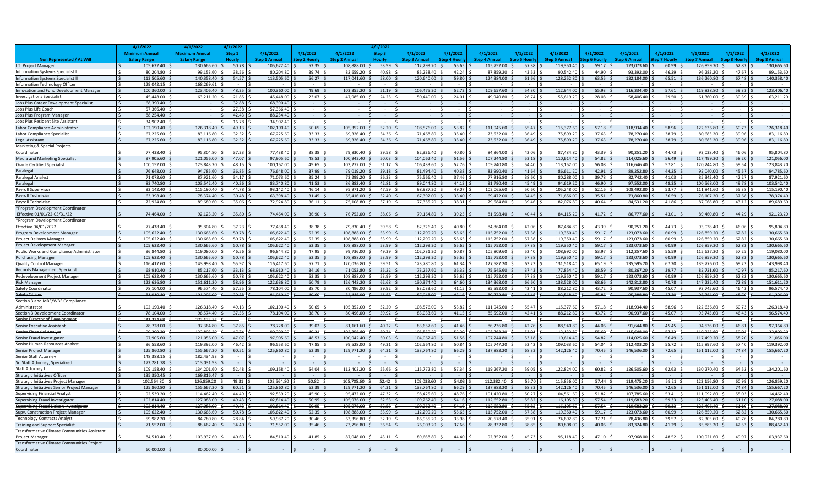|                                                           | 4/1/20                 | 4/1/2022                | 4/1/202        |                        |                |                         |                |                         |                |                         |                     |                         |                |                         |                     |                         |                |                         |
|-----------------------------------------------------------|------------------------|-------------------------|----------------|------------------------|----------------|-------------------------|----------------|-------------------------|----------------|-------------------------|---------------------|-------------------------|----------------|-------------------------|---------------------|-------------------------|----------------|-------------------------|
|                                                           | <b>Minimum Annual</b>  | <b>Maximum Annual</b>   | Step 1         | 4/1/2022               | 4/1/2022       | 4/1/2022                | Step 3         | 4/1/2022                | 4/1/2022       | 4/1/2022                | 4/1/2022            | 4/1/2022                | 4/1/2022       | 4/1/2022                | 4/1/2022            | 4/1/2022                | 4/1/2022       | 4/1/2022                |
| Non Represented / At Will                                 | <b>Salary Range</b>    | <b>Salary Range</b>     | <b>Hourly</b>  | <b>Step 1 Annua</b>    | iten 2 Hourl   | <b>Step 2 Annual</b>    | Hourly         | <b>Step 3 Annual</b>    | ep 4 Hourl     | Step 4 Annu             | ep 5 Hour           | <b>Step 5 Annual</b>    | tep 6 Hourl    | <b>Step 6 Annual</b>    | ep 7 Hour           | <b>Step 7 Annual</b>    | ep 8 Hour      | Step 8 Annual           |
| I.T. Project Manager                                      | 105,622.40             | 130.665.60              | 50.78          | 105,622.40             | 52.35          | 108,888.00              | 53.99          | 112,299.20              | 55.65          | 115,752.00              | 57.38               | 119,350.40              | 59.17          | 123,073.60              | 60.99               | 126,859.20              | 62.82          | 130.665.60              |
| <b>Information Systems Specialist</b>                     | 80,204.80              | 99,153.60               | 38.56          | 80,204.80              | 39.74          | 82,659.20               | 40.98          | 85,238.40               | 42.24          | 87,859.20               | 43.53               | 90,542.40               | 44.90          | 93,392.00               | 46.29               | 96,283.20               | 47.67          | 99,153.60               |
| <b>Information Systems Specialist I</b>                   | 113,505.60             | 140,358.40              | $54.57$ \$     | 113,505.60             | 56.27          | 117,041.60              | 58.00          | 120,640.00              | 59.80          | 124,384.00              | $61.66$ \$          | 128,252.80              | 63.55          | 132,184.00              | 65.51               | 136,260.80              | 67.48          | 140,358.40              |
| Information Technology Officer                            | 129,042.15             | 168,269.61              |                |                        |                |                         |                |                         |                |                         |                     |                         |                |                         | $\sim$              |                         |                |                         |
| Innovation and Fund Development Manager                   | 100,360.00             | 123,406,40              | $48.25$ \$     | 100,360.00             | 49.69 \$       | 103,355.20              | 51.19          | 106,475.20              | 52.72          | 109,657.60              | 54.30               | 112,944.00              | 55.93          | 116,334.40              | 57.61               | 119,828.80              | 59.33          | 123,406.40              |
| <b>Investigations Specialist</b>                          | 45,448.00              | 63,211.20               | 21.85          | 45,448.00              | 23.07          | 47,985.60               | 24.25          | 50,440.00               | 24.01          | 49,940.80               | $26.74$ \$          | 55,619.20               | 28.08          | 58,406.40               | 29.50               | 61,360.00               | 30.39          | 63,211.20               |
| Jobs Plus Career Development Specialist                   | 68,390.40              |                         | 32.88          | 68,390.40              |                |                         |                |                         |                |                         |                     |                         |                |                         |                     |                         |                |                         |
| Jobs Plus Life Coach                                      | 57,366.40              |                         | 27.58          | 57,366.40              |                |                         |                |                         |                |                         |                     |                         |                |                         |                     |                         |                |                         |
| Jobs Plus Program Manage                                  | 88,254.40              |                         | 42.43          | 88,254.40              | $\sim$         |                         |                |                         |                |                         |                     |                         |                | $\sim$                  | $\sim$              |                         |                | $\sim$ $-$              |
| Jobs Plus Resident Site Assistant                         | 34.902.40              |                         | 16.78          | 34,902.40              |                |                         |                |                         |                |                         |                     |                         |                |                         |                     |                         |                |                         |
| Labor Compliance Administrator                            | 102,190.40             | 126,318.40<br>83.116.80 | 49.13          | 102,190.40             | 50.65<br>33.33 | 105,352.00<br>69.326.40 | 52.20<br>34.36 | 108,576.00<br>71.468.80 | 53.82<br>35.40 | 111,945.60<br>73.632.00 | $55.47$ \$<br>36.49 | 115,377.60<br>75.899.20 | 57.18<br>37.63 | 118,934.40<br>78.270.40 | $58.96$ \$<br>38.79 | 122,636.80<br>80.683.20 | 60.73<br>39.96 | 126,318.40<br>83.116.80 |
| Labor Compliance Specialist<br>Legal Assistant            | 67,225.60<br>67,225.60 | 83,116.80               | 32.32<br>32.32 | 67,225.60<br>67,225.60 | 33.33          | 69,326.40               | 34.36          | 71,468.80               | 35.40          | 73,632.00               | 36.49               | 75,899.20               | 37.63          | 78,270.40               | 38.79               | 80,683.20               | 39.96          | 83,116.80               |
| Marketing & Special Projects                              |                        |                         |                |                        |                |                         |                |                         |                |                         |                     |                         |                |                         |                     |                         |                |                         |
| Coordinator                                               | 77,438.40              | 95,804.80               | 37.23          | 77,438.40              | 38.38          | 79,830.40               | 39.58          | 82,326.40               | 40.80          | 84,864.00               | 42.06               | 87,484.80               | 43.39          | 90,251.20               | 44.73               | 93,038.40               | 46.06          | 95,804.80               |
| Media and Marketing Specialist                            | 97.905.60              | 121.056.00              | 47.07          | 97,905.60              | 48.53          | 100.942.40              | 50.03          | 104.062.40              | 51.56          | 107.244.80              | 53.18               | 110,614.40              | 54.82          | 114,025.60              | 56.49               | 117.499.20              | 58.20          | 121,056.00              |
| <b>Oracle Certified Specialist</b>                        | 100.152.00             | 123.843.20              | 48.15          | 100,152.00             | 49.65          | 103,272.00              | 51.17          | 106.433.60              | 52.76          | 109.740.80              | 54.40               | 113,152.00              | 56.08          | 116.646.40              | 57.81               | 120.244.80              | 59.54          | 123,843.20              |
| Paralegal                                                 | 76,648,00              | 94,785.60               | 36.85          | 76,648.00              | 37.99          | 79,019.20               | 39.18          | 81,494.40               | 40.38          | 83,990.40               | 41.64               | 86,611.20               | 42.91          | 89,252.80               | 44.25               | 92.040.00               | 45.57          | 94,785.60               |
| Paralegal Analyst                                         | 71,073.60              | 87,921.60               | 34.17          | 71,073.60              | 35.24          | 73.299.20               | 36.33          | 75.566.40               | 37.46          | 77,916.80               | 38.60               | 80,288.00               | 39.78          | 82,742.40               | 41.03               | 85.342.40               | 42.27          | 87,921.60               |
| Paralegal II                                              | 83,740.80              | 103,542.40              | 40.26          | 83,740.80              | 41.53          | 86.382.40               | 42.81          | 89.044.80               | 44.13          | 91,790.40               | 45.49               | 94,619.20               | 46.90          | 97,552.00               | 48.35               | 100.568.00              | 49.78          | 103,542.40              |
| Payroll Supervisor                                        | 93.142.40              | 115,190.4               | 44.78          | 93,142.40              | 46.14          | 95,971.20               | 47.59          | 98.987.20               | 49.07          | 102,065.60              | 50.60               | 105,248.00              | 52.16          | 108,492.80              | 53.77               | 111,841.60              | 55.38          | 115,190.40              |
| Payroll Technician                                        | 63.398.40              | 78.374.40               | 30.48          | 63.398.40              | 31.45          | 65.416.00               | 32.40          | 67.392.00               | 33.40          | 69,472.00               | 34.45               | 71.656.00               | 35.51          | 73,860,80               | 36.59               | 76,107.20               | 37.68          | 78,374.40               |
| Payroll Technician II                                     | 72.924.80              | 89.689.60               | 35.06          | 72,924.80              | 36.11          | 75.108.80               | 37.19          | 77,355.20               | 38.31 \$       | 79.684.80               | $39.46$ \$          | 82,076.80               | 40.64          | 84,531.20               | 41.86               | 87.068.80               | 43.12          | 89.689.60               |
| *Program Development Coordinato                           |                        |                         |                |                        |                |                         |                |                         |                |                         |                     |                         |                |                         |                     |                         |                |                         |
| Effective 01/01/22-03/31/22                               | 74.464.00              | 92.123.20               | 35.80          | 74.464.00              | 36.90          | 76.752.00 \$            | 38.06          | 79.164.80               | 39.23          | 81.598.40               | 40.44               | 84.115.20               | 41.72          | 86.777.60               | 43.01               | 89.460.80               | 44.29          | 92.123.20               |
| *Program Development Coordinator                          |                        |                         |                |                        |                |                         |                |                         |                |                         |                     |                         |                |                         |                     |                         |                |                         |
| Effective 04/01/2022                                      | 77,438,40              | 95.804.80               | 37.23          | 77.438.40              | 38.38          | 79.830.40               | 39.58          | 82.326.40               | 40.80          | 84.864.00               | 42.06               | 87.484.80               | 43.39          | 90.251.20               | 44.73               | 93.038.40               | 46.06          | 95.804.80               |
| Program Development Manager                               | 105,622.40             | 130,665.60              | 50.78          | 105,622.40             | 52.35          | 108,888.00              | 53.99          | 112,299.20              | 55.65          | 115,752.00              | 57.38               | 119,350.40              | 59.17          | 123,073.60              | 60.99               | 126,859.20              | 62.82          | 130,665.60              |
| Project Delivery Manager                                  | 105,622.40             | 130.665.6               | 50.78          | 105,622.40             | 52.35          | 108.888.00              | 53.99          | 112,299.20              | 55.65          | 115,752.00              | 57.38               | 119,350.40              | 59.17          | 123,073.60              | 60.99               | 126,859.20              | 62.82          | 130,665.60              |
| Project Development Manager                               | 105,622.40             | 130,665.60              | 50.78          | 105,622.40             | 52.35          | 108,888.00              | 53.99          | 112,299.20              | 55.65          | 115,752.00              | 57.38               | 119,350.40              | 59.17          | 123,073.60              | 60.99               | 126,859.20              | 62.82          | 130,665.60              |
| Public Works and Compliance Administrator                 | 96.844.80              | 119,080.00              | 46.56          | 96,844.80              | 47.95          | 99.736.00               | 49.39          | 102,731.20              | 50.87          | 105,809.60              | 52.40               | 108,992.00              | 53.97          | 112,257.60              | 55.59               | 115,627.20              | 57.25          | 119,080.00              |
| <b>Purchasing Manage</b>                                  | 105,622.40             | 130,665.60              | 50.78          | 105,622.40             | 52.35          | 108,888.00              | 53.99          | 112,299.20              | 55.65          | 115,752.00              | 57.38               | 119,350.40              | 59.17          | 123,073.60              | 60.99               | 126,859.20              | 62.82          | 130,665.60              |
| Quality Control Manager                                   | 116,417.60             | 143,998.40              | 55.97          | 116,417.60             | 57.71          | 120.036.80              | 59.51          | 123,780.80              | 61.34          | 127,587.20              | 63.23               | 131,518.40              | 65.19          | 135,595.20              | 67.20               | 139,776.00              | 69.23          | 143,998.40              |
| <b>Records Management Specialist</b>                      | 68,910.40              | 85,217.60               | 33.13          | 68,910.40              | 34.16          | 71,052.80               | 35.22          | 73,257.60               | 36.32          | 75,545.60               | 37.43               | 77,854.40               | 38.59          | 80,267.20               | 39.77               | 82,721.60               | 40.97          | 85,217.60               |
| Redevelopment Project Manager                             | 105,622.40             | 130.665.60              | 50.78          | 105,622.40             | 52.35          | 108.888.00              | 53.99          | 112,299.20              | 55.65          | 115,752.00              | 57.38               | 119,350.40              | 59.17          | 123,073.60              | 60.99               | 126,859.20              | 62.82          | 130,665.60              |
| <b>Risk Manager</b>                                       | 122,636.80             | 151,611.20              | 58.96          | 122,636.80             | 60.79          | 126,443.20              | 62.68          | 130,374.40              | 64.60          | 134,368.00              | 66.60               | 138,528.00              | 68.66          | 142,812.80              | 70.78               | 147,222.40              | 72.89          | 151,611.20              |
| Safety Coordinator                                        | 78,104.00<br>81,910.40 | 96,574.40<br>101,296.00 | 37.55<br>39.38 | 78,104.00<br>81,910.40 | 38.70<br>40.60 | 80,496.00<br>84.448.00  | 39.92<br>41.85 | 83,033.60<br>87.048.00  | 41.15<br>43.16 | 85,592.00<br>89,772.80  | 42.41<br>44.48      | 88,212.80<br>92,518.40  | 43.72<br>45.86 | 90,937.60<br>95.388.80  | 45.07<br>47.30      | 93,745.60<br>98.384.00  | 46.43<br>48.70 | 96,574.40<br>101,296.00 |
| Safety Officer                                            |                        |                         |                |                        |                |                         |                |                         |                |                         |                     |                         |                |                         |                     |                         |                |                         |
| Section 3 and MBE/WBE Compliance<br>Administrator         | 102,190.40             | 126,318.40              | 49.13          | 102,190.40             | 50.65          | 105,352.00 \$           | 52.20          | 108,576.00              | 53.82          | 111,945.60              | $55.47$ \$          | 115,377.60              | 57.18          | 118,934.40              | 58.96               | 122,636.80              | 60.73          | 126,318.40              |
| Section 3 Development Coordinator                         | 78,104.00              | 96,574.40               | 37.55          | 78,104.00              | 38.70          | 80,496.00               | 39.92          | 83,033.60               | 41.15          | 85,592.00               | 42.41               | 88,212.80               | 43.72          | 90,937.60               | 45.07               | 93,745.60               | 46.43          | 96,574.40               |
| <b>Senior Director of Development</b>                     | 241.334.68             | 273.673.76              |                |                        |                |                         |                |                         |                |                         |                     |                         |                |                         |                     |                         |                |                         |
| <b>Senior Executive Assistant</b>                         | 78,728.00              | 97,364.80               | 37.85          | 78,728.00              | 39.02          | 81,161.60               | 40.22          | 83,657.60               | 41.46          | 86,236.80               | 42.76               | 88,940.80               | 44.06          | 91,644.80               | 45.45               | 94,536.00               | 46.81          | 97,364.80               |
| Senior Financial Analyst                                  | 99.299.20              | 122.803.20              | 47.74          | 99.299.20              | 49.21          | 102.356.80              | 50.74          | 105.539.20              | 52.29          | 108.763.20              | 53.91               | 112.132.80              | 55.60          | 115.648.00              | 57.32               | 119.225.60              | 59.04          | 122.803.20              |
| Senior Fraud Investigator                                 | 97,905.60              | 121,056.00              | 47.07          | 97,905.60              | 48.53          | 100.942.40              | 50.03          | 104,062.40              | 51.56          | 107,244.80              | 53.18               | 110,614.40              | 54.82          | 114,025.60              | 56.49               | 117,499.20              | 58.20          | 121,056.00              |
| Senior Human Resources Analyst                            | 96.553.60              | 119.392.00              | 46.42          | 96.553.60              | 47.85          | 99.528.00               | 49.31          | 102.564.80              | 50.84          | 105.747.20              | 52.42               | 109.033.60              | 54.04          | 112.403.20              | 55.72               | 115.897.60              | 57.40          | 119.392.00              |
| Senior Project Manager                                    | 125,860,80             | 155.667.20              | $60.51$ S      | 125.860.80             | 62.39          | 129,771.20              | 64.31          | 133,764.80              | 66.29          | 137.883.20              | $68.33$ \$          | 142.126.40              | 70.45          | 146,536.00              | 72.65               | 151.112.00              | 74.84          | 155,667.20              |
| Senior Staff Attorney                                     | 148.388.15             | 182.434.93              |                |                        |                |                         |                |                         |                |                         |                     |                         |                |                         |                     |                         |                |                         |
| Sr. Staff Attorney, Specialized                           | 172.281.78             | 213.031.93              |                |                        |                |                         |                |                         |                |                         |                     |                         |                |                         |                     |                         |                |                         |
| Staff Attorney I                                          | 109.158.40             | 134.201.60              | 52.48          | 109,158.40             | 54.04          | 112,403.20              | 55.66          | 115,772.80              | 57.34          | 119,267.20              | 59.05               | 122,824.00              | 60.82          | 126,505.60              | 62.63               | 130,270.40              | 64.52          | 134,201.60              |
| <b>Strategic Initiatives Officer</b>                      | 135.350.45             | 169.816.47              |                |                        |                |                         |                |                         |                |                         |                     |                         |                |                         | $\sim$              |                         |                |                         |
| Strategic Initiatives Project Manager                     | 102.564.80             | 126.859.20              | 49.31          | 102.564.80             | 50.82          | 105.705.60              | 52.42          | 109.033.60              | 54.03          | 112.382.40              | 55.70               | 115,856.00              | 57.44          | 119,475.20              | 59.21               | 123,156.80              | 60.99          | 126,859.20              |
| Strategic Initiatives Senior Project Manager              | 125,860,80             | 155.667.20              | $60.51$ \$     | 125,860.80             | 62.39          | 129.771.20              | 64.31          | 133.764.80              | 66.29          | 137.883.20              | 68.33               | 142,126.40              | 70.45          | 146,536.00              | 72.65               | 151,112.00              | 74.84          | 155,667.20              |
| <b>Supervising Financial Analyst</b>                      | 92,539.20              | 114,462.40              | 44.49          | 92,539.20              | 45.90          | 95,472.00               | 47.32          | 98,425.60               | 48.76          | 101,420.80              | 50.27               | 104,561.60              | 51.82          | 107,785.60              | 53.41               | 111,092.80              | 55.03          | 114,462.40              |
| Supervising Fraud Investigato                             | 102,814.40             | 127,088.00              | 49.43          | 102,814.40             | 50.95          | 105,976.00              | 52.53          | 109,262.40              | 54.16          | 112,652.80              | $55.82$ \$          | 116,105.60              | 57.54          | 119,683.20              | 59.33               | 123,406.40              | 61.10          | 127,088.00              |
| <b>Supervising Fraud Liaison Investigator</b>             | 102.814.40             | 127,088.00              | 49.43          | 102,814.40             | 50.95          | 105.976.00              | 52.53          | 109,262.40              | 54.16          | 112,652.80              | 55.82               | 116,105.60              | 57.54          | 119,683.20              | 59.33               | 123,406.40              | 61.10          | 127,088.00              |
| Supv. Construction Project Manager                        | 105,622.40             | 130,665.60              | 50.78          | 105,622.40             | 52.35          | 108,888.00              | 53.99          | 112,299.20              | 55.65          | 115,752.00              | $57.38$ \$          | 119,350.40              | 59.17          | 123,073.60              | 60.99               | 126,859.20              | 62.82          | 130,665.60              |
| <b>Technology Contracts Analyst</b>                       | 59,987.20              | 84,780.80               | 28.84          | 59,987.20              | 30.46          | 63,356.80               | 32.19          | 66,955.20               | 33.98          | 70,678.40               | 35.91               | 74,692.80               | 37.71          | 78,436.80               | 39.57               | 82,305.60               | 40.76          | 84,780.80               |
| <b>Training and Support Specialist</b>                    | 71,552.00              | 88,462.40               | 34.40          | 71,552.00              | 35.46          | 73,756.80               | 36.54          | 76,003.20               | 37.66          | 78,332.80               | 38.85               | 80,808.00               | 40.06          | 83,324.80               | 41.29               | 85,883.20               | 42.53          | 88,462.40               |
| Transformative Climate Communities Assistant              |                        |                         |                |                        |                |                         |                |                         |                |                         |                     |                         |                |                         |                     |                         |                |                         |
| Project Manager                                           | 84,510.40              | 103,937.60              | 40.63          | 84,510.40              | 41.85          | 87,048.00 \$            | 43.11          | 89,668.80               | 44.40          | 92,352.00               | $45.73$ \$          | 95,118.40               | 47.10          | 97,968.00               | 48.52               | 100,921.60              | 49.97          | 103,937.60              |
| Transformative Climate Communities Project<br>Coordinator | 60,000,00              | 80,000,00               |                |                        |                |                         |                |                         |                |                         |                     |                         |                |                         |                     |                         |                |                         |
|                                                           |                        |                         |                |                        |                |                         |                |                         |                |                         |                     |                         |                |                         |                     |                         |                |                         |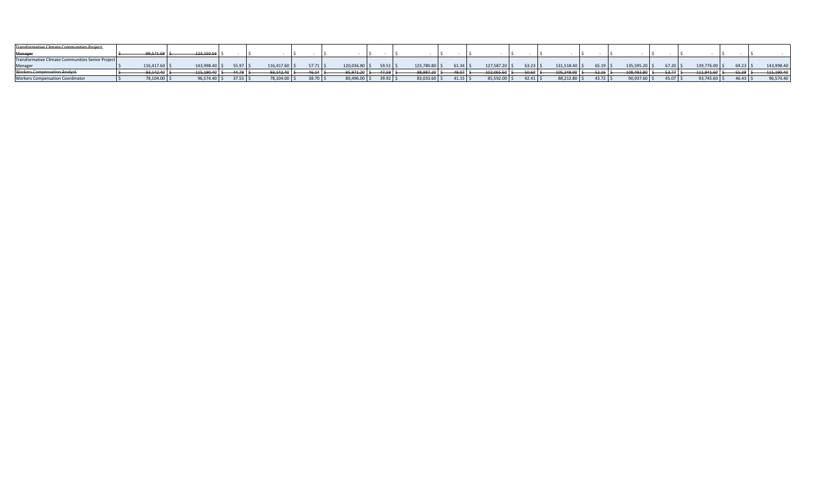| Transformative Climate Communities Project               |                |                 |             |                |            |               |                              |                |             |            |               |            |                |                 |            |                  |            |               |
|----------------------------------------------------------|----------------|-----------------|-------------|----------------|------------|---------------|------------------------------|----------------|-------------|------------|---------------|------------|----------------|-----------------|------------|------------------|------------|---------------|
| Manager                                                  | $99.571.68$ \$ | $123,150.56$ \$ |             |                |            |               |                              |                |             |            |               |            |                |                 |            |                  |            |               |
| <b>Transformative Climate Communities Senior Project</b> |                |                 |             |                |            |               |                              |                |             |            |               |            |                |                 |            |                  |            |               |
| Manager                                                  | 116,417.60 \$  | 143,998.40 \$   | $55.97$ S   | 16.417.60 \$   | $57.71$ S  | 120,036.80 \$ | $59.51$ \$                   | 123,780.80 \$  | $61.34$ :   | 127,587.20 | $63.23$ $\pm$ | 131,518.40 | $65.19$ \$     | 135,595.20 \$   | $67.20$ \$ | 139,776.00       | $69.23$ \$ | 143,998.4     |
| <b>Workers Compensation Analyst-</b>                     | $93.142.40$ \$ | $115.190.40$ \$ | $-44.78$ \$ | $93.142.40$ \$ | $46.14$ \$ |               | $-95.971.20$   \$ 47.59   \$ | $98.987.20$ \$ | $49.07 \pm$ | 102.065.60 | $50.60$   \$  | 05.248.00  | $-52.16$ $\pm$ | $108.492.80$ \$ | $53.77$ \$ | $-111.841.60$ \$ | $-55.38$   | $-115.190.40$ |
| <b>Workers Compensation Coordinator</b>                  | 78,104.00 \$   | 96,574.40 \$    | $37.55$ \$  | 78,104.00 \$   | $38.70$ \$ | 80,496.00 \$  | 39.92 5                      | 83,033.60 \$   | $41.15$ \$  | 85,592.00  | $42.41$   S   | 88,212.80  | $43.72$ :      | $90,937.60$ \$  | $45.07$ \$ | 93,745.60 5      | $46.43$ \$ | 96,574.40     |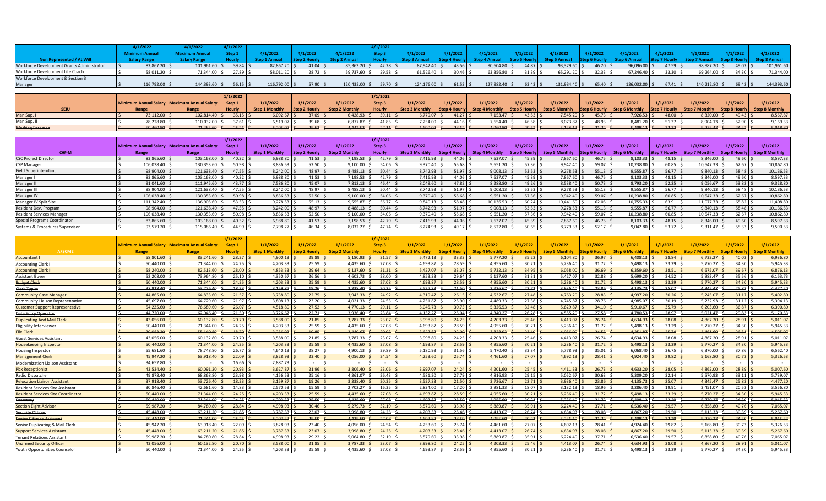|                                            | /1/2022       | /1/2022       | 4/1/2022 |               |               |               |            |               |                     |               |       |               |            |               |               |               |       |                      |
|--------------------------------------------|---------------|---------------|----------|---------------|---------------|---------------|------------|---------------|---------------------|---------------|-------|---------------|------------|---------------|---------------|---------------|-------|----------------------|
|                                            |               |               |          | 1/1/2022      | 1/2022        | /1/2022       |            | 1/2022        |                     | (1/2022)      |       | 1/1/2022      | /1/2022    |               |               | 1/1/2022      |       | 4/1/2022             |
| Ion Represented / At Wil                   |               |               |          |               |               |               |            |               |                     |               |       |               |            |               |               |               |       | <b>Step 8 Annual</b> |
| Workforce Development Grants Administrator | 82,867.20     | 101,961.60 \$ | 39.84    | 82,867.20     | $41.04$ \, \$ | 85,363.20     | 42.28      | 87,942.40 \$  | 43.56 $\frac{1}{2}$ | 90,604.80     | 44.87 | 93,329.60     | 46.20      | 96,096.00 \$  | $47.59$ \$    | 98,987.20 \$  | 49.02 | 101,961.60           |
| Workforce Development Life Coach           | 58,011.20     | 71,344.00 \$  | 27.89    | 58,011.20     | 28.72 5       | 59,737.60 \$  | $29.58$ \$ | 61,526.40 \$  | $30.46$ \;          | 63,356.80     | 31.39 | 65,291.20 \$  | 32.33      | 67,246.40 \$  | $33.30$ $\pm$ | 69.264.00     | 34.30 | 71.344.00            |
| Workforce Development & Section 3          |               |               |          |               |               |               |            |               |                     |               |       |               |            |               |               |               |       |                      |
| Manager                                    | 116,792.00 \$ | 144,393.60 \$ | 56.15    | 116,792.00 \$ | 57.90         | 120,432.00 \$ | 59.70      | 124,176.00 \$ | 61.53               | 127,982.40 \$ | 63.43 | 131,934.40 \$ | $65.40$ \$ | 136,032.00 \$ | $67.41$ \$    | 140,212.80 \$ | 69.42 | 144,393.60           |

|                        |                |                                               | 1/1/2022                           |                       |               |                       | 1/1/2022                                                                                      |                |             |                |             |                                                                                                                                                  |                                                                                                                                                          |                                        |              |               |                |          |
|------------------------|----------------|-----------------------------------------------|------------------------------------|-----------------------|---------------|-----------------------|-----------------------------------------------------------------------------------------------|----------------|-------------|----------------|-------------|--------------------------------------------------------------------------------------------------------------------------------------------------|----------------------------------------------------------------------------------------------------------------------------------------------------------|----------------------------------------|--------------|---------------|----------------|----------|
|                        |                | Minimum Annual Salary   Maximum Annual Salary | Step 1                             | 1/1/2022              | 1/1/2022      | 1/1/2022              | Step <sub>3</sub>                                                                             | 1/1/2022       | 1/1/2022    | 1/1/2022       | 1/1/2022    | 1/1/2022                                                                                                                                         | 1/1/2022                                                                                                                                                 | 1/1/2022                               | 1/1/2022     | 1/1/2022      | 1/1/2022       | 1/1/2022 |
|                        |                |                                               | Hourly                             | <b>Step 1 Monthly</b> | Step 2 Hourly | <b>Step 2 Monthly</b> | <b>Hourly</b>                                                                                 | Step 3 Monthly |             |                |             | Step 4 Hourly Step 4 Monthly Step 5 Hourly Step 5 Monthly Step 6 Hourly Step 6 Monthly Step 7 Hourly Step 7 Monthly Step 8 Hourly Step 8 Monthly |                                                                                                                                                          |                                        |              |               |                |          |
| Man Sup. I             | 73.112.00 S    | 102.814.40 \$                                 | $35.15$ $\overline{\phantom{1}}$   | $6.092.67$ \$         | $37.09$ \$    | $6,428.93$ \$         | $39.11$ \$                                                                                    | $6,779.07$ \$  | $41.27$ S   | 7,153.47       | $43.53$ \$  | $7,545.20$ \$                                                                                                                                    | $45.73$ S                                                                                                                                                | $7,926.53$ \$                          | $48.00$ \$   | 8,320.00      | $49.43 \mid 5$ | 8.567.87 |
| Man Sup. II            | 78.228.80 5    | 110,032.00 \$                                 | $37.61$ S                          | $6.519.07$ \$         | $39.68$ \$    | 6.877.87 \$           | $41.85$ \$                                                                                    | $7,254.00$ \$  | $44.16$ :   | 7,654.40       | 46.58       | 8.073.87 \$                                                                                                                                      | 48.93                                                                                                                                                    | $8.481.20$ .                           | $51.37 \,$ S | $8.904.13$ S  | 52.90 S        | 9.169.33 |
| <b>Working Foreman</b> | $50,460.80$ \$ |                                               | $-71,385.60$ $\leftarrow$ 24.26 \$ | $4,205.07$ \$         | $-25.63$ \$   |                       | $-4,442.53$ $\left\lfloor \frac{2}{3} \right\rfloor$ $\left\lfloor \frac{2}{3} \right\rfloor$ | $4,699.07$ \$  | $-28.62$ \$ | $-4,960.80$ \$ | $-29.62$ \$ |                                                                                                                                                  | $-5,134.13$ $\left  \right. \right.$ $\left  \right. \left. \right.$ $\left  \right. \right.$ $\left  \right.$ $\left  \right. \right.$ $\left  \right.$ | $5,498.13$ $\frac{\text{S}}{\text{S}}$ | $-33.32$ \$  | $5,775.47$ \$ | $34.32$ \$     | 5.948.80 |

|                                  |                |                                             | 1/1/2022                            |                       |                   |                       | 1/1/2022          |                       |               |             |                      |                       |          |                       |                      |                       |                  |                       |
|----------------------------------|----------------|---------------------------------------------|-------------------------------------|-----------------------|-------------------|-----------------------|-------------------|-----------------------|---------------|-------------|----------------------|-----------------------|----------|-----------------------|----------------------|-----------------------|------------------|-----------------------|
|                                  |                | Minimum Annual Salary Maximum Annual Salary | Step 1                              | 1/1/2022              | 1/1/2022          | 1/1/2022              | Step <sub>3</sub> | 1/1/2022              | 1/1/2022      | 1/1/2022    | 1/1/2022             | 1/1/2022              | 1/1/2022 | 1/1/2022              | 1/1/2022             | 1/1/2022              | 1/1/2022         | 1/1/2022              |
| CHP-M                            | Range          | Range                                       | <b>Hourly</b>                       | <b>Step 1 Monthly</b> | Step 2 Hourly     | <b>Step 2 Monthly</b> | Hourly            | <b>Step 3 Monthly</b> | Step 4 Hourly |             | <b>Step 5 Hourly</b> | <b>Step 5 Monthly</b> |          | <b>Step 6 Monthly</b> | <b>Step 7 Hourly</b> | <b>Step 7 Monthly</b> | - IStep 8 Hourly | <b>Step 8 Monthly</b> |
| <b>CSC Project Director</b>      | 83,865.60      | 103,168.00                                  | $40.32 \, \text{S}$                 | 6,988.80              | $41.53$ $\leq$    | 7,198.53 \$           | 42.79 \$          | 7,416.93              | 44.06         | 7,637.07 \$ | $45.39$ $\leq$       | 7,867.60              | 46.75    | 8,103.33 \$           | $48.15$ :            | 8,346.00              | 49.60            | 8,597.33              |
| CSP Manager                      | 106,038.40     | 130,353.60                                  | $50.98$ \$                          | 8,836.53              | $52.50$ $\degree$ | 9,100.00              | 54.06             | 9,370.40              | $55.68$ :     | 9,651.20    | 57.36                | 9,942.40              | 59.07    | 10,238.80             | 60.85                | 10,547.33             | 62.67            | 10,862.80             |
| <b>Field Superintendant</b>      | 98,904.00      | 121,638.40                                  | $47.55$ $\pm$                       | 8,242.00 \$           | 48.97 \$          | $8,488.13$ \$         | $50.44$ \$        | 8,742.93              | $51.97$ \$    | 9,008.13    | $53.53$ \$           | 9,278.53              | 55.13    | 9,555.87 \$           | 56.77                | 9,840.13              | $58.48$ \$       | 10,136.53             |
| Manager I                        | 83,865.60      | 103,168.00 \$                               | $40.32 \, \text{S}$                 | 6,988.80              | 41.53 5           | $7,198.53$ \$         | 42.79             | 7,416.93              | 44.06         | 7,637.07    | 45.39 :              | 7,867.60 \$           | 46.75    | 8,103.33              | 48.15                | 8,346.00              | 49.60            | 8,597.33              |
| Manager II                       | $91,041.60$ \$ | 111,945.60                                  | 43.77S                              | 7,586.80 \$           | $45.07$ \$        | $7,812.13$ \$         | $46.44$ \$        | 8,049.60              | $47.82 \,$ \$ | 8,288.80    | 49.26 :              | 8,538.40              | 50.73    | 8,793.20 \$           | 52.25                | 9,056.67              | 53.82            | 9,328.80              |
| Manager III                      | 98,904.00      | 121,638.40                                  | $47.55$ S                           | $8,242.00$ \;         | 48.97 \$          | $8,488.13$ \$         | 50.44             | 8,742.93              | 51.97         | 9,008.13    | 53.53                | 9,278.53              | 55.13    | 9,555.87              | 56.77                | 9.840.13              | 58.48            | 10,136.53             |
| Manager IV                       | 106,038.40     | 130,353.60                                  | $50.98$ \$                          | 8,836.53              | $52.50$ S         | 9,100.00              | $54.06$ :         | 9,370.40              | 55.68         | 9,651.20    | 57.36                | 9,942.40              | 59.07    | 10,238.80             | 60.85                | 10.547.33             | 62.67            | 10,862.80             |
| Manager IV Split Site            | 111,342.40     | 136,905.60                                  | 53.53                               | 9,278.53              | $55.13$ \$        | 9,555.87              | 56.77 5           | 9,840.13              | 58.48         | 10,136.53   | 60.24                | 10,441.60             | 62.05    | 10,755.33             | 63.91                | 11,077.73             | 65.82:           | 11,408.80             |
| Resident Dev. Program            | 98,904.00      | 121,638.40 \$                               | $47.55$ $\overline{\phantom{1}}$ \$ | $8,242.00$ \$         | $48.97$ \$        | $8,488.13$ \$         | $50.44$ :         | 8,742.93              | $51.97$ \.    | 9,008.13    | $53.53$ :            | 9,278.53              | 55.13    | 9,555.87              | $56.77$ :            | 9.840.13              | $58.48$ :        | 10,136.53             |
| <b>Resident Services Manager</b> | 106,038.40     | 130,353.60                                  | $50.98$ \$                          | 8,836.53              | $52.50$ \$        | 9,100.00              | 54.06             | 9,370.40              | 55.68         | 9,651.20    | 57.36                | 9,942.40              | 59.07    | 10,238.80             | 60.85                | 10,547.33             | 62.67            | 10,862.80             |
| Special Programs Coordinator     | 83,865.60      | 103,168.00 \$                               | $40.32 \, \text{S}$                 | 6,988.80              | $41.53$ S         | $7,198.53$ \$         | $42.79$ \$        | 7,416.93              | 44.06         | 7,637.07 \$ | $45.39$ $\leq$       | 7,867.60 \$           | 46.75    | 8,103.33              | $48.15$ :            | 8,346.00              | 49.60            | 8,597.33              |
| Systems & Procedures Supervisor  | 93,579.20      | 115,086.40                                  | $44.99$ \$                          | 7,798.27              | $46.34$ \$        | 8.032.27              | 47.74 \$          | 8.274.93              | 49.17         | 8,522.80    | 50.65                | 8,779.33              | 52.17    | 9,042.80              | $53.72$ :            | 9.311.47              | $55.33$ \$       | 9,590.53              |

|                                        |              |                                                     | 1/1/2022      |                       |                          |                     | 1/1/2022      |                       |                       |                       |              |                       |               |                       |               |                       |                          |                       |
|----------------------------------------|--------------|-----------------------------------------------------|---------------|-----------------------|--------------------------|---------------------|---------------|-----------------------|-----------------------|-----------------------|--------------|-----------------------|---------------|-----------------------|---------------|-----------------------|--------------------------|-----------------------|
|                                        |              | <b>Minimum Annual Salary   Maximum Annual Salar</b> | Step 1        | 1/1/2022              | 1/1/2022                 | 1/1/2022            | Step 3        | 1/1/2022              | 1/1/2022              | 1/1/2022              | 1/1/2022     | 1/1/2022              | 1/1/2022      | 1/1/2022              | 1/1/2022      | 1/1/2022              | 1/1/2022                 | 1/1/2022              |
| <b>AFSCME</b>                          | <b>Range</b> | Range                                               | <b>Hourly</b> | <b>Step 1 Monthly</b> | Step 2 Hourly            | <b>Step 2 Month</b> | <b>Hourly</b> | <b>Step 3 Monthly</b> | Step 4 Hourh          | <b>Step 4 Monthly</b> | Step 5 Hourl | <b>Step 5 Monthly</b> | Step 6 Hourly | <b>Step 6 Monthly</b> | itep 7 Hourly | <b>Step 7 Monthly</b> | tep 8 Hourly             | <b>Step 8 Monthly</b> |
| <b>Accountant I</b>                    | 58.801.60    | 83.241.60                                           | 28.27         | 4.900.13              | 29.89                    | 5.180.93            | 31.57         | 5.472.13              | 33.33                 | 5.777.20              | 35.22        | 6.104.80              | 36.97         | 6.408.13              | 38.84         | 6.732.27              | $40.02$ S                | 6,936.80              |
| <b>Accounting Clerk L</b>              | 50.440.00    | 71.344.00                                           | 24.25         | 4.203.33              | 25.59                    | 4.435.60            | $27.08$ \$    | 4.693.87              | 28.59                 | 4.955.60              | $30.21$ S    | 5.236.40              | 31.72         | 5,498.13              | 33.29         | 5.770.27              | 34.30                    | 5,945.33              |
| <b>Accounting Clerk I</b>              | 58,240.00    | 82,513.60                                           | 28.00         | 4,853.33              | 29.64                    | 5,137.60            | $31.31$ \$    | 5,427.07              | 33.07                 | 5,732.13              | $34.95$ \$   | 6.058.00              | 36.69         | 6,359.60              | 38.51         | 6,675.07              | $39.67$ \$               | 6,876.13              |
| Assistant Buve                         | 52.208.00    | 73.964.80                                           | 25.10         | 4.350.67              | 26.56                    | 4.603.73            | 28.00         | 4.853.33              | 29.64                 | 5.137.60              | $-31.31$     | 5.427.07              | 32.88         | 5.699.20              | 34.52         | 5.983.47              | 35.56                    | 6,163.73              |
| <b>Budget Clerk</b>                    | 50.440.00    | 71,344.00                                           | 24.25         | 4.203.33              | 25.59                    | 4.435.60            | 27.08         | 4.693.87              | 28.59                 | 4.955.60              | 30.21        | 5.236.40              | 31.72         | 5.498.13              | 33.29         | 5.770.27              | 34.30                    | 5.945.33              |
| <b>Clerk Typist</b>                    | 37.918.40    | 53.726.40                                           | $-18.23$      | 3.159.87              | $-19.26$                 | 3.338.40            | $-20.35$      | 3.527.33              | 21.50                 | 3.726.67              | 22.71        | 3.936.40              | -23.86        | 4.135.73              | 25.07         | 4.345.47              | 25.83                    | 4,477.20              |
| Community Case Manager                 | 44.865.60    | 64.833.60                                           | 21.57         | 3.738.80              | 22.75                    | 3.943.33            | 24.92         | 4.319.47              | 26.15                 | 4.532.67              | $27.48$ \$   | 4.763.20              | 28.83         | 4.997.20              | 30.26         | 5.245.07              | $31.17$ S                | 5,402.80              |
| Community Liaison Representative       | 45.697.60    | 64.729.60                                           | 21.97         | 3.808.13              | $23.20$ \$               | 4.021.33            | $24.53$ \$    | 4.251.87              | 25.90                 | 4.489.33              | $27.38$ S    | 4.745.87              | $28.76$ \$    | 4,985.07              | 30.19         | 5.232.93              | 31.12                    | 5,394.13              |
| <b>Customer Support Representative</b> | 54,225.60    | 76,689.60                                           | 26.07         | 4,518.80              | 27.52                    | 4,770.13            | $29.11$ \$    | 5,045.73              | 30.73                 | 5,326.53              | $32.48$ \$   | 5,629.87              | 34.10         | 5,910.67              | 35.79         | 6.203.60              | 36.87                    | 6,390.80              |
| Data Entry Operator                    | 44.720.00    | 62.046.40                                           | $-21.50$      | 3.726.67              | $-22.71$                 | 3.936.40            | 23.84         | 4.132.27              | 25.04                 | 4.340.27              | 26.28        | 4.555.20              | 27.58         | 4.780.53              | 28.97         | 5.021.47              | 29.83                    | $-5,170.53$           |
| <b>Duplicating And Mail Clerk</b>      | 43.056.00    | 60.132.80                                           | 20.70         | 3.588.00              | 21.85                    | $3.787.33$ \$       | $23.07$ \$    | 3.998.80              | 24.25                 | 4.203.33              | $25.46$ \$   | 4.413.07              | $26.74$ \$    | 4.634.93              | 28.08         | 4.867.20              | $28.91$ \$               | 5,011.07              |
| Eligibility Interviewer                | 50.440.00    | 71.344.00                                           | 24.25         | 4.203.33              | 25.59                    | 4.435.60            | 27.08         | 4.693.87              | 28.59                 | 4.955.60              | $30.21$ \$   | 5.236.40              | 31.72         | 5,498.13              | 33.29         | 5,770.27              | 34.30                    | 5,945.33              |
| File Clerk                             | 39.083.20    | 55.140.80                                           | 18.79         | 3.256.93              | 19.85                    | 3.440.67            | $-20.93$      | 3.627.87              | 22.09                 | 3.828.93              | 23.40        | 4.056.00              | 24.53         | 4.251.87              | 25.74         | 4.461.60              | $-26.51$                 | 4,595.07              |
| <b>Guest Services Assistant</b>        | 43.056.00    | 60.132.80                                           | 20.70         | 3.588.00              | 21.85                    | 3.787.33            | 23.07         | 3.998.80              | 24.25                 | 4.203.33              | $25.46$ S    | 4.413.07              | 26.74         | 4.634.93              | 28.08         | 4.867.20              | 28.91 9                  | 5,011.07              |
| <b>Housekeeping Inspector</b>          | 50.440.00    | 71,344.00                                           | $-24.25$      | 4.203.33              | 25.59                    | 4.435.60            | $-27.08$      | 4.693.87              | 28.59                 | 4.955.60              | 30.21        | 5.236.40              | $-31.72$      | 5.498.13              | 33.29         | 5.770.27              | 34.30                    | 5.945.33              |
| Housing Inspector                      | 55,681.60    | 78.748.80                                           | 26.77         | 4,640.13              | 28.27                    | 4.900.13            | $29.89$ \$    | 5,180.93              | 31.56                 | 5.470.40              | $33.34$ \$   | 5,778.93              | 35.01         | 6.068.40              | 36.75         | 6.370.00              | 37.86                    | 6,562.40              |
| <b>Management Clerk</b>                | 45.947.20    | 63,918.40                                           | 22.09         | 3.828.93              | 23.40                    | 4.056.00            | $24.54$ \$    | 4,253.60              | 25.74                 | 4,461.60              | $27.07$ \$   | 4,692.13              | 28.41         | 4,924.40              | 29.82         | 5.168.80              | 30.73                    | 5,326.53              |
| Modernization Liaison Assistant        | 34,652.80    |                                                     | 16.66         | 2.887.73              | $\overline{\phantom{a}}$ |                     |               |                       |                       |                       |              |                       | $\sim$        | $\sim$                |               |                       | $\overline{\phantom{a}}$ | $\sim$                |
| <b>Pbx Receptionis</b>                 | 43,534.40    | 60,091.20                                           | 20.93         | 3,627.87              | 21.96                    | 3.806.40            | $-23.06$      | 3.997.07              | 24.24                 | 4,201.60              | 25.45        | 4,411.33              | 26.73         | 4,633.20              | 28.05         | 4.862.00              | 28.89                    | 5,007.60              |
| Radio Dispatcher                       | 49.878.40    | 68.868.80                                           | -23.98        | 4.156.53              | $-25.16$                 | 4.361.07            | $-26.43$      | 4.581.20              | 27.79                 | 4.816.93              | 29.15        | 5.052.67              | 30.63         | 5.309.20              | 32.14         | 5.570.93              | $-33.11$                 | 5.739.07              |
| <b>Relocation Liaison Assistant</b>    | 37.918.40    | 53.726.40                                           | 18.23         | 3.159.87              | 19.26                    | 3.338.40            | $20.35$ \$    | 3.527.33              | 21.50                 | 3.726.67              | $22.71$ S    | 3.936.40              | 23.86         | 4.135.73              | 25.07         | 4.345.47              | 25.83                    | 4.477.20              |
| Resident Services Site Assistant       | 30,846.40    | 42,681.60                                           | 14.83         | 2,570.53              | 15.59                    | 2.702.27            | $16.35$ \$    | 2.834.00              | $17.20$ $\pm$         | 2,981.33              | 18.07 \$     | 3,132.13              | 18.96         | 3,286.40              | 19.91         | 3,451.07              | 20.52                    | 3,556.80              |
| Resident Services Site Coordinator     | 50.440.00    | 71.344.00                                           | 24.25         | 4.203.33              | 25.59                    | $4.435.60$ \$       | $27.08$ \$    | 4.693.87              | $28.59$ $\frac{1}{2}$ | 4.955.60              | $30.21$ \ \$ | 5.236.40              | $31.72$ \$    | 5.498.13              | 33.29         | 5.770.27              | $34.30$ \$               | 5,945.33              |
| Secretan                               | 50.440.00    | 71.344.00                                           | $-24.25$      | 4.203.33              | 25.59                    | 4.435.60            | -27.08        | 4.693.87              | 28.59                 | 4.955.60              | 30.21        | 5.236.40              | $-31.72$      | 5.498.13              | 33.29         | 5.770.27              | 34.30                    | 5,945.33              |
| Section Eight Advisor                  | 59,987.20    | 84.780.80                                           | 28.84         | 4.998.93              | 30.46                    | 5.279.73            | $32.19$ \$    | 5.579.60              | 33.98                 | 5.889.87              | $35.91$ S    | 6.224.40              | 37.71         | 6.536.40              | 39.57         | 6.858.80              | $40.76$ S                | 7,065.07              |
| Security Officer                       | 45.448.00    | 63.211.20                                           | 21.85         | 3.787.33              | 23.07                    | 3.998.80            | 24.25         | 4,203.33              | 25.46                 | 4,413.07              | 26.74        | 4,634.93              | 28.08         | 4.867.20              | 29.50         | 5,113.33              | 30.39                    | 5,267.60              |
| <b>Senior Citizens Assistant</b>       | 50.440.00    | 71.344.00                                           | $-24.25$      | 4.203.33              | 25.59                    | 4.435.60            | 27.08         | 4.693.87              | 28.59                 | 4.955.60              | 30.21        | 5.236.40              | $-31.72$      | 5.498.13              | 33.29         | 5.770.27              | 34.30                    | 5.945.33              |
| Senior Duplicating & Mail Clerk        | 45.947.20    | 63,918.40                                           | 22.09         | 3.828.93              | 23.40                    | 4.056.00            | $24.54$ \$    | 4.253.60              | $25.74$ \;            | 4.461.60              | $27.07$ S    | 4,692.13              | 28.41         | 4,924.40              | 29.82         | 5,168.80              | 30.73                    | 5,326.53              |
| <b>Support Services Assistant</b>      | 45.448.00    | 63.211.20                                           | 21.85         | 3.787.33              | 23.07                    | 3.998.80            | $24.25$ \$    | 4.203.33              | 25.46                 | 4.413.07              | $26.74$ \$   | 4.634.93              | 28.08         | 4.867.20              | 29.50         | 5.113.33              | $30.39$ $\leq$           | 5,267.60              |
| <u>Fenant Relations Assistant</u>      | 59.987.20    | 84.780.80                                           | -28.84        | 4.998.93              | 29.22                    | 5.064.80            | 32.19         | 5.579.60              | 33.98                 | 5.889.87              | 35.91        | 6.224.40              | 37.71         | 6.536.40              | 39.57         | 6.858.80              | 40.76                    | 7.065.07              |
| <b>Jnarmed Security Officer</b>        | 43.056.00    | 60.132.80                                           | $-20.70$      | 3.588.00              | $-21.85$                 | 3.787.33            | $-23.07$      | 3.998.80              | 24.25                 | 4.203.33              | 25.46        | 4,413.07              | 26.74         | 4.634.93              | 28.08         | 4.867.20              | 28.91                    | 5,011.07              |
| <b>Youth Opportunities Counselor</b>   | 50.440.00    | 71.344.00                                           | 24.25         | 4.203.33              | 25.59                    | 4.435.60            | 27.08         | 4.693.87              | 28.59                 | 4.955.60              | 30.21        | 5.236.40              | $-31.72$      | 5.498.13              | 33.29         | 5.770.27              | 34.30                    | 5.945.33              |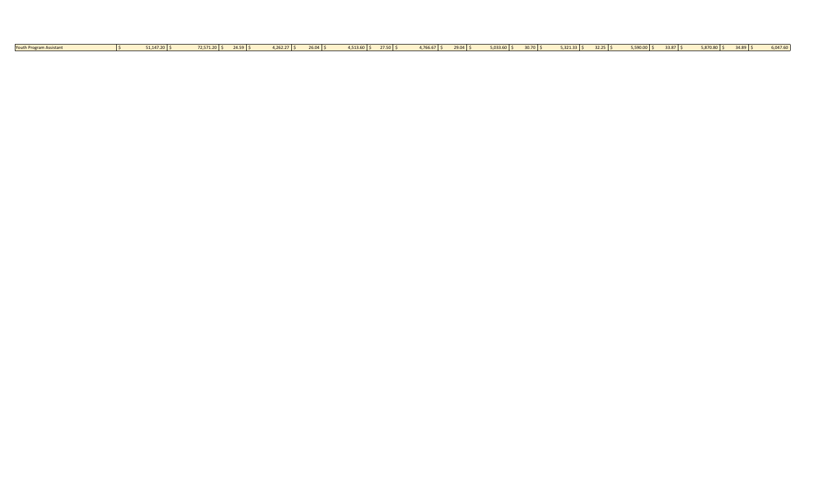| Youth Program. | 51,147.20 \$ | 72,571.20 \$ | $24.59$ \$ | $4,262.27$ \$ | $26.04$ \$ | 4.513.60 | $27.50$ $\mid$ \$<br>. . | 4,766.67 \$ | $29.04$ \$ | $5,033.60$ \$ | $30.70$ S | $5,321.33$ \$ | $32.25$ $\frac{2}{5}$ | $5,590.00$ \$ | $33.87$ \$ | $5,870.80$ \$ | $34.89$ \$ | 047.60 |
|----------------|--------------|--------------|------------|---------------|------------|----------|--------------------------|-------------|------------|---------------|-----------|---------------|-----------------------|---------------|------------|---------------|------------|--------|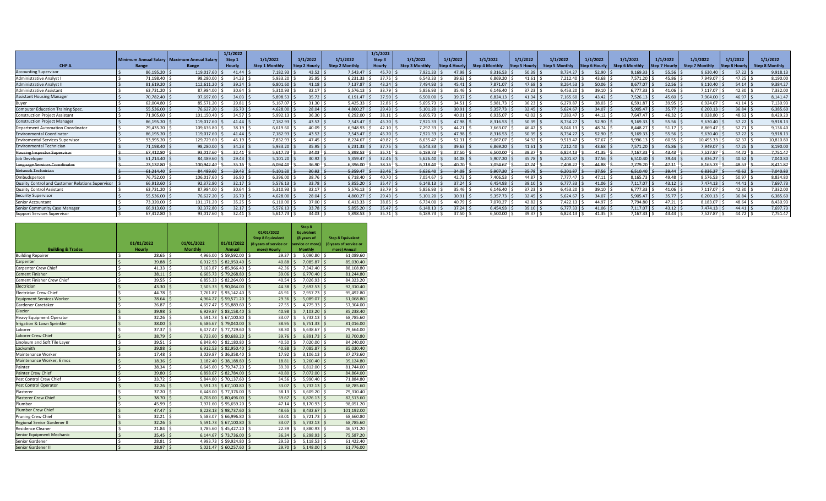|                                                   |           |                                               | 1/1/2022      |                       |                     |                      | 1/1/2022      |                       |                      |                       |                      |                       |                      |                       |                      |                       |                      |                       |
|---------------------------------------------------|-----------|-----------------------------------------------|---------------|-----------------------|---------------------|----------------------|---------------|-----------------------|----------------------|-----------------------|----------------------|-----------------------|----------------------|-----------------------|----------------------|-----------------------|----------------------|-----------------------|
|                                                   |           | Minimum Annual Salary   Maximum Annual Salary | Step 1        | 1/1/2022              | 1/1/2022            | 1/1/2022             | Step 3        | 1/1/2022              | 1/1/2022             | 1/1/2022              | 1/1/2022             | 1/1/2022              | 1/1/2022             | 1/1/2022              | 1/1/2022             | 1/1/2022              | 1/1/2022             | 1/1/2022              |
| CHP A                                             | Range     | Range                                         | <b>Hourly</b> | <b>Step 1 Monthly</b> | <b>Step 2 Hourh</b> | <b>Step 2 Monthl</b> | <b>Hourly</b> | <b>Step 3 Monthly</b> | <b>Step 4 Hourly</b> | <b>Step 4 Monthly</b> | <b>Step 5 Hourly</b> | <b>Step 5 Monthly</b> | <b>Step 6 Hourly</b> | <b>Step 6 Monthly</b> | <b>Step 7 Hourly</b> | <b>Step 7 Monthly</b> | <b>Step 8 Hourly</b> | <b>Step 8 Monthly</b> |
| <b>Accounting Supervisor</b>                      | 86.195.20 | 119.017.60                                    | 41.44         | 7.182.93              | 43.52               | 7.543.47             | 45.70         | 7.921.33              | 47.98                | 8.316.53              | 50.39                | 8.734.27              | 52.90                | 9.169.33              | 55.56                | 9.630.40              | 57.22                | 9.918.13              |
| Administrative Analyst                            | 71,198.40 | 98,280.00                                     | 34.23         | 5,933.20              | 35.95               | 6,231.33             | 37.75         | 6,543.33              | 39.63                | 6,869.20              | 41.61                | 7,212.40              | 43.68                | 7,571.20              | 45.86                | 7,949.07              | 47.25                | 8,190.00              |
| <b>Administrative Analyst II</b>                  | 81.619.20 | 112.611.20                                    | 39.24         | 6.801.60              | 41.18               | 7.137.87             | 43.24         | 7.494.93              | 45.41                | 7.871.07              | 47.68 :              | 8.264.53              | 50.06                | 8.677.07              | 52.56                | 9.110.40              | 54.14                | 9,384.27              |
| Administrative Assistant                          | 63,731.20 | 87,984.00                                     | 30.64         | 5,310.93              | 32.17               | 5.576.13             | 33.79         | 5.856.93              | 35.46                | 6.146.40              | 37.23                | 6,453.20              | 39.10                | 6.777.33              | 41.06                | 7,117.07              | 42.30                | 7,332.00              |
| <b>Assistant Housing Manager</b>                  | 70.782.40 | 97.697.60                                     | 34.03         | 5.898.53              | $35.72$ \$          | 6.191.47             | 37.50         | 6.500.00              | 39.37                | 6.824.13              | 41.34                | 7,165.60              | 43.42                | 7.526.13              | 45.60                | 7.904.00              | $46.97$ \$           | 8.141.47              |
| Buver                                             | 62.004.80 | 85.571.20                                     | 29.81         | 5.167.07              | 31.30               | 5.425.33             | 32.86         | 5.695.73              | 34.51                | 5.981.73              | 36.23                | 6.279.87              | 38.03                | 6.591.87              | 39.95                | 6.924.67              | 41.14                | 7.130.93              |
| <b>Computer Education Training Spec.</b>          | 55,536.00 | 76.627.20                                     | 26.70         | 4.628.00              | 28.04               | 4.860.27             | 29.43         | 5,101.20              | 30.91                | 5.357.73              | 32.45                | 5,624.67              | 34.07                | 5,905.47              | 35.77                | 6,200.13              | 36.84                | 6,385.60              |
| <b>Construction Project Assistant</b>             | 71.905.60 | 101,150.40                                    | 34.57         | 5,992.13              | 36.30               | 6.292.00             | 38.11         | 6,605.73              | 40.01                | 6.935.07              | $42.02$ :            | 7,283.47              | 44.12                | 7,647.47              | 46.32                | 8.028.80              | 48.63                | 8,429.20              |
| <b>Construction Project Manager</b>               | 86,195.20 | 119,017.60                                    | 41.44         | 7,182.93              | 43.52               | $7.543.47$ S         | $45.70$ S     | 7,921.33              | 47.98                | 8.316.53              | $50.39$ :            | 8,734.27              | 52.90                | 9,169.33              | 55.56                | 9.630.40              | 57.22                | 9,918.13              |
| <b>Department Automation Coordinator</b>          | 79,435.20 | 109,636.80                                    | 38.19         | 6,619.60              | 40.09               | 6.948.93             | 42.10         | 7.297.33              | 44.21                | 7.663.07              | 46.42                | 8,046.13              | 48.74                | 8.448.27              | 51.17                | 8.869.47              | 52.71                | 9,136.40              |
| <b>Environmental Coordinator</b>                  | 86,195.20 | 119,017.60                                    | 41.44         | 7,182.93              | 43.52               | 7.543.47             | 45.70         | 7,921.33              | 47.98                | 8,316.53              | 50.39                | 8,734.27              | 52.90                | 9,169.33              | 55.56                | 9,630.40              | 57.22                | 9,918.13              |
| <b>Enviromental Services Supervisor</b>           | 93,995.20 | 129.729.60                                    | 45.19         | 7,832.93              | 47.45               | 8.224.67             | 49.82         | 8.635.47              | 52.31                | 9.067.07              | 54.92                | 9,519.47              | 57.67                | 9,996.13              | 60.55                | 10,495.33             | 62.37                | 10,810.80             |
| <b>Environmental Technician</b>                   | 71.198.40 | 98.280.00                                     | 34.23         | 5,933.20              | 35.95               | 6.231.33             | 37.75         | 6.543.33              | 39.63                | 6.869.20              | 41.61                | 7.212.40              | 43.68                | 7.571.20              | 45.86                | 7.949.07              | 47.25                | 8,190.00              |
| <b>Housing Inspector Supervisor</b>               | 67,412.80 | 93,017.60                                     | 32.41         | 5.617.73              | 34.03               | 5.898.53             | $-35.71$      | 6,189.73              | 37.50                | 6,500.00              | 39.37                | 6,824.13              | 41.35                | 7,167.33              | 43.43                | 7,527.87              | 44.72                | 7,751.47              |
| <b>Job Developer</b>                              | 61.214.40 | 84.489.60                                     | 29.43         | 5,101.20              | 30.92               | 5.359.47             | 32.46         | 5.626.40              | 34.08                | 5.907.20              | 35.78                | 6,201.87              | 37.56                | 6.510.40              | 39.44                | 6.836.27              | 40.62                | 7,040.80              |
| Language Services Coordinator                     | 73,132.80 | 100,942.40                                    | 35.16         | 6,094.40              | 36.90               | 6,396.00             | 38.76         | 6,718.40              | 40.70                | 7,054.67              | 42.74                | 7,408.27              | 44.88                | 7,779.20              | 47.11                | 8,165.73              | 48.53                | 8,411.87              |
| Network Technician                                | 61.214.40 | 84.489.60                                     | $-29.43$      | 5.101.20              | 30.92               | 5.359.47             | $-32.46$      | 5.626.40              | 34.08                | 5.907.20              | 35.78                | 6.201.87              | 37.56                | 6,510.40              | 39.44                | 6.836.27              | 40.62                | 7,040.80              |
| Ombudsperson                                      | 76.752.00 | 106.017.60                                    | 36.90         | 6.396.00              | 38.76               | 6.718.40             | 40.70         | 7.054.67              | 42.73                | 7.406.53              | 44.87                | 7.777.47              | 47.11                | 8.165.73              | 49.48                | 8.576.53              | 50.97                | 8,834.80              |
| Quality Control and Customer Relations Supervisor | 66.913.60 | 92.372.80                                     | 32.17         | 5.576.13              | 33.78               | 5.855.20             | 35.47         | 6.148.13              | 37.24                | 6.454.93              | $39.10$ :            | 6.777.33              | 41.06                | 7.117.07              | 43.12                | 7.474.13              | 44.41                | 7.697.73              |
| <b>Quality Control Assistant</b>                  | 63.731.20 | 87,984.00                                     | 30.64         | 5.310.93              | 32.17               | 5.576.13             | 33.79         | 5.856.93              | 35.46                | 6.146.40              | 37.23                | 6,453.20              | 39.10                | 6.777.33              | 41.06                | 7,117.07              | 42.30                | 7,332.00              |
| <b>Security Supervisor</b>                        | 55,536.00 | 76.627.20                                     | 26.70         | 4,628.00              | 28.04               | 4.860.27             | 29.43         | 5,101.20              | 30.91                | 5.357.73              | 32.45                | 5,624.67              | 34.07                | 5,905.47              | 35.77                | 6,200.13              | 36.84                | 6,385.60              |
| Senior Accountant                                 | 73,320.00 | 101,171.20                                    | 35.25         | 6,110.00              | 37.00               | 6.413.33             | 38.85         | 6.734.00              | 40.79                | 7.070.27              | 42.82                | 7,422.13              | 44.97                | 7.794.80              | 47.21                | 8.183.07              | 48.64                | 8,430.93              |
| Senior Community Case Manager                     | 66.913.60 | 92.372.80                                     | 32.17         | 5.576.13              | 33.78               | 5.855.20             | 35.47         | 6.148.13              | 37.24                | 6.454.93              | $39.10$ :            | 6.777.33              | 41.06                | 7.117.07              | 43.12                | 7.474.13              | 44.41                | 7,697.73              |
| Support Services Supervisor                       | 67.412.80 | 93.017.60                                     | $32.41$ S     | 5.617.73              | $34.03$ S           | $5.898.53$ S         | $35.71$ \     | 6.189.73              | 37.50                | 6.500.00              | 39.37                | 6.824.13              | 41.35                | 7.167.33              | $43.43$ S            | 7.527.87              | $44.72$ S            | 7.751.47              |

|                                  |                         | 01/01/2022 |                    | 01/01/2022     | 01/01/2022      |                    | 01/01/2022<br><b>Step 8 Equivalent</b><br>(8 years of service or |                    | Step 8<br><b>Equivalent</b><br>(8 years of<br>service or more) |                   | <b>Step 8 Equivalent</b><br>(8 years of service or |
|----------------------------------|-------------------------|------------|--------------------|----------------|-----------------|--------------------|------------------------------------------------------------------|--------------------|----------------------------------------------------------------|-------------------|----------------------------------------------------|
| <b>Building &amp; Trades</b>     |                         | Hourly     |                    | <b>Monthly</b> | Annual          |                    | more) Hourly                                                     |                    | <b>Monthly</b>                                                 |                   | more) Annual                                       |
| <b>Building Repairer</b>         | Ś                       | 28.65      | \$                 | 4,966.00       | $$59,592.00$ \$ |                    | 29.37                                                            | \$                 | 5,090.80                                                       | \$                | 61,089.60                                          |
| Carpenter                        | $\zeta$                 | 39.88      | $\mathcal{S}$      | 6.912.53       | \$82,950.40     | $\zeta$            | 40.88                                                            | Ŝ.                 | 7.085.87                                                       | $\hat{\varsigma}$ | 85,030.40                                          |
| <b>Carpenter Crew Chief</b>      | Ś                       | 41.33      | \$                 | 7,163.87       | \$85,966.40     | \$                 | 42.36                                                            | Ś                  | 7,342.40                                                       | Ś                 | 88.108.80                                          |
| <b>Cement Finisher</b>           | $\zeta$                 | 38.11      | Ś                  | 6.605.73       | \$79,268.80     | <sup>5</sup>       | 39.06                                                            | $\mathsf{\hat{S}}$ | 6.770.40                                                       | $\zeta$           | 81.244.80                                          |
| Cement Finisher Crew Chief       | Ś                       | 39.55      | Ŝ.                 | 6,855.33       | \$82,264.00     | \$                 | 40.54                                                            | Ŝ.                 | 7,026.93                                                       | Ś                 | 84,323.20                                          |
| Electrician                      | Ś                       | 43.30      | $\zeta$            | 7,505.33       | \$90,064,00     | Ŝ.                 | 44.38                                                            | $\mathsf{\hat{S}}$ | 7,692.53                                                       | $\zeta$           | 92.310.40                                          |
| <b>Electrician Crew Chief</b>    | Ś                       | 44.78      | Ŝ.                 | 7.761.87       | \$93,142.40     | \$                 | 45.91                                                            | \$                 | 7,957.73                                                       | \$                | 95,492.80                                          |
| <b>Equipment Services Worker</b> | $\overline{\mathsf{S}}$ | 28.64      | $\mathcal{S}$      | 4.964.27       | \$59,571.20     | $\zeta$            | 29.36                                                            | $\mathsf{\hat{S}}$ | 5.089.07                                                       | $\zeta$           | 61,068.80                                          |
| Gardener Caretaker               | Ś                       | 26.87      | \$                 | 4.657.47       | \$55,889.60     | \$                 | 27.55                                                            | $\zeta$            | 4,775.33                                                       | Ś                 | 57,304.00                                          |
| Glazier                          | $\overline{\mathsf{S}}$ | 39.98      | $\mathsf{S}$       | 6,929.87       | \$83,158.40     | Ś                  | 40.98                                                            | $\zeta$            | 7,103.20                                                       | Ŝ                 | 85,238.40                                          |
| <b>Heavy Equipment Operator</b>  | Ś                       | 32.26      | Ŝ.                 | 5.591.73       | \$67,100.80     | \$                 | 33.07                                                            | S,                 | 5.732.13                                                       | Ŝ.                | 68,785.60                                          |
| Irrigation & Lawn Sprinkler      | $\overline{\mathsf{S}}$ | 38.00      | $\mathsf{\hat{S}}$ | 6,586.67       | \$79,040.00     | $\zeta$            | 38.95                                                            | $\zeta$            | 6,751.33                                                       | Ś                 | 81,016.00                                          |
| Laborer                          | Ś                       | 37.37      | \$                 | 6.477.47       | \$77,729.60     | \$                 | 38.30                                                            | \$                 | 6.638.67                                                       | Ŝ.                | 79,664.00                                          |
| Laborer Crew Chief               | Ś                       | 38.79      | $\zeta$            | 6,723.60       | \$80,683.20     | \$                 | 39.76                                                            | \$                 | 6,891.73                                                       | Ŝ                 | 82,700.80                                          |
| Linoleum and Soft Tile Layer     | Ś                       | 39.51      | Ŝ.                 | 6.848.40       | \$82,180.80     | Ś                  | 40.50                                                            | \$                 | 7.020.00                                                       | Ś                 | 84,240.00                                          |
| Locksmith                        | Ś                       | 39.88      | $\mathsf{\hat{S}}$ | 6.912.53       | \$82,950.40     | $\zeta$            | 40.88                                                            | $\zeta$            | 7,085.87                                                       | Ś                 | 85,030.40                                          |
| Maintenance Worker               | Ś                       | 17.48      | \$                 | 3.029.87       | \$36,358.40     | Ś                  | 17.92                                                            | Ŝ.                 | 3.106.13                                                       | Ś                 | 37.273.60                                          |
| Maintenance Worker, 6 mos        | Ś                       | 18.36      | Ś                  | 3.182.40       | \$38,188.80     | Ś                  | 18.81                                                            | Ŝ                  | 3,260.40                                                       | Ś                 | 39,124.80                                          |
| Painter                          | Ś                       | 38.34      | Ś                  | 6.645.60       | \$79,747.20     | Ś                  | 39.30                                                            | Ŝ.                 | 6.812.00                                                       | Ś                 | 81.744.00                                          |
| <b>Painter Crew Chief</b>        | Ś                       | 39.80      | Ś                  | 6,898.67       | \$82,784.00     | $\zeta$            | 40.80                                                            | $\mathsf{\hat{S}}$ | 7,072.00                                                       | $\zeta$           | 84,864.00                                          |
| Pest Control Crew Chief          | Ś                       | 33.72      | Ŝ.                 | 5.844.80       | \$70.137.60     | Ś                  | 34.56                                                            | Ŝ.                 | 5,990.40                                                       | Ŝ.                | 71,884.80                                          |
| <b>Pest Control Operator</b>     | Ś                       | 32.26      | <sup>\$</sup>      | 5.591.73       | \$67,100.80     | <sup>5</sup>       | 33.07                                                            | Ŝ.                 | 5.732.13                                                       | ¢                 | 68.785.60                                          |
| Plasterer                        | Ś                       | 37.20      | Ŝ.                 | 6,448.00       | \$77,376.00     | \$                 | 38.13                                                            | Ŝ.                 | 6.609.20                                                       | \$.               | 79,310.40                                          |
| <b>Plasterer Crew Chief</b>      | Ś                       | 38.70      | $\dot{\mathsf{S}}$ | 6,708.00       | \$80,496.00     | $\zeta$            | 39.67                                                            | Ŝ.                 | 6,876.13                                                       | $\hat{\varsigma}$ | 82.513.60                                          |
| Plumber                          | Ś                       | 45.99      | \$                 | 7,971.60       | \$95,659.20     | \$                 | 47.14                                                            | Ś                  | 8,170.93                                                       | Ś                 | 98,051.20                                          |
| <b>Plumber Crew Chief</b>        | Ś                       | 47.47      | Ś                  | 8,228.13       | \$98,737.60     | $\zeta$            | 48.65                                                            | Ŝ.                 | 8,432.67                                                       | Ś                 | 101,192.00                                         |
| Pruning Crew Chief               | Ś                       | 32.21      | Ś                  | 5.583.07       | \$66,996.80     | \$                 | 33.01                                                            | Ś                  | 5.721.73                                                       | \$                | 68,660.80                                          |
| Regional Senior Gardener II      | Ś                       | 32.26      | Ś                  | 5.591.73       | \$67,100.80     | $\zeta$            | 33.07                                                            | Ŝ.                 | 5.732.13                                                       | $\zeta$           | 68,785.60                                          |
| <b>Residence Cleaner</b>         | Ś                       | 21.84      | Ś                  | 3.785.60       | \$45,427.20     | \$                 | 22.39                                                            | Ś                  | 3.880.93                                                       | Ś                 | 46,571.20                                          |
| Senior Equipment Mechanic        | $\zeta$                 | 35.45      | Ś                  | 6.144.67       | \$73,736.00     | $\mathsf{\hat{S}}$ | 36.34                                                            | Ŝ.                 | 6.298.93                                                       | Ś                 | 75,587.20                                          |
| Senior Gardener                  | Ś                       | 28.81      | Ś                  | 4,993.73       | \$59,924.80     | \$                 | 29.53                                                            | \$                 | 5,118.53                                                       | Ś                 | 61,422.40                                          |
| <b>Senior Gardener II</b>        | $\overline{\mathsf{S}}$ | 28.97      | $\mathsf{S}$       | 5.021.47       | \$60.257.60     | $\mathsf{\hat{S}}$ | 29.70                                                            | $\mathsf{S}$       | 5.148.00                                                       | $\mathsf{S}$      | 61.776.00                                          |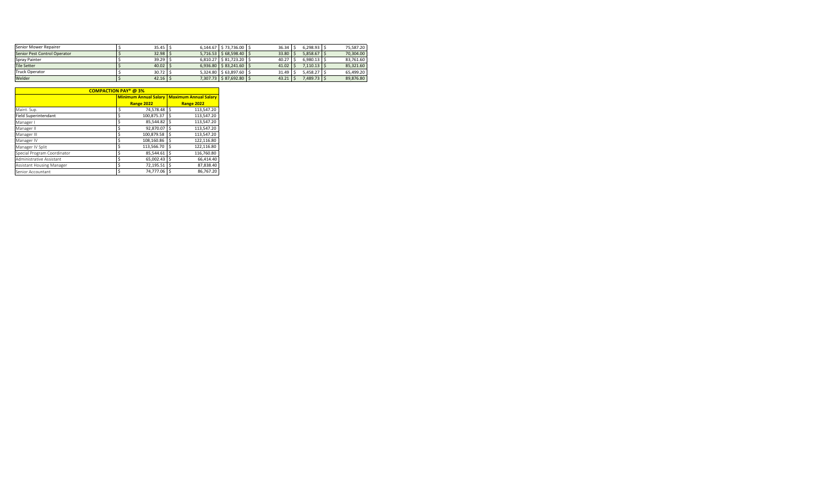| $5.716.53$   \$68.598.40   \$<br>6.810.27   \$81.723.20   \$ | $33.80$ \ 5<br>40.27 | 5.858.67    | 70.304.00 |
|--------------------------------------------------------------|----------------------|-------------|-----------|
|                                                              |                      |             |           |
|                                                              |                      | 6.980.13    | 83.761.60 |
| $6.936.80$   \$83.241.60   \$                                | 41.02                | $7.110.13$  | 85.321.60 |
| 5.324.80   \$63.897.60   \$                                  | 31.49                | 5.458.27    | 65.499.20 |
| 7.307.73   \$87.692.80   \$                                  |                      |             | 89,876.80 |
|                                                              |                      | $43.21$ \ 5 | 7.489.73  |

|                             | <b>COMPACTION PAY* @3%</b> |                              |    |                              |
|-----------------------------|----------------------------|------------------------------|----|------------------------------|
|                             |                            | <b>Minimum Annual Salary</b> |    | <b>Maximum Annual Salary</b> |
|                             |                            | <b>Range 2022</b>            |    | <b>Range 2022</b>            |
| Maint. Sup.                 | \$                         | 74,578.48                    | Ś  | 113,547.20                   |
| <b>Field Superintendant</b> | \$                         | 100,875.37                   | Ś  | 113,547.20                   |
| Manager I                   | \$                         | 85,544.82                    | \$ | 113,547.20                   |
| Manager II                  | \$                         | 92,870.07                    |    | 113,547.20                   |
| Manager III                 | \$                         | 100,879.58                   | \$ | 113,547.20                   |
| Manager IV                  | \$                         | 108,160.86                   | Ś  | 122,116.80                   |
| Manager IV Split            | \$                         | 113,566.70                   | Ś  | 122,116.80                   |
| Special Program Coordinator | \$                         | 85,544.61                    |    | 116.760.80                   |
| Administrative Assistant    | \$                         | 65.002.43                    | Ś  | 66,414.40                    |
| Assistant Housing Manager   | \$                         | 72,195.51                    | Ŝ  | 87,838.40                    |
| Senior Accountant           | Ś                          | 74.777.06                    |    | 86.767.20                    |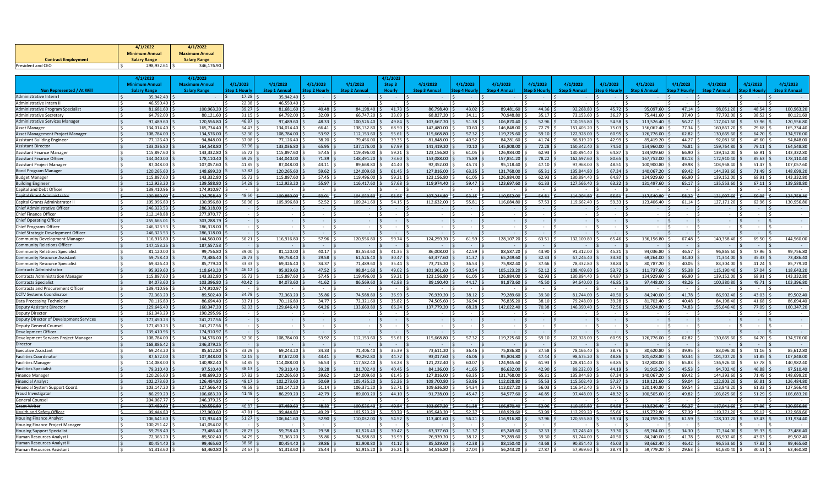|                            | 4/1/2022              | 4/1/2022              |
|----------------------------|-----------------------|-----------------------|
|                            | <b>Minimum Annual</b> | <b>Maximum Annual</b> |
| <b>Contract Employment</b> | <b>Salary Range</b>   | <b>Salary Range</b>   |
| President and CEO          | 298.932.61            | 346.176.90            |

|                                                        |         | 4/1/2023                 | 4/1/2023                |                      |                         |                      |                        | 1/1/2023       |                          |                      |                         |                      |                         |                |                          |                |                          |                |                          |
|--------------------------------------------------------|---------|--------------------------|-------------------------|----------------------|-------------------------|----------------------|------------------------|----------------|--------------------------|----------------------|-------------------------|----------------------|-------------------------|----------------|--------------------------|----------------|--------------------------|----------------|--------------------------|
|                                                        |         | Minimum Annual           | <b>Maximum Annual</b>   | 4/1/2023             | 4/1/2023                | 4/1/2023             | 4/1/2023               | Step 3         | 4/1/2023                 | 4/1/2023             | 4/1/2023                | 4/1/2023             | 4/1/2023                | 4/1/2023       | 4/1/2023                 | 4/1/2023       | 4/1/2023                 | 4/1/2023       | 4/1/2023                 |
| Non Represented / At Will                              |         | <b>Salary Range</b>      | <b>Salary Range</b>     | <b>Step 1 Hourly</b> | <b>Step 1 Annual</b>    | <b>Step 2 Hourly</b> | <b>Step 2 Annual</b>   | Hourly         | <b>Step 3 Annual</b>     | <b>Step 4 Hourly</b> | <b>Step 4 Annual</b>    | <b>Step 5 Hourly</b> | <b>Step 5 Annual</b>    | Step 6 Hourh   | <b>Step 6 Annual</b>     | Step 7 Hourly  | <b>Step 7 Annual</b>     | Step 8 Hourly  | <b>Step 8 Annual</b>     |
| Administrative Intern I                                |         | 35,942.40                |                         | 17.28                | 35,942.40               | $\sim$               | $\sim$                 | $\sim$         |                          |                      |                         |                      |                         |                |                          |                |                          |                |                          |
| Administrative Intern II                               |         | 46.550.40                |                         | 22.38                | 46.550.40               | $\sim$               |                        |                | $\overline{\phantom{a}}$ |                      |                         | $\sim$               |                         | $\sim$         |                          | $\sim$         |                          |                |                          |
| Administrative Program Specialist                      |         | 81.681.60                | 100,963.20              | 39.27                | 81.681.60               | 40.48                | 84.198.40              | 41.73          | 86.798.40                | 43.02                | 89.481.60               | 44.36                | 92,268.80               | 45.72          | 95,097.60                | 47.14          | 98.051.20                | 48.54          | 100.963.20               |
| <b>Administrative Secretary</b>                        |         | 64,792.00                | 80,121.60               | 31.15                | 64,792.00               | 32.09                | 66,747.20              | 33.09          | 68,827.20                | 34.11                | 70,948.80               | 35.17                | 73,153.60               | 36.27          | 75,441.60                | 37.40          | 77,792.00                | 38.52          | 80,121.60                |
| <b>Administrative Services Manager</b>                 |         | 97,489.60                | 120,556.80              | 46.87                | 97.489.60               | 48.33                | 100.526.40             | 49.84          | 103.667.20               | 51.38                | 106.870.40              | 52.96                | 110.156.80              | 54.58          | 113.526.40               | 56.27          | 117,041.60               | 57.96          | 120,556.8                |
| Asset Manager                                          |         | 134,014.40               | 165,734.40              | 64.43                | 134,014.40              | 66.41                | 138,132.80             | 68.50          | 142,480.00               | 70.60                | 146,848.00              | 72.79                | 151,403.20              | 75.03          | 156,062.40               | 77.34          | 160,867.20               | 79.68          | 165,734.40               |
| Asset Management Project Manage                        |         | 108,784.00               | 134,576.00              | 52.30                | 108.784.00              | 53.92                | 112,153.60             | 55.61          | 115.668.80               | 57.32                | 119,225.60              | 59.10                | 122,928.00              | 60.95          | 126,776.00               | 62.82          | 130.665.60               | 64.70          | 134,576.00               |
| <b>Assistant Building Engineer</b>                     |         | 77,126.40                | 94.848.00               | 37.08                | 77.126.40               | 38.20                | 79.456.00              | 39.35          | 81.848.00                | 40.52                | 84.281.60               | 41.74                | 86.819.20               | 42.99          | 89,419.20                | 44.27          | 92,081.60                | 45.60          | 94.848.00                |
| <b>Assistant Director</b>                              |         | 133.036.80               | 164.548.80              | 63.96                | 133.036.80              | 65.95                | 137.176.00             | 67.99          | 141,419.20               | 70.10                | 145,808.00              | 72.28                | 150,342.40              | 74.50          | 154,960.00               | 76.81          | 159,764.80               | 79.11          | 164,548.8                |
| <b>Assistant Finance Manage</b>                        |         | 115.897.60               | 143.332.80              | 55.72                | 115.897.60              | 57.45                | 119.496.00             | 59.21          | 123.156.80               | 61.05                | 126.984.00              | 62.93                | 130.894.40              | 64.87          | 134.929.60               | 66.90          | 139.152.00               | 68.91          | 143,332.8                |
| <b>Assistant Finance Officer</b>                       | $\zeta$ | 144.040.00               | 178.110.40              | 69.25                | 144.040.00              | 71.39                | 148.491.20             | 73.60          | 153.088.00               | 75.89                | 157.851.20              | 78.22                | 162.697.60              | 80.65          | 167,752.00               | 83.13          | 172.910.40               | 85.63          | 178,110.40               |
| Assistant Project Manager                              |         | 87,048.00                | 107,057.60              | 41.85                | 87,048.00               | 43.11                | 89,668.80              | 44.40          | 92,352.00                | 45.73                | 95,118.40               | 47.10                | 97,968.00               | 48.51          | 100,900.80               | 49.98          | 103,958.40               | 51.47          | 107,057.60               |
| <b>Bond Program Manager</b>                            |         | 120.265.60               | 148,699.20              | 57.82                | 120.265.60              | 59.62                | 124.009.60             | 61.45          | 127,816.00               | 63.35                | 131.768.00              | 65.31                | 135,844.80              | 67.34          | 140.067.20               | 69.42          | 144,393.60               | 71.49          | 148,699.2                |
| <b>Budget Manage</b>                                   |         | 115,897.60               | 143,332.80              | 55.72                | 115,897.60              | 57.45                | 119,496.00             | 59.21          | 123,156.80               | 61.05                | 126,984.00              | 62.93                | 130,894.40              | 64.87          | 134,929.60               | 66.90          | 139,152.00               | 68.91          | 143,332.8                |
| <b>Building Enginee</b>                                |         | 112.923.20               | 139.588.80              | 54.29                | 112,923.20              | 55.97                | 116.417.60             | 57.68          | 119.974.40               | 59.47                | 123,697.60              | 61.33                | 127,566.40              | 63.22          | 131,497.60               | 65.17          | 135.553.60               | 67.11          | 139.588.80               |
| Capital and Debt Officer                               |         | 139.410.96               | 174,910.97              |                      |                         |                      |                        |                |                          |                      |                         |                      |                         |                |                          |                |                          |                |                          |
| <b>Capital Grant Administrator</b>                     |         | 100.880.00               | 124.758.40              | 48.50                | 100.880.00              | 50.01                | 104.020.80             | $-51.56$       | 107,244.80               | 53.15                | 110,552.00              | $-54.81$             | 114.004.80              | $-56.54$       | 117.540.80               | 58.22          | 121,097.60               | 59.98          | 124.758.40               |
| Capital Grants Administrator                           |         | 105.996.80               | 130.956.80              | 50.96                | 105.996.80              | 52.52                | 109.241.60             | 54.15          | 112.632.00               | 55.81                | 116.084.80              | 57.53                | 119,662.40              | 59.33          | 123,406,40               | 61.14          | 127,171.20               | 62.96          | 130,956.8                |
| Chief Administrative Officer                           |         | 246.323.53               | 286.318.00              |                      |                         | $\sim$               | $\sim$                 |                |                          |                      |                         |                      |                         |                | $\sim$                   |                |                          |                |                          |
| <b>Chief Finance Officer</b>                           |         | 212.148.88               | 277.970.77              |                      | $\sim$                  | $\sim$               | $\sim$                 |                | $\sim$                   |                      | $\sim$                  | $\sim$               | $\sim$                  | $\sim$         | $\sim$                   | $\sim$         | $\sim$                   |                |                          |
| <b>Chief Operating Officer</b>                         |         | 255.665.01               | 303.288.79              |                      |                         |                      |                        |                |                          |                      |                         |                      |                         |                |                          |                |                          |                |                          |
| Chief Programs Officer                                 |         | 246,323.53               | 286,318.00              |                      |                         |                      |                        |                |                          |                      |                         |                      |                         |                |                          |                |                          |                |                          |
| Chief Strategic Development Officer                    |         | 246,323.53               | 286,318.00              |                      |                         |                      |                        |                |                          |                      |                         |                      |                         | $\sim$         |                          |                |                          |                |                          |
| <b>Community Development Manager</b>                   |         | 116,916.80               | 144,560.00              | 56.21                | 116,916.80              | 57.96                | 120,556.80             | 59.74          | 124,259.20               | 61.59                | 128,107.20              | 63.51                | 132,100.80              | 65.46          | 136,156.80               | 67.48          | 140,358.40               | 69.50          | 144,560.00               |
| <b>Community Relations Officer</b>                     |         | 147,153.25               | 187,557.53              |                      |                         | $\sim$               |                        |                |                          |                      |                         |                      |                         | $\sim$         |                          |                |                          |                |                          |
| <b>Community Relations Specialist</b>                  |         | 81.120.00                | 99.756.80               | 39.00                | 81.120.00               | 40.17                | 83.553.60              | 41.35          | 86.008.00                | 42.59                | 88.587.20               | 43.90                | 91,312.00               | 45.21          | 94.036.80                | 46.57          | 96.865.60                | 47.96          | 99,756.80                |
| <b>Community Resource Assistant</b>                    |         | 59.758.40                | 73,486.40               | 28.73                | 59.758.40               | 29.58                | 61.526.40              | 30.47          | 63.377.60                | 31.37                | 65.249.60               | 32.33                | 67.246.40               | 33.30          | 69,264.00                | 34.30          | 71.344.00                | 35.33          | 73,486.40                |
| <b>Community Resource Specialist</b>                   | $\zeta$ | 69.326.40                | 85.779.20               | 33.33                | 69.326.40               | 34.37                | 71.489.60              | 35.44          | 73.715.20                | 36.53                | 75.982.40               | 37.66                | 78.332.80               | 38.84          | 80.787.20                | 40.05          | 83.304.00                | 41.24          | 85.779.20                |
| <b>Contracts Administrator</b>                         |         | 95,929.60                | 118,643.20              | 46.12                | 95,929.60               | 47.52                | 98,841.60              | 49.02          | 101,961.60               | 50.54                | 105,123.20              | 52.12                | 108,409.60              | $53.72$ \$     | 111,737.60               | 55.38          | 115,190.40               | 57.04          | 118,643.20               |
| <b>Contracts Administration Manager</b>                |         | 115,897.60               | 143,332.80              | 55.72                | 115,897.60              | 57.45                | 119,496.00             | 59.21          | 123,156.80               | 61.05                | 126,984.00              | 62.93                | 130,894.40              | 64.87          | 134,929.60               | 66.90          | 139,152.00               | 68.91          | 143,332.80               |
| <b>Contracts Specialist</b>                            |         | 84.073.60                | 103.396.80              | 40.42                | 84.073.60               | 41.62                | 86.569.60              | 42.88          | 89.190.40                | 44.17                | 91,873.60               | 45.50                | 94.640.00               | 46.85          | 97,448.00                | 48.26          | 100.380.80               | 49.71          | 103,396.80               |
| Contracts and Procurement Officer                      |         | 139,410.96               | 174,910.97              |                      |                         |                      |                        |                |                          |                      |                         |                      |                         |                |                          |                |                          |                |                          |
| <b>CCTV Systems Coordinator</b>                        |         | 72,363.20                | 89,502.40               | 34.79                | 72,363.20               | 35.86                | 74,588.80              | 36.99          | 76,939.20                | 38.12                | 79,289.60               | 39.30                | 81,744.00               | 40.50          | 84,240.00                | 41.78          | 86,902.40                | 43.03          | 89,502.40                |
| Data Processing Technicia                              |         | 70,116.80                | 86.694.40               | 33.71                | 70.116.80               | 34.77                | 72.321.60              | 35.82          | 74.505.60                | 36.94                | 76,835.20               | 38.10                | 79.248.00               | 39.28          | 81,702.40                | 40.48          | 84.198.40                | 41.68          | 86,694.40                |
| <b>Deputy Assistant Director</b>                       |         | 129,646.40               | 160.347.20              | 62.33                | 129.646.40              | 64.26                | 133,660.80             | 66.24          | 137,779.20               | 68.28                | 142,022.40              | 70.38                | 146,390.40              | 72.56          | 150,924.80               | 74.83          | 155,646.40               | 77.09          | 160,347.20               |
| <b>Deputy Director</b>                                 |         | 161.343.29               | 190.295.96              |                      |                         |                      |                        |                |                          |                      |                         |                      |                         | $\sim$         |                          | $\sim$         |                          |                |                          |
| Deputy Director of Development Services                |         | 177.450.23               | 241.217.56              | $\sim$               | $\sim$                  | $\sim$               | $\sim$ $-$             |                | $\sim$                   |                      | $\sim$                  | $\sim$               | $\sim$ $-$              | $\sim$         | $\sim$ $-$               | $\sim$         |                          | $\sim$ $-$     | $\sim$                   |
| <b>Deputy General Counsel</b>                          | Ŝ.      | 177,450.23               | 241,217.56              |                      | $\sim$                  | $\sim$               | $\sim$                 |                | $\sim$                   |                      |                         |                      |                         | $\sim$         | $\sim$                   | $\sim$         |                          |                |                          |
| Development Officer                                    |         | 139.410.96               | 174.910.97              |                      |                         |                      |                        |                |                          |                      |                         |                      |                         |                |                          |                |                          |                |                          |
| Development Services Project Manager                   |         | 108,784.00<br>168.886.42 | 134,576.00              | 52.30                | 108,784.00              | 53.92                | 112,153.60             | 55.61          | 115,668.80               | 57.32                | 119,225.60              | 59.10                | 122,928.00              | 60.95          | 126,776.00               | 62.82          | 130,665.60               | 64.70          | 134,576.00               |
| <b>Director</b>                                        |         |                          | 246,379.25              |                      |                         |                      |                        |                |                          |                      |                         |                      |                         |                |                          |                |                          |                |                          |
| <b>Executive Assistant</b>                             |         | 69,243.20                | 85,612.80<br>107.848.00 | 33.29<br>42.15       | 69,243.20               | 34.33                | 71,406.40<br>90.292.80 | 35.39          | 73,611.20                | 36.46                | 75,836.80               | 37.58                | 78,166.40               | 38.76          | 80,620.80                | 39.95          | 83,096.00                | 41.16          | 85,612.80                |
| <b>Facilities Coordinato</b>                           |         | 87,672.00<br>114.088.00  | 140.982.40              | 54.85                | 87,672.00<br>114.088.00 | 43.41                | 117.582.40             | 44.72<br>58.28 | 93,017.60<br>121.222.40  | 46.06<br>60.07       | 95,804.80<br>124.945.60 | 47.44<br>61.93       | 98,675.20<br>128.814.40 | 48.86<br>63.85 | 101,628.80<br>132.808.00 | 50.34<br>65.83 | 104,707.20<br>136.926.40 | 51.85          | 107,848.00<br>140.982.40 |
| <b>Facilities Manager</b>                              |         | 79.310.40                | 97,510.40               | 38.13                | 79,310.40               | 56.53<br>39.28       | 81.702.40              | 40.45          | 84.136.00                | 41.65                | 86.632.00               | 42.90                | 89,232.00               | 44.19          | 91,915.20                | 45.53          | 94,702.40                | 67.78<br>46.88 |                          |
| <b>Facilities Specialist</b><br><b>Finance Manager</b> |         | 120,265.60               | 148.699.20              | 57.82                | 120,265.60              | 59.62                | 124,009.60             | 61.45          | 127,816.00               | 63.35                | 131,768.00              | 65.31                | 135,844.80              | 67.34          | 140,067.20               | 69.42          | 144,393.60               | 71.49          | 97,510.40<br>148,699.2   |
| <b>Financial Analyst</b>                               |         | 102.273.60               | 126.484.80              | 49.17                | 102.273.60              | 50.69                | 105.435.20             | 52.26          | 108,700.80               | 53.86                | 112.028.80              | 55.53                | 115,502.40              | 57.27          | 119,121.60               | 59.04          | 122.803.20               | 60.81          | 126,484.8                |
| Financial System Support Coord                         |         | 103,147.20               | 127,566.40              | 49.59                | 103,147.20              | 51.14                | 106,371.20             | 52.71          | 109,636.80               | 54.34                | 113,027.20              | 56.03                | 116,542.40              | 57.76          | 120,140.80               | 59.54          | 123,843.20               | 61.33          | 127,566.40               |
| Fraud Investigator                                     |         | 86,299.20                | 106.683.20              | 41.49                | 86.299.20               | 42.79                | 89.003.20              | 44.10          | 91.728.00                | 45.47                | 94,577.60               | 46.85                | 97.448.00               | 48.32          | 100.505.60               | 49.82          | 103.625.60               | 51.29          | 106.683.20               |
|                                                        |         | 204,067.77               | 246,379.25              |                      |                         |                      |                        |                |                          |                      |                         |                      |                         |                |                          |                |                          |                |                          |
| General Counse<br><b>Grant Writer</b>                  |         | 97.489.60                | 120.556.80              | 46.87                | 97.489.60               | 48.33                | 100.526.40             | 49.84          | 103.667.20               | 51.38                | 106.870.40              | $-52.96$             | 110.156.80              | 54.58          | 113.526.40               | 56.27          | 117.041.60               | 57.96          | 120,556.80               |
| <b>Health and Safety Officer</b>                       |         | 99.444.80                | 122.969.60              | 47.81                | 99.444.80               | 49.29                | 102.523.20             | 50.79          | 105.643.20               | 52.37                | 108.929.66              | 53.99                | 112.299.20              | 55.66          | 115,772.80               | 57.39          | 119.371.20               | $-59.12$       | 122,969.60               |
| <b>Housing Finance Analyst</b>                         |         | 106.641.60               | 131.934.40              | 51.27                | 106,641.60              | 52.90                | 110,032.00             | 54.52          | 113,401.60               | 56.21                | 116,916.80              | 57.96                | 120,556.80              | 59.74          | 124,259.20               | 61.59          | 128,107.20               | 63.43          | 131,934.40               |
| Housing Finance Project Manage                         | $\zeta$ | 100,251.42               | 141,054.02              |                      |                         |                      |                        |                |                          |                      |                         |                      |                         |                |                          |                |                          |                |                          |
| <b>Housing Support Specialist</b>                      |         | 59.758.40                | 73.486.40               | 28.73                | 59.758.40               | 29.58                | 61.526.40              | 30.47          | 63.377.60                | 31.37                | 65.249.60               | 32.33                | 67.246.40               | 33.30          | 69.264.00                | 34.30          | 71.344.00                | 35.33          | 73.486.40                |
| Human Resources Analyst                                |         | 72,363.20                | 89,502.40               | 34.79                | 72,363.20               | 35.86                | 74,588.80              | 36.99          | 76,939.20                | 38.12                | 79,289.60               | 39.30                | 81,744.00               | 40.50          | 84,240.00                | 41.78          | 86,902.40                | 43.03          | 89,502.4                 |
| Human Resources Analyst I                              |         | 80.454.40                | 99,465.60               | 38.68                | 80.454.40               | 39.86                | 82.908.80              | 41.12          | 85.529.60                | 42.38                | 88.150.40               | 43.68                | 90.854.40               | 45.03          | 93.662.40                | 46.42          | 96.553.60                | 47.82          | 99,465.60                |
|                                                        |         | 51,313.60                | 63,460.80               | 24.67                | 51,313.60               | 25.44                | 52,915.20              | 26.21          | 54.516.80                | 27.04                | 56,243.20               | 27.87                | 57.969.60               | 28.74          | 59,779.20                | 29.63          | 61,630.40                | 30.51          | 63,460.80                |
| Human Resources Assistant                              |         |                          |                         |                      |                         |                      |                        |                |                          |                      |                         |                      |                         |                |                          |                |                          |                |                          |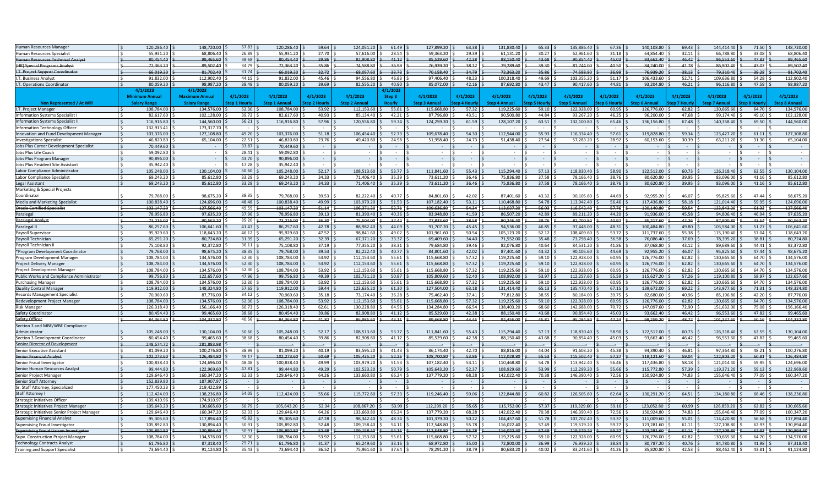| Human Resources Manager                                                        | 120,286.40          | 148,720.00           | 57.83        | 120,286.40           | 59.64       | 124,051.20          | 61.49         | 127,899.20             | 63.38      | 131,830.40           | 65.33      | 135,886.40           | 67.36      | 140,108.80           | 69.43      | 144,414.40           | 71.50       | 148,720.00           |
|--------------------------------------------------------------------------------|---------------------|----------------------|--------------|----------------------|-------------|---------------------|---------------|------------------------|------------|----------------------|------------|----------------------|------------|----------------------|------------|----------------------|-------------|----------------------|
|                                                                                | 55.931.20           | 68.806.40            | 26.89        | 55.931.20            | 27.70       | 57.616.00           | 28.54         | $\overline{59,363.20}$ | 29.39      | 61.131.20            | 30.27      | 62.961.60            |            | 64.854.40            | 32.11      | 66.788.80            | 33.08       | 68.806.40            |
| Human Resources Specialist                                                     |                     |                      |              |                      |             |                     |               |                        |            |                      |            |                      | 31.18      |                      |            |                      |             |                      |
| <b>Human Resources Technical Analyst</b>                                       | 80.454.40           | 99.465.60            | 38.68        | 80.454.40            | 39.86       | 82.908.80           | $-41.12$      | 85.529.60              | 42.38      | 88.150.40            | 43.68      | 90.854.40            | 45.03      | 93.662.40            | 46.42      | 96.553.60            | 47.82       | 99.465.60            |
| (HR) Special Programs Analys                                                   | 72.363.20           | 89.502.40            | 34.79        | 72.363.20            | 35.86       | 74.588.80           | 36.99         | 76,939.20              | 38.12      | 79.289.60            | 39.30      | 81.744.00            | 40.50      | 84.240.00            | 41.78      | 86.902.40            | 43.03       | 89.502.40            |
| I.T. Project Support Coordinator                                               | 66,019.20           | 81,702.40            | 31.74        | 66,019.20            | 32.72       | 68,057.60           | 33.73         | 70,158.40              | 34.79      | 72,363.20            | 35.86      | 74.588.80            | 36.99      | 76,939.20            | 38.13      | 79,310.40            | 39.28       | 81,702.40            |
| I.T. Business Analys                                                           | 91.832.00           | 112,902.40           | 44.15        | 91,832.00            | 45.46       | 94,556.80           | 46.83         | 97.406.40              | 48.23      | 100.318.40           | 49.69      | 103,355.20           | 51.17      | 106,433.60           | 52.71      | 109.636.80           | 54.28       | 112,902.40           |
| I.T. Operations Coordinato                                                     | 80,059.20           | 98,987.20            | 38.49        | 80,059.20            | $39.69$ \$  | 82,555.20           | 40.90         | 85,072.00              | 42.16      | 87,692.80            | 43.47      | 90,417.60            | 44.81      | 93,204.80            | 46.21      | 96,116.80            | 47.59       | 98,987.20            |
|                                                                                | 4/1/202             | 4/1/2023             |              |                      |             |                     |               |                        |            |                      |            |                      |            |                      |            |                      |             |                      |
|                                                                                | m Annua             | <b>Maximum Annua</b> | 4/1/2023     | 4/1/2023             | 4/1/2023    | 4/1/2023            | Step 3        | 4/1/2023               | 4/1/2023   | 4/1/2023             | 4/1/2023   | 4/1/2023             | 4/1/2023   | 4/1/2023             | 4/1/2023   | 4/1/2023             | 4/1/2023    | 4/1/2023             |
| Non Represented / At Will                                                      | <b>Salary Range</b> | <b>Salary Range</b>  | tep 1 Hourly | <b>Step 1 Annual</b> | tep 2 Hourh | <b>Step 2 Annua</b> | <b>Hourly</b> | <b>Step 3 Annual</b>   | ep 4 Hourl | <b>Step 4 Annual</b> | ep 5 Hourl | <b>Step 5 Annual</b> | ep 6 Hour  | <b>Step 6 Annual</b> | en 7 Hourl | <b>Step 7 Annual</b> | tep 8 Hourl | <b>Sten 8 Annual</b> |
| I.T. Project Manager                                                           | 108,784.00          | 134.576.00           | 52.30        | 108.784.00           | 53.92       | 112.153.60          | 55.61         | 115.668.80             | 57.32      | 119.225.60           | 59.10      | 122.928.00           | 60.95      | 126,776.00           | 62.82      | 130.665.60           | 64.70       | 134.576.00           |
| Information Systems Specialist I                                               | 82,617.60           | 102,128.00           | 39.72        | 82,617.60            | 40.93       | 85,134.40           | 42.21         | 87,796.80              | 43.51      | 90,500.80            | 44.84      | 93,267.20            | 46.25      | 96,200.00            | 47.68      | 99,174.40            | 49.10       | 102,128.00           |
| <b>Information Systems Specialist I</b>                                        | 116,916.80          | 144,560.00           | 56.21        | 116,916.80           | 57.96       | 120,556.80          | 59.74         | 124,259.20             | 61.59      | 128,107.20           | 63.51      | 132,100.80           | $65.46$ \$ | 136,156.80           | 67.48      | 140,358.40           | 69.50       | 144,560.00           |
|                                                                                |                     | 173,317.70           |              |                      |             |                     |               |                        |            |                      |            |                      |            |                      |            |                      |             |                      |
| Information Technology Officer                                                 | 132.913.41          |                      |              |                      |             |                     |               |                        |            |                      |            |                      |            |                      |            |                      |             |                      |
| Innovation and Fund Development Manager                                        | 103.376.00          | 127.108.80           | 49.70        | 103.376.00           | 51.18       | 106.454.40          | 52.73         | 109,678.40             | 54.30      | 112,944.00           | 55.93      | 116,334.40           | 57.61      | 119,828.80           | 59.34      | 123.427.20           | 61.11       | 127.108.80           |
| <b>Investigations Specialist</b>                                               | 46.820.80           | 65,104.00            | 22.51        | 46.820.80            | 23.76       | 49.420.80           | 24.98         | 51,958.40              | 24.73      | 51,438.40            | 27.54      | 57,283.20            | 28.92      | 60,153.60            | 30.39      | 63,211.20            | 31.30       | 65,104.00            |
| Jobs Plus Career Development Specialist                                        | 70,449.60           |                      | 33.87        | 70.449.60            |             |                     |               |                        |            |                      |            |                      |            |                      |            |                      |             |                      |
| Jobs Plus Life Coach                                                           | 59.092.80           |                      | 28.41        | 59.092.80            |             |                     |               | $\sim$                 |            |                      |            |                      | $\sim$     | $\sim$               |            |                      |             |                      |
| Jobs Plus Program Manager                                                      | 90,896.00           |                      | 43.70        | 90,896.00            |             | $\zeta$             |               |                        |            |                      |            |                      |            |                      |            |                      |             |                      |
| Jobs Plus Resident Site Assistant                                              | 35,942.40           |                      | 17.28        | 35,942.40            |             | $\leq$              |               |                        |            |                      |            |                      |            |                      |            |                      |             |                      |
| Labor Compliance Administrator                                                 | 105,248.00          | 130,104.00           | 50.60        | 105.248.00           | $52.17$ \$  | 108,513.60          | 53.77         | 111.841.60             | 55.43      | 115.294.40           | 57.13      | 118,830.40           | 58.90      | 122,512.00           | $60.73$ \$ | 126,318.40           | 62.55       | 130,104.00           |
| Labor Compliance Specialist                                                    | 69,243.20           | 85,612.80            | 33.29        | 69.243.20            | 34.33       | 71,406.40           | 35.39         | 73.611.20              | 36.46      | 75.836.80            | 37.58      | 78,166.40            | 38.76      | 80,620.80            | 39.95      | 83,096.00            | 41.16       | 85,612.80            |
| Legal Assistant                                                                | 69,243.20           | 85,612.80            | 33.29        | 69,243.20            | 34.33       | 71,406.40           | 35.39         | 73,611.20              | 36.46      | 75,836.80            | 37.58      | 78,166.40            | 38.76      | 80,620.80            | 39.95      | 83,096.00            | 41.16       | 85,612.80            |
| Marketing & Special Projects                                                   |                     |                      |              |                      |             |                     |               |                        |            |                      |            |                      |            |                      |            |                      |             |                      |
| Coordinator                                                                    | 79,768.00           | 98,675.20            | 38.35        | 79,768.00            | 39.53       | 82,222.40           | 40.77         | 84,801.60              | 42.02      | 87,401.60            | 43.32      | 90,105.60            | 44.69      | 92,955.20            | 46.07      | 95,825.60            | 47.44       | 98,675.20            |
| Media and Marketing Specialist                                                 | 100.838.40          | 124.696.00           | 48.48        | 100.838.40           | 49.99       | 103.979.20          | 51.53         | 107,182.40             | 53.11      | 110,468.80           | 54.78      | 113,942.40           | 56.46      | 117,436.80           | 58.18      | 121,014.40           | 59.95       | 124,696.00           |
| <b>Oracle Certified Specialist</b>                                             | 103.147.20          | 127,566.40           | 49.59        | 103.147.20           | 51.14       | 106,371.20          | 52.71         | 109.636.80             | 54.34      | 113,027.20           | 56.03      | 116.542.40           | 57.76      | 120,140.80           | 59.54      | 123.843.20           | 61.33       | 127.566.40           |
|                                                                                | 78,956.80           | 97,635.20            | 37.96        | 78,956.80            | 39.13       | 81,390.40           | 40.36         | 83,948.80              | 41.59      | 86,507.20            | 42.89      | 89,211.20            | 44.20      | 91,936.00            | 45.58      | 94.806.40            | 46.94       | 97,635.20            |
| Paralegal                                                                      |                     |                      |              |                      |             |                     |               |                        |            |                      |            |                      |            |                      |            |                      |             |                      |
| Paralegal Analyst                                                              | 73.216.00           | 90.563.20            | 35.20        | 73.216.00            | 36.30       | 75.504.00           | 37.42         | 77.833.60              | 38.58      | 80.246.40            | 39.76      | 82,700.80            | 40.97      | 85,217.60            | 42.26      | 87.900.80            | 43.54       | 90.563.20            |
| Paralegal II                                                                   | 86,257.60           | 106.641.60           | 41.47        | 86,257.60            | 42.78       | 88.982.40           | 44.09         | 91,707.20              | 45.45      | 94.536.00            | 46.85      | 97.448.00            | 48.31      | 100.484.80           | 49.80      | 103.584.00           | 51.27       | 106,641.60           |
| Payroll Supervisor                                                             | 95,929.60           | 118,643.20           | 46.12        | 95,929.60            | 47.52       | 98.841.60           | 49.02         | 101,961.60             | 50.54      | 105,123.20           | 52.12      | 108,409.60           | 53.72      | 111,737.60           | 55.38      | 115,190.40           | 57.04       | 118,643.20           |
| Payroll Technician                                                             | 65,291.20           | 80,724.80            | 31.39        | 65,291.20            | 32.39       | 67,371.20           | 33.37         | 69,409.60              | 34.40      | 71,552.00            | 35.48      | 73,798.40            | 36.58      | 76,086.40            | 37.69      | 78,395.20            | 38.81       | 80,724.80            |
| Payroll Technician I                                                           | 75.108.80           | 92,372.80            | 36.11        | 75.108.80            | 37.19       | 77,355.20           | 38.31         | 79.684.80              | 39.46      | 82,076.80            | 40.64      | 84,531.20            | 41.86      | 87,068.80            | 43.12      | 89.689.60            | 44.41       | 92,372.80            |
| *Program Development Coordinator                                               | 79,768.00           | 98,675.20            | 38.35        | 79,768.00            | 39.53       | 82,222,40           | 40.77         | 84,801.60              | 42.02      | 87,401.60            | 43.32      | 90,105.60            | $44.69$ \$ | 92,955.20            | 46.07      | 95,825.60            | 47.44       | 98,675.20            |
| Program Development Manager                                                    | 108.784.00          | 134,576.00           | 52.30        | 108.784.00           | 53.92       | 112.153.60          | 55.61         | 115,668.80             | 57.32      | 119,225.60           | 59.10      | 122,928.00           | $60.95$ \$ | 126,776.00           | 62.82      | 130.665.60           | 64.70       | 134,576.00           |
| Project Delivery Manage                                                        | 108.784.00          | 134,576.00           | 52.30        | 108.784.00           | 53.92       | 112,153.60          | 55.61         | 115,668.80             | 57.32      | 119,225.60           | 59.10      | 122,928.00           | 60.95      | 126,776.00           | 62.82      | 130.665.60           | 64.70       | 134,576.00           |
| Project Development Manager                                                    | 108,784.00          | 134,576.00           | 52.30        | 108,784.00           | 53.92       | 112,153.60          | 55.61         | 115.668.80             | 57.32      | 119,225.60           | 59.10      | 122,928.00           | 60.95      | 126,776.00           | 62.82      | 130,665.60           | 64.70       | 134,576.00           |
| Public Works and Compliance Administrator                                      | 99.756.80           | 122.657.60           | 47.96        | 99.756.80            | 49.39       | 102.731.20          | 50.87         | 105.809.60             | 52.40      | 108.992.00           | 53.97      | 112,257.60           | 55.59      | 115,627.20           | 57.26      | 119,100.80           | 58.97       | 122.657.60           |
| <b>Purchasing Manager</b>                                                      | 108,784.00          | 134,576.00           | 52.30        | 108,784.00           | 53.92       | 112,153.60          | 55.61         | 115,668.80             | 57.32      | 119,225.60           | 59.10      | 122,928.00           | 60.95      | 126,776.00           | 62.82      | 130,665.60           | 64.70       | 134,576.00           |
| <b>Quality Control Manager</b>                                                 | 119,912.00          | 148,324.80           | 57.65        | 119,912.00           | 59.44       | 123,635.20          | 61.30         | 127,504.00             | 63.18      | 131,414.40           | 65.13      | 135,470.40           | 67.15      | 139,672.00           | 69.22      | 143,977.60           | 71.31       | 148,324.80           |
| <b>Records Management Specialist</b>                                           | 70,969.60           | 87,776.00            | 34.12        | 70,969.60            | 35.18       | 73,174.40           | 36.28         | 75,462.40              | 37.41      | 77,812.80            | 38.55      | 80,184.00            | 39.75      | 82,680.00            | 40.96      | 85,196.80            | 42.20       | 87,776.00            |
| Redevelopment Project Manager                                                  | 108.784.00          | 134,576.00           | 52.30        | 108,784.00           | 53.92       | 112,153.60          | 55.61         | 115.668.80             | 57.32      | 119,225.60           | 59.10      | 122,928.00           | 60.95      | 126,776.00           | 62.82      | 130.665.60           | 64.70       | 134,576.00           |
| <b>Risk Manager</b>                                                            | 126,318.40          | 156,166.40           | 60.73        | 126,318.40           | 62.61       | 130,228.80          | 64.56         | 134,284.80             | 66.54      | 138,403.20           | 68.60      | 142,688.00           | 70.72 \$   | 147,097.60           | 72.90      | 151,632.00           | 75.08       | 156,166.40           |
| Safety Coordinator                                                             | 80,454.40           | 99,465.60            | 38.68        | 80.454.40            | 39.86       | 82.908.80           | 41.12         | 85,529.60              | 42.38      | 88.150.40            | 43.68      | 90,854.40            | 45.03      | 93,662.40            | 46.42      | 96,553.60            | 47.82       | 99,465.60            |
|                                                                                |                     |                      |              |                      |             |                     |               |                        |            |                      |            |                      |            |                      |            |                      |             |                      |
| Safety Office                                                                  | 84,364.80           | 104,332.80           | 40.56        | 84,364.80            | 41.82       | 86,985.60           | 43.11         | 89,668.80              | 44.45      | 92,456.00            | 45.81      | 95,284.80            | 47.24      | 98,259.20            | 48.72      | 101,337.60           | 50.16       | 104,332.80           |
| Section 3 and MBE/WBE Compliance                                               |                     |                      |              |                      |             |                     |               |                        |            |                      |            |                      |            |                      |            |                      |             |                      |
| Administrator                                                                  | 105,248.00          | 130,104.00           | 50.60        | 105,248.00           | 52.17       | 108,513.60          | 53.77         | 111,841.60             | 55.43      | 115,294.40           | 57.13      | 118,830.40           | 58.90      | 122,512.00           | 60.73      | 126,318.40           | 62.55       | 130,104.00           |
| Section 3 Development Coordinator                                              | 80,454.40           | 99,465.60            | 38.68        | 80.454.40            | 39.86       | 82,908.80           | 41.12         | 85,529.60              | 42.38      | 88,150.40            | 43.68      | 90,854.40            | 45.03      | 93,662.40            | 46.42      | 96,553.60            | 47.82       | 99,465.60            |
| Senior Director of Developr                                                    | 248.574.72          | 281.883.98           |              |                      |             |                     |               |                        |            |                      |            |                      |            |                      |            |                      |             |                      |
| Senior Executive Assistant                                                     | 81,099.20           | 100,276.80           | 38.99        | 81,099.20            | 40.19       | 83,595.20           | 41.43         | 86.174.40              | 42.70      | 88,816.00            | 44.04      | 91,603.20            | 45.38      | 94,390.40            | 46.81      | 97,364.80            | 48.21       | 100,276.80           |
| Senior Financial Analyst                                                       | 102.273.60          | 126.484.80           | 49.17        | 102.273.60           | 50.69       | 105.435.20          | $-52.26$      | 108.700.80             | 53.86      | 112.028.80           | 55.53      | 115.502.40           | 57.27      | 119.121.60           | 59.04      | 122.803.20           | 60.81       | 126.484.80           |
| Senior Fraud Investigator                                                      | 100,838.40          | 124,696.00           | 48.48        | 100,838.40           | 49.99       | 103,979.20          | 51.53         | 107,182.40             | 53.11      | 110,468.80           | 54.78      | 113,942.40           | 56.46      | 117,436.80           | 58.18      | 121,014.40           | 59.95       | 124,696.00           |
| Senior Human Resources Analyst                                                 | 99,444.80           | 122,969.60           | 47.81        | 99,444.80            | 49.29       | 102,523.20          | 50.79         | 105,643.20             | 52.37      | 108,929.60           | 53.99      | 112,299.20           | $55.66$ \$ | 115,772.80           | 57.39      | 119,371.20           | 59.12       | 122,969.60           |
| Senior Project Manager                                                         | 129.646.40          | 160,347.20           | 62.33        | 129,646.40           | 64.26       | 133,660.80          | 66.24         | 137,779.20             | 68.28      | 142,022.40           | 70.38      | 146,390.40           | 72.56      | 150,924.80           | 74.83      | 155,646.40           | 77.09       | 160,347.20           |
| Senior Staff Attorney                                                          | 152,839.80          | 187,907.97           |              |                      |             |                     |               |                        |            |                      |            |                      |            |                      |            |                      |             |                      |
| Staff Attorney, Specialized                                                    | 177,450.23          | 219,422.89           |              |                      |             |                     |               |                        |            |                      |            |                      |            |                      |            |                      |             |                      |
| <b>Staff Attorney I</b>                                                        | 112.424.00          | 138.236.80           | 54.05        | 112.424.00           | $55.66$ \$  | 115,772.80          | 57.33         | 119,246,40             | 59.06      | 122.844.80           | 60.82      | 126,505.60           | 62.64      | 130.291.20           | 64.51      | 134,180.80           | 66.46       | 138.236.80           |
| <b>Strategic Initiatives Officer</b>                                           | 139.410.96          | 174.910.97           |              |                      |             |                     |               |                        |            |                      |            |                      |            |                      |            |                      |             |                      |
| Strategic Initiatives Project Manage                                           | 105,643.20          | 130,665.60           | 50.79        | 105,643.20           | 52.34       | 108,867.20          | 53.99         | 112,299.20             | 55.65      | 115,752.00           | 57.37      | 119,329.60           | 59.16      | 123,052.80           | 60.99      | 126,859.20           | 62.82       | 130,665.60           |
| Strategic Initiatives Senior Project Manager                                   | 129,646.40          | 160,347.20           | 62.33        | 129,646.40           | 64.26       | 133,660.80          | 66.24         | 137,779.20             | 68.28      | 142,022.40           | 70.38      | 146,390.40           | 72.56      | 150,924.80           | 74.83      | 155,646.40           | 77.09       | 160,347.20           |
|                                                                                | 95,305.60           | 117,894.40           | 45.82        | 95,305.60            | 47.28       | 98,342.40           | 48.74         | 101,379.20             | 50.22      | 104,457.60           | 51.78      | 107,702.40           | 53.37      | 111,009.60           | 55.01      | 114,420.80           | 56.68       | 117,894.40           |
| Supervising Financial Analyst                                                  | 105,892.80          | 130,894.40           | 50.91        | 105,892.80           | 52.48       | 109,158.40          | 54.11         | 112,548.80             |            | 116,022.40           | 57.49      | 119,579.20           | 59.27      | 123,281.60           |            | 127,108.80           | 62.93       | 130,894.40           |
| Supervising Fraud Investigator<br><b>Supervising Fraud Liaison Investigato</b> |                     |                      |              |                      |             |                     |               |                        | 55.78      |                      |            |                      |            |                      | 61.11      |                      |             |                      |
|                                                                                | 105.892.80          | 130.894.40           | 50.91        | 105.892.80           | 52.48       | 109.158.40          | $-54.11$      | 112.548.80             | 55.78      | 116.022.40           | 57.49      | 119.579.20           | 59.27      | 123.281.60           | 61.11      | 127.108.80           | 62.93       | 130.894.40           |
| Supv. Construction Project Manage                                              | 108.784.00          | 134,576.00           | 52.30        | 108.784.00           | 53.92       | 112,153.60          | 55.61         | 115.668.80             | 57.32      | 119,225.60           | 59.10      | 122,928.00           | 60.95      | 126.776.00           | 62.82      | 130.665.60           | 64.70       | 134,576.00           |
| <b>Technology Contracts Analyst</b>                                            | 61.796.80           | 87.318.40            | 29.71        | 61.796.80            | 31.37       | 65.249.60           | 33.16         | 68.972.80              | 35.00      | 72.800.00            | 36.99      | 76.939.20            | 38.84      | 80.787.20            | 40.76      | 84.780.80            | 41.98       | 87.318.40            |
| <b>Training and Support Specialist</b>                                         | 73,694.40           | 91,124.80            | 35.43        | 73,694.40            | 36.52       | 75,961.60           | 37.64         | 78,291.20              | 38.79      | 80,683.20            | 40.02      | 83,241.60            | 41.26      | 85,820.80            | 42.53      | 88,462.40            | 43.81       | 91,124.80            |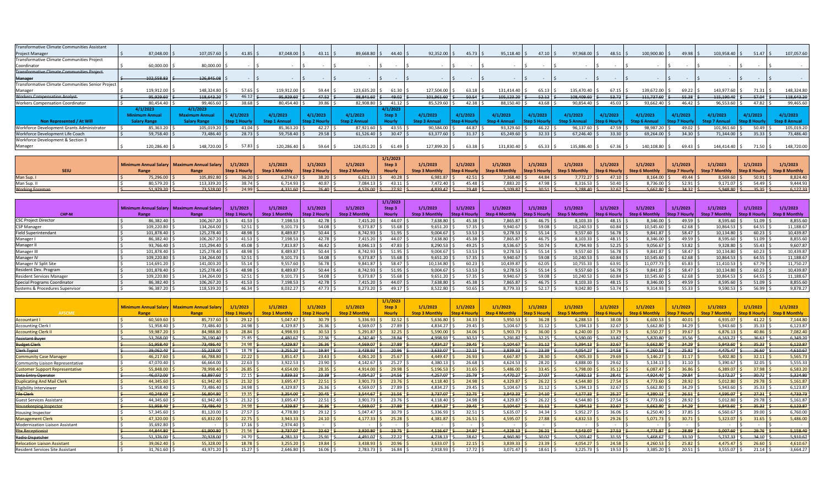| <b>Transformative Climate Communities Assistant</b> |                       |                       |            |               |            |                |                   |                     |            |              |            |              |                |              |               |            |                       |               |
|-----------------------------------------------------|-----------------------|-----------------------|------------|---------------|------------|----------------|-------------------|---------------------|------------|--------------|------------|--------------|----------------|--------------|---------------|------------|-----------------------|---------------|
| Project Manager                                     | 87,048.00 \$          | 107,057.60 \$         | $41.85$ \$ | 87,048.00 \$  | $43.11$ \$ | 89,668.80 \$   | 44.40S            | 92,352.00           | $45.73$ \$ | 95,118.40 \$ | $47.10$ \$ | 97,968.00 \$ | $48.51$ \$     | 100,900.80   | 49.98         | 103,958.40 | 51.47S                | 107,057.60    |
| Transformative Climate Communities Project          |                       |                       |            |               |            |                |                   |                     |            |              |            |              |                |              |               |            |                       |               |
| Coordinator                                         | 60,000.00 \$          | 80,000.00             |            |               |            |                |                   |                     |            |              |            |              |                |              |               |            |                       |               |
| <b>Transformative Climate Communities Project-</b>  |                       |                       |            |               |            |                |                   |                     |            |              |            |              |                |              |               |            |                       |               |
| Manager                                             | $-102,558.83$ \$      | 126,845.08            |            |               |            |                |                   |                     |            |              |            |              |                |              |               |            |                       |               |
| Transformative Climate Communities Senior Project   |                       |                       |            |               |            |                |                   |                     |            |              |            |              |                |              |               |            |                       |               |
| Manager                                             | 119,912.00            | 148,324.80            | 57.65      | 119,912.00 \$ | 59.44      | 123,635.20 \$  | $61.30$ \$        | 127,504.00          | 63.18      | 131,414.40   | 65.13      | 135,470.40   | $67.15$ \$     | 139,672.00   | 69.22         | 143,977.60 | $71.31$ $\frac{1}{2}$ | 148,324.80    |
| <b>Workers Compensation Analyst-</b>                | 95,929.60             | 118.643.20            | 46.12      | 95,929.60     | 47.52 l S  | $98.841.60$ \$ | $-49.02$ \$       | $101,961.60$ \      | $-50.54$   | 105,123.20   | $-52.12$   | 108,409.60   | $-53.72$       | 111,737.60   | $-55.38$      | 115,190.40 | $-57.04$              | 118,643.20    |
| <b>Workers Compensation Coordinator</b>             | 80,454.40 \$          | 99,465.60             | 38.68      | 80,454.40     | 39.86 \$   | 82,908.80 \$   | $41.12$ \$        | 85,529.60           | 42.38      | 88,150.40    | 43.68      | 90,854.40    | 45.03          | 93,662.40    | 46.42         | 96,553.60  | $47.82$ \$            | 99,465.60     |
|                                                     | 4/1/2023              | 4/1/2023              |            |               |            |                | 4/1/2023          |                     |            |              |            |              |                |              |               |            |                       |               |
|                                                     | <b>Minimum Annual</b> | <b>Maximum Annual</b> | 4/1/202    | 4/1/2023      | 4/1/2023   | 4/1/2023       | Step <sub>3</sub> | 4/1/2023            | 4/1/2023   | 4/1/2023     | 4/1/2023   | 4/1/2023     | 4/1/2023       | 4/1/2023     | 4/1/2023      | 4/1/2023   | 4/1/2023              | 4/1/2023      |
| Non Represented / At Will                           | <b>Salary Range</b>   | <b>Salary Range</b>   |            |               |            |                |                   | <b>Step 3 Annua</b> |            |              |            |              |                |              |               |            |                       | Step 8 Annual |
| Workforce Development Grants Administrator          | 85,363.20 \$          | 105,019.20            | 41.04      | 85,363.20     | 42.27      | 87,921.60      | $43.55$ \$        | 90,584.00           | 44.87      | 93,329.60    | 46.22      | 96,137.60 \$ | $47.59$ \$     | 98,987.20 \$ | 49.02         | 101,961.60 | $50.49$ \$            | 105,019.20    |
| Workforce Development Life Coach                    | 59,758.40 \$          | 73,486.40             | 28.73      | 59,758.40     | $29.58$ S  | $61,526.40$ \$ | $30.47$ \$        | 63,377.60           | 31.37      | 65,249.60    | 32.33      | 67,246.40    | $33.30$ $\leq$ | 69,264.00    | $34.30$ $\pm$ | 71,344.00  | $35.33$ $\frac{1}{2}$ | 73,486.40     |
| Workforce Development & Section 3                   |                       |                       |            |               |            |                |                   |                     |            |              |            |              |                |              |               |            |                       |               |
| Manager                                             | 120,286.40 \$         | 148,720.00 \$         | $57.83$ S  | 120,286.40 \$ | 59.64      | 124,051.20 \$  | $61.49$ \$        | 127,899.20          | 63.38      | 131,830.40   | $65.33$ :  | 135,886.40   | $67.36$ \$     | 140,108.80   | $69.43$ \ 5   | 144,414.40 | $71.50$ \$            | 148,720.00    |

|                        |                |                                                          |               |                       |               |                       | 1/1/2023                                                                  |                                                                                                                                                                 |              |               |            |               |             |                |              |               |                       |          |
|------------------------|----------------|----------------------------------------------------------|---------------|-----------------------|---------------|-----------------------|---------------------------------------------------------------------------|-----------------------------------------------------------------------------------------------------------------------------------------------------------------|--------------|---------------|------------|---------------|-------------|----------------|--------------|---------------|-----------------------|----------|
|                        |                | Minimum Annual Salary   Maximum Annual Salary   1/1/2023 |               | 1/1/2023              | 1/1/2023      | 1/1/2023              | Step 3                                                                    | 1/1/2023                                                                                                                                                        | 1/1/2023     | 1/1/2023      | 1/1/2023   | 1/1/2023      | 1/1/2023    | 1/1/2023       | 1/1/2023     | 1/1/2023      | 1/1/2023              | 1/1/2023 |
|                        |                |                                                          | Step 1 Hourly | <b>Step 1 Monthly</b> | Step 2 Hourly | <b>Step 2 Monthly</b> | <b>Hourly</b>                                                             | Step 3 Monthly Step 4 Hourly Step 4 Monthly Step 5 Hourly Step 5 Monthly Step 6 Hourly Step 6 Monthly Step 7 Hourly Step 7 Monthly Step 8 Hourly Step 8 Monthly |              |               |            |               |             |                |              |               |                       |          |
| Man Sup. I             | 75,296.00 \$   | 105,892.80 \$                                            | $36.20$ \$    | $6,274.67$ \$         | $38.20$ \$    | $6,621.33$ \$         | $40.28$ \$                                                                | 6,981.87 \$                                                                                                                                                     | $42.51$   \$ | 7,368.40 \$   | $44.84$ \$ | $7,772.27$ \$ | $47.10$ \$  | $8,164.00$ \$  | $49.44$ \ \$ | 8,569.60 \$   | $50.91$ $\frac{2}{3}$ | 8.824.40 |
| Man Sup. II            | 80,579.20 \$   | 113,339.20 5                                             | $38.74$ S     | 6,714.93 \$           | $40.87$ S     | 7,084.13 \$           | $43.11$ \$                                                                | 7,472.40 \$                                                                                                                                                     | 45.48        | 7,883.20 \$   | $47.98$ \$ | $8,316.53$ \$ | $50.40$ \$  | 8,736.00 \$    | $52.91$ \$   | 9,171.07      | $54.49$ \$            | 9.444.93 |
| <b>Working Foreman</b> | $51.979.20$ \$ | 73,528.00                                                | $24.99$ \$    | $4,331.60$ \$         | $26.40$ \$    |                       | $-4,576.00$ $\left  \right. \right.$ \$ 27.92 $\left  \right. \right.$ \$ | $4,839.47$ \$                                                                                                                                                   | $-29.48$ \$  | $5,109.87$ \$ | $30.51$ \$ | $5,288.40$ \$ | $-32.67$ \$ | $-5,662.80$ \$ | $34.32$ \$   | $5,948.80$ \$ | $-35.35$ \$           | 6,127,33 |

|                                  |            |                                               |                      |                       |               |                       | 1/1/2023   |                       |                        |           |          |                       |          |                       |                      |                       |                      |                       |
|----------------------------------|------------|-----------------------------------------------|----------------------|-----------------------|---------------|-----------------------|------------|-----------------------|------------------------|-----------|----------|-----------------------|----------|-----------------------|----------------------|-----------------------|----------------------|-----------------------|
|                                  |            | Minimum Annual Salary   Maximum Annual Salary | 1/1/2023             | 1/1/2023              | 1/1/2023      | 1/1/2023              | Step 3     | 1/1/2023              | 1/1/2023               | 1/1/2023  | 1/1/2023 | 1/1/2023              | 1/1/2023 | 1/1/2023              | 1/1/2023             | 1/1/2023              | 1/1/2023             | 1/1/2023              |
| CHP-M                            | Range      | Range                                         | <b>Step 1 Hourly</b> | <b>Step 1 Monthly</b> | Step 2 Hourly | <b>Step 2 Monthly</b> | Hourly     | <b>Step 3 Monthly</b> | <b>Step 4 Hourly L</b> |           |          | <b>Step 5 Monthly</b> |          | <b>Step 6 Monthly</b> | <b>Step 7 Hourly</b> | <b>Step 7 Monthly</b> | <b>Step 8 Hourly</b> | <b>Step 8 Monthly</b> |
| <b>CSC Project Director</b>      | 86,382.40  | 106,267.20                                    | 41.53                | 7,198.53 \$           | 42.78         | 7,415.20 \$           | $44.07$ S  | 7,638.80              | $45.38$ :              | 7,865.87  | 46.75    | 8,103.33              | 48.15 :  | 3,346.00              | 49.59                | 8,595.60              | 51.09                | 8,855.60              |
| <b>CSP Manager</b>               | 109,220.80 | 134,264.00                                    | 52.51                | $9,101.73$ \$         | 54.08         | $9,373.87$ \$         | 55.68      | 9,651.20              | $57.35$ \,             | 9,940.67  | 59.08    | 10,240.53             | 60.84    | 10,545.60             | 62.68                | 10,864.53             | 64.55                | 11,188.67             |
| <b>Field Superintendant</b>      | 101,878.40 | 125,278.40                                    | 48.98                | 8,489.87 \$           | $50.44$ $\pm$ | $8,742.93$ \$         | $51.95$ \$ | 9,004.67              | 53.53                  | 9,278.53  | 55.14    | 9,557.60 \$           | 56.78 :  | 9,841.87              | 58.47                | 10,134.80             | 60.23                | 10,439.87             |
| Manager I                        | 86,382.40  | 106,267.20                                    | 41.53                | 7,198.53 \$           | 42.78         | 7,415.20 \$           | 44.07 \$   | 7,638.80              | $45.38$ \$             | 7,865.87  | 46.75    | $8,103.33$ ;          | 48.15 :  | 3,346.00              | 49.59                | 8,595.60              | 51.09                | 8,855.60              |
| Manager II                       | 93,766.40  | 115,294.40                                    | 45.08                | $7,813.87$ \$         | 46.42         | $8,046.13$ \$         | $47.83$ \$ | 8,290.53              | 49.25                  | 8,536.67  | 50.74    | 8,794.93              | 52.25    | 9,056.67              | 53.82                | 9,328.80              | 55.43                | 9,607.87              |
| Manager III                      | 101,878.40 | 125,278.40                                    | 48.98                | 8,489.87              | 50.44         | 8,742.93 \$           | 51.95      | 9,004.67              | $53.53$ \,             | 9,278.53  | 55.14    | 9,557.60              | 56.78    | 9,841.87              | 58.47                | 10,134.80             | 60.23                | 10,439.87             |
| Manager IV                       | 109,220.80 | 134,264.00                                    | 52.51                | $9,101.73$ \$         | 54.08         | $9,373.87$ \$         | $55.68$ :  | 9,651.20              | 57.35                  | 9,940.67  | 59.08    | 10,240.53             | 60.84    | 10,545.60             | 62.68                | 10,864.53             | 64.55                | 11,188.67             |
| Manager IV Split Site            | 114,691.20 | 141,003.20                                    | 55.14                | 9,557.60              | 56.78         | 9,841.87 \$           | 58.47 \$   | 10,134.80             | 60.23                  | 10,439.87 | 62.05    | 10,755.33             | 63.91    | 11,077.73             | 65.83                | 11,410.53             | 67.79                | 11,750.27             |
| Resident Dev. Program            | 101,878.40 | 125,278.40                                    | 48.98                | 8,489.87 \$           | 50.44         | 8,742.93 \$           | $51.95$ \$ | 9,004.67              | 53.53                  | 9,278.53  | 55.14    | $9,557.60$ \$         | 56.78    | 9,841.87              | 58.47                | 10,134.80             | 60.23                | 10,439.87             |
| <b>Resident Services Manager</b> | 109,220.80 | 134,264.00                                    | 52.51                | 9,101.73              | 54.08         | 9,373.87              | 55.68 5    | 9,651.20              | $57.35$ \ \$           | 9,940.67  | 59.08    | 10,240.53             | 60.84    | 10,545.60             | 62.68                | 10,864.53             | 64.55                | 11,188.67             |
| Special Programs Coordinator     | 86,382.40  | 106,267.20                                    | 41.53                | 7,198.53 \$           | 42.78         | $7,415.20$ \$         | 44.07 \$   | 7,638.80              | $45.38$ \$             | 7,865.87  | 46.75    | 8,103.33              | 48.15    | 8,346.00              | 49.59                | 8,595.60              | 51.09                | 8,855.60              |
| Systems & Procedures Supervisor  | 96,387.20  | 118,539.20                                    | 46.34                | 8,032.27 \$           | 47.73         | $8,273.20$ \$         | $49.17$ \$ | 8,522.80              | 50.65                  | 8.779.33  |          | 9,042.80 \$           | 53.74    | ),314.93              | 55.33                | 9,590.55              | 56.99                | 9,878.27              |

|                                         |           |                                               |                     |                       |                                     |                       | 1/1/2023          |                       |             |                |                      |                       |                     |                       |                      |                       |                     |                       |
|-----------------------------------------|-----------|-----------------------------------------------|---------------------|-----------------------|-------------------------------------|-----------------------|-------------------|-----------------------|-------------|----------------|----------------------|-----------------------|---------------------|-----------------------|----------------------|-----------------------|---------------------|-----------------------|
|                                         |           | Minimum Annual Salary   Maximum Annual Salary | 1/1/2023            | 1/1/2023              | 1/1/2023                            | 1/1/2023              | Step <sub>3</sub> | 1/1/2023              | 1/1/2023    | 1/1/2023       | 1/1/2023             | 1/1/2023              | 1/1/2023            | 1/1/2023              | 1/1/2023             | 1/1/2023              | 1/1/2023            | 1/1/2023              |
| <b>AFSCME</b>                           | Range     | Range                                         | <b>Step 1 Hourh</b> | <b>Step 1 Monthly</b> | <b>Step 2 Houri</b>                 | <b>Step 2 Monthly</b> | <b>Hourly</b>     | <b>Step 3 Monthly</b> | Step 4 Hour | Step 4 Monthly | <b>Step 5 Hourly</b> | <b>Step 5 Monthly</b> | <b>Step 6 Hourh</b> | <b>Step 6 Monthly</b> | <b>Step 7 Hourly</b> | <b>Step 7 Monthly</b> | <b>Step 8 Hourk</b> | <b>Step 8 Monthly</b> |
| <b>Accountant I</b>                     | 60,569.60 | 85,737.60                                     | 29.12               | $5.047.47$ :          | 30.79                               | 5,336.93              | 32.52             | 5.636.80              | 34.33       | 5,950.53       | 36.28                | 6.288.53              | 38.08               | 6,600.53              | 40.01                | 6.935.07              | $41.22$ $\pm$       | 7,144.80              |
| Accounting Clerk                        | 51,958.40 | 73,486.40                                     | 24.98               | 4,329.87              | $26.36$ :                           | 4.569.07              | 27.89             | 4.834.27              | 29.45       | 5,104.67       | 31.12                | 5,394.13              | 32.67               | 5,662.80              | 34.29                | 5,943.60              | 35.33               | 6,123.87              |
| <b>Accounting Clerk II</b>              | 59,987.20 | 84,988.80                                     | 28.84               | 4,998.93              | $30.53$ S                           | 5,291.87              | 32.25             | 5.590.00              | 34.06       | 5.903.73       | 36.00                | 6,240.00              | 37.79               | 6,550.27              | 39.67                | 6,876.13              | 40.86               | 7,082.40              |
| <b>Assistant Buver</b>                  | 53,768.00 | 76,190.40                                     | 25.85               | 4.480.67              | $-27.36$ \$                         | 4.742.40              | $-28.84$          | 4.998.93              | 30.53       | 5,291.87       | $-32.25$             | 5,590.00              | 33.87               | 5.870.80              | $-35.56$             | 6,163.73              | 36.63               | 6,349.20              |
| <b>Budget Clerk</b>                     | 51,958.40 | 73,486.40                                     | 24.98               | 4,329.87              | $26.36$ \$                          | 4,569.07              | $-27.89$          | 4,834.27              | 29.45       | 5,104.67       | $-31.12$             | 5.394.13              | $-32.67$            | 5,662.80              | $-34.29$             | 5,943.60              | 35.33               | 6,123.87              |
| Clerk Typist                            | 39,062.40 | 55,328.00                                     | 18.78               | 3.255.20              | 19.84                               | 3.438.93              | $-20.96$          | 3.633.07              | $-22.15$    | 3.839.33       | -23.39               | 4.054.27              | 24.58               | 4.260.53              | 25.82                | 4.475.47              | 26.60               | 4.610.67              |
| <b>Community Case Manager</b>           | 46,217.60 | 66,788.80                                     | 22.22               | 3,851.47              | $23.43$ $\overline{\phantom{1}}$ \$ | 4,061.20              | $25.67$ \$        | 4,449.47              | 26.93       | 4,667.87       | 28.30                | 4,905.33              | 29.69               | 5,146.27              | 31.17                | 5,402.80              | 32.11               | 5,565.73              |
| Community Liaison Representative        | 47,070.40 | 66,664.00                                     | 22.63               | 3,922.53              | 23.90 \$                            | 4,142.67              | 25.27             | 4,380.13              | 26.68       | 4,624.53       | 28.20                | 4,888.00              | 29.62               | 5,134.13              | $31.10$ 5            | 5,390.67              | 32.05               | 5,555.33              |
| <b>Customer Support Representative</b>  | 55,848.00 | 78,998.40                                     | 26.85               | 4,654.00              | $28.35$ S                           | 4,914.00              | 29.98             | 5,196.53              | 31.65       | 5,486.00       | 33.45                | 5,798.00              | 35.12               | 6,087.47              | 36.86                | 6,389.07              | 37.98               | 6,583.20              |
| Data Entry Operator                     | 46.072.00 | 63.897.60                                     | 22.15               | 3.839.33              | 23.39                               | 4.054.27              | $-24.56$          | 4.257.07              | 25.79       | 4.470.27       | $-27.07$             | 4,692.13              | 28.41               | 4.924.40              | 29.84                | 5.172.27              | $-30.72$            | 5,324.80              |
| <b>Duplicating And Mail Clerk</b>       | 44,345.60 | 61,942.40                                     | 21.32               | 3,695.47              | $22.51$ S                           | $3,901.73$ \$         | 23.76             | 4,118.40              | 24.98       | 4,329.87       | 26.22                | 4,544.80              | 27.54               | 4,773.60              | 28.92                | 5,012.80              | 29.78 9             | 5,161.87              |
| Eligibility Interviewer                 | 51,958.40 | 73,486.40                                     | 24.98               | 4,329.87              | 26.36                               | 4,569.07              | 27.89             | 4.834.27              | 29.45       | 5,104.67       | 31.12                | 5,394.13              | 32.67               | 5,662.80              | 34.29                | 5,943.60              | 35.33               | 6,123.87              |
| <b>File Clerk</b>                       | 40,248.00 | 56,804.80                                     | 19.35               | $-3,354.00$           | $-20.45$ \$                         | 3,544.67              | $-21.56$          | 3,737.07              | $-22.75$    | 3,943.33       | $-24.10$             | 4,177.33              | 25.27               | 4,380.13              | $-26.51$             | 4,595.07              | $-27.31$            | $-4,733.73$           |
| Guest Services Assistant                | 44,345.60 | 61,942.40                                     | 21.32               | 3,695.47              | $22.51$ $\pm$                       | 3,901.73              | 23.76             | 4,118.40              | 24.98       | 4,329.87       | 26.22                | 4.544.80              | 27.54               | 4,773.60              | 28.92                | 5,012.80              | 29.78               | 5,161.87              |
| <b>Housekeeping Inspector</b>           | 51,958.40 | 73,486.40                                     | 24.98               | 4.329.87              | 26.36                               | 4.569.07              | $-27.89$          | 4.834.27              | 29.45       | 5,104.67       | $-31.12$             | 5.394.13              | $-32.67$            | 5,662.80              | $-34.29$             | 5.943.60              | 35.33               | 6,123.87              |
| Housing Inspector                       | 57,345.60 | 81,120.00                                     | 27.57               | 4,778.80              | $29.12$ \$                          | 5.047.47              | 30.79             | 5,336.93              | 32.51       | 5,635.07       | 34.34                | 5,952.27              | 36.06               | 6,250.40              | 37.85                | 6,560.67              | 39.00               | 6,760.00              |
| <b>Management Clerk</b>                 | 47,320.00 | 65,832.00                                     | 22.75               | 3,943.33              | $24.10$ \$                          | 4,177.33              | 25.28             | 4,381.87              | 26.51       | 4,595.07       | 27.88                | 4,832.53              | 29.26               | 5,071.73              | 30.71                | 5,323.07              | $31.65$ \$          | 5,486.00              |
| <b>Modernization Liaison Assistant</b>  | 35,692.80 |                                               | 17.16               | 2,974.40              |                                     |                       |                   |                       |             |                |                      |                       |                     |                       |                      |                       |                     |                       |
| <b>Pbx Receptionist</b>                 | 44,844.80 | 61,900.80                                     | 21.56               | 3,737.07              | $22.62$ \$                          | 3,920.80              | $-23.75$          | 4,116.67              | 24.97       | 4.328.13       | $-26.21$             | 4,543.07              | 27.53               | 4,771.87              | 28.89                | 5,007.60              | $-29.76$            | 5,158.4               |
| <b>Radio Dispatcher</b>                 | 51,376.00 | 70,928.00                                     | 24.70               | 4.281.33              | 25.91                               | 4,491.07              | $-27.22$          | 4.718.13              | $-28.62$    | 4.960.80       | 30.02                | 5.203.47              | $-31.55$            | 5,468.67              | $-33.10$ 8           | 5,737.33              | $-34.10$            | 5,910.67              |
| <b>Relocation Liaison Assistant</b>     | 39,062.40 | 55,328.00                                     | 18.78               | 3,255.20              | $19.84$ \$                          | $3,438.93$ \$         | 20.96             | 3.633.07              | 22.15       | 3.839.33       | 23.39                | 4,054.27              | 24.58               | 4,260.53              | 25.82                | 4,475.47              | 26.60               | 4,610.67              |
| <b>Resident Services Site Assistant</b> | 31,761.60 | 43,971.20                                     | 15.27               | 2,646.80              | $16.06$ \$                          | 2,783.73 \$           | 16.84             | 2,918.93              | 17.72       | 3.071.47       | 18.61                | 3,225.73              | 19.53               | 3,385.20              | 20.51                | 3,555.07              | 21.14               | 3,664.27              |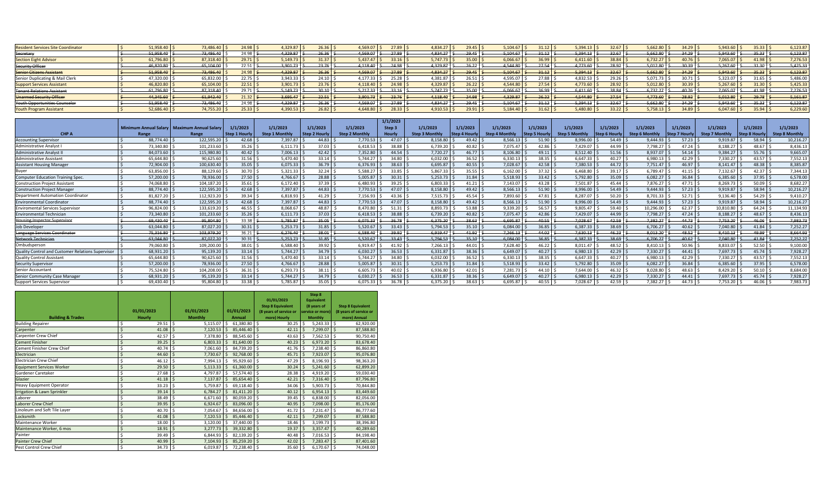| <b>Resident Services Site Coordinator</b> | 51.958.40 | 73,486.40 | 24.98         | 4.329.87 | 26.36      | 4.569.07      | 27.89    | 4.834.27 | 29.45     | 5.104.67     | 31.12     | 5.394.13 | 32.67                  | 5,662.80                   |                            | 5.943.60 | 35.33             | 6.123.87 |
|-------------------------------------------|-----------|-----------|---------------|----------|------------|---------------|----------|----------|-----------|--------------|-----------|----------|------------------------|----------------------------|----------------------------|----------|-------------------|----------|
| Secretary                                 | 51.958.40 | 73,486.46 | 24.98         | 4.329.87 | 26.36      | 4.569.07      | 27.89    | 4.834.27 | 29.45     | 5,104.67     | 31.12     | 3.394.13 | 32.67                  | 5,662.80                   | 34.29                      | 5.943.60 | $35.33 -$         | 6,123.87 |
| <b>Section Eight Advisor</b>              | 61,796.80 | 87,318.40 | 29.71         | 5,149.73 | $21.37$ .  | 5,437.47      | 33.16    | 5,747.73 | 35.00     | 6,066.67     | 36.99     | 5,411.60 | 38.84                  | $6,732.27$   $\rightarrow$ |                            | 7,065.07 | 11.98             | 7,276.5  |
| <b>Security Officer</b>                   | 46.820.80 | 65.104.00 | 22.51         | 3.901.73 | $23.76$ S  | 4.118.40      | 24.98    | 4.329.87 | 26.22     | 4.544.80     | 27.54     | 1.773.60 | 28.92                  | 5.012.80                   | 30.39                      | 5.267.6  | 31.30             | 5,425.33 |
| <b>Senior Citizens Assistant</b>          | 51,958.40 | 73,486.40 | 24.98         | 4.329.87 | $26.36$ \$ | $4.569.07$ \$ | 27.89    | 4.834.27 | 29.45     | $5.104.67$ > | 31.12     | 5.394.13 | 32.67                  | 5.662.80                   | 34.29                      | 5.943.60 | $35.33 \text{ h}$ | 6,123.87 |
| Senior Duplicating & Mail Clerk           | 47,320.0  | 65,832.0  | 22.75         | 3.943.33 |            | 4.177.33      | 25.28    | 4,381.87 | $76.51 -$ | 4,595.07     | 27.88     | 4,832.53 | 29.26                  | 5,071.73                   |                            | 5,323.0  | 31.65             | 5,486.00 |
| <b>Support Services Assistant</b>         | 16.820.80 | 65,104.00 | 22.51         | 3,901.73 | 23.76      | 4.118.40      | 24.98    | 4.329.87 | 26.22     | 4.544.80     | 27.54     | 1.773.60 | 28.92                  | 5,012.80                   | 0.39                       | 5.267.60 | 31.30             | 5,425.3  |
| <b>Tenant Relations Assistant</b>         | 61,796.80 | 87,318.40 | 29.71         | 5,149.73 |            | 5.217.33      | $-33.16$ | 5.747.73 | 35.00     | $-6,066.67$  | 36.99     | 6,411.60 | 38.84                  | 6,732.27                   | 0.07<br>4 <del>11.70</del> | 7.065.07 | 41.98             | 7,276.53 |
| Unarmed Security Officer                  | 44.345.66 | 61.942.40 | 21.32 S       | 3.695.47 | 22.51 S    | $3.901.73$ \$ | $-23.76$ | 4.118.40 | 24.98     | 4.329.87     | 26.22     | 1.544.80 | 27.54                  | 4.773.60                   | 28.92                      | 5.012.80 | $-29.78$          | 5,161.87 |
| Youth Opportunities Counselor             | 51.958.40 | 73,486.40 | 24.98         | 4.329.87 | $26.36$ \$ | $4.569.07$ \$ | 27.89    | 4.834.27 | 29.45     | 5.104.67     | 34.12     | 5.394.13 | 32.67                  | $-5.662.80$                | 34.29                      | 5.943.60 | 35.33             | 6,123.87 |
| <b>Youth Program Assistant</b>            | 52,686,40 | 74,755.20 | $25.33$ $\pm$ | 4.390.53 | 26.82      | 4.648.80      | 28.33    | 4,910.53 | 79.91     | 5,184.40     | $31.62$ : | 5.480.80 | $33.22$ $\blacksquare$ | 5.758.13                   | 34.89                      | 6.047.60 | 35.94             | 6.229.60 |

|                                                   |           |                                               |                     |                       |                     |                     | 1/1/2023      |                     |               |                |                     |                       |                      |                       |                      |                       |              |                       |
|---------------------------------------------------|-----------|-----------------------------------------------|---------------------|-----------------------|---------------------|---------------------|---------------|---------------------|---------------|----------------|---------------------|-----------------------|----------------------|-----------------------|----------------------|-----------------------|--------------|-----------------------|
|                                                   |           | Minimum Annual Salary   Maximum Annual Salary | 1/1/2023            | 1/1/2023              | 1/1/2023            | 1/1/2023            | Step 3        | 1/1/2023            | 1/1/2023      | 1/1/2023       | 1/1/2023            | 1/1/2023              | 1/1/2023             | 1/1/2023              | 1/1/2023             | 1/1/2023              | 1/1/2023     | 1/1/2023              |
| CHP A                                             | Range     | Range                                         | <b>Step 1 Hourh</b> | <b>Step 1 Monthly</b> | <b>Step 2 Hourh</b> | <b>Step 2 Month</b> | <b>Hourly</b> | <b>Step 3 Month</b> | Step 4 Hourly | Step 4 Monthly | <b>Step 5 Hourk</b> | <b>Step 5 Monthly</b> | <b>Step 6 Hourly</b> | <b>Step 6 Monthly</b> | <b>Step 7 Hourly</b> | <b>Step 7 Monthly</b> | Step 8 Hourl | <b>Step 8 Monthly</b> |
| <b>Accounting Supervisor</b>                      | 88.774.40 | 122.595.20                                    | 42.68               | 7.397.87              | 44.83               | 7.770.53            | 47.07         | 8.158.80            | 49.42         | 8.566.13       | 51.90               | 8.996.00              | 54.49                | 9.444.93              | 57.23                | 9.919.87              | 58.94        | 10,216.27             |
| <b>Administrative Analyst</b>                     | 73.340.80 | 101,233.60                                    | 35.26               | 6.111.73              | 37.03               | 6.418.53            | 38.88         | 6.739.20            | 40.82         | 7,075.47       | 42.86               | 7,429.07              | 44.99                | 7,798.27              | 47.24                | 8.188.27              | 48.67        | 8,436.13              |
| <b>Administrative Analyst</b>                     | 84,073.60 | 115,980.80                                    | 40.42               | 7,006.13              | 42.42               | 7,352.80            | 44.54         | 7,720.27            | $46.77$ S     | 8,106.80       | 49.11               | 8,512.40              | 51.56                | 8,937.07              | 54.14                | 9,384.27              | 55.76        | 9,665.0               |
| Administrative Assistant                          | 65.644.80 | 90,625.60                                     | 31.56               | 5.470.40              | 33.14 9             | 5.744.27            | 34.80         | 6.032.00            | 36.52         | 6.330.13       | 38.35               | 6.647.33              | 40.27                | 6.980.13              | 42.29                | 7.330.27              | 43.57        | 7,552.1               |
| <b>Assistant Housing Manager</b>                  | 72.904.00 | 100,630.40                                    | $35.05$ \;          | 6.075.33              | $36.79$ \$          | 6.376.93            | 38.63         | 6,695.87            | 40.55         | 7,028.67       | 42.58               | 7,380.53              | 44.72                | 7,751.47              | 46.97                | 8.141.47              | 48.38        | 8,385.87              |
| Buyer                                             | 63.856.00 | 88,129.60                                     | 30.70               | 5.321.33              | $32.24$ $\pm$       | 5.588.27            | 33.85         | 5.867.33            | 35.55         | 6.162.00       | 37.32               | 6.468.80              | 39.17                | 6.789.47              | 41.15                | 7.132.67              | 42.37        | 7.344.13              |
| <b>Computer Education Training Spec</b>           | 57.200.00 | 78.936.00                                     | 27.50               | 4.766.67              | 28.88               | 5.005.87            | 30.31         | 5.253.73            | 31.84         | 5.518.93       | 33.42               | 5.792.80              | 35.09                | 6.082.27              | 36.84                | 6.385.60              | 37.95        | 6,578.00              |
| <b>Construction Project Assistant</b>             | 74.068.80 | 104,187.20                                    | 35.61               | 6,172.40              | $37.39$ S           | 6.480.93            | 39.25         | 6.803.33            | 41.21         | 7.143.07       | 43.28               | 7,501.87              | 45.44                | 7,876.27              | 47.71                | 8.269.73              | 50.09        | 8,682.2               |
| <b>Construction Project Manager</b>               | 88.774.40 | 122,595.20                                    | 42.68               | 7.397.87              | $44.83$ $\pm$       | 7.770.53            | 47.07         | 8.158.80            | 49.42         | 8.566.13       | 51.90               | 8,996.00              | 54.49                | 9.444.93              | 57.23                | 9.919.87              | 58.94        | 10,216.27             |
| <b>Department Automation Coordinator</b>          | 81.827.20 | 112,923.20                                    | 39.34               | 6.818.93              | $41.29$ \$          | 7,156.93            | 43.36         | 7,515.73            | 45.54         | 7,893.60       | 47.81               | 8,287.07              | 50.20                | 8,701.33              | 52.71                | 9,136.40              | 54.29        | 9,410.27              |
| <b>Environmental Coordinator</b>                  | 88.774.40 | 122,595.20                                    | 42.68               | 7,397.87              | $44.83$ $\leq$      | 7.770.53            | 47.07         | 8,158.80            | 49.42         | 8,566.13       | 51.90               | 8,996.00              | 54.49                | 9.444.93              | 57.23                | 9,919.87              | 58.94        | 10,216.27             |
| <b>Enviromental Services Supervisor</b>           | 96.824.00 | 133,619.20                                    | 46.55               | 8.068.67              | 48.87               | 8.470.80            | 51.31         | 8,893.73            | 53.88         | 9,339.20       | 56.57               | 9,805.47              | 59.40                | 10,296.00             | 62.37                | 10,810.80             | 64.24        | 11,134.93             |
| <b>Environmental Technician</b>                   | 73.340.80 | 101,233.60                                    | 35.26               | 6.111.73              | $37.03$ S           | 6.418.53            | 38.88         | 6.739.20            | 40.82         | 7.075.47       | 42.86               | 7.429.07              | 44.99                | 7,798.27              | 47.24                | 8.188.27              | 48.67        | 8,436.13              |
| <b>Housing Inspector Supervisor</b>               | 69,430.40 | 95,804.80                                     | 33.38               | 5,785.87              | 35.05               | 6.075.33            | 36.78         | 6,375.20            | 38.63         | 6,695.87       | 40.55               | 7,028.67              | 42.59                | 7,382.27              | 44.73                | 7,753.20              | 46.06        | 7,983.73              |
| <b>Job Developer</b>                              | 63.044.80 | 87,027.20                                     | 30.31               | 5.253.73              | 31.85               | 5.520.67            | 33.43         | 5.794.53            | 35.10         | 6.084.00       | 36.85               | 6.387.33              | 38.69                | 6,706.27              | 40.62                | 7.040.80              | 41.84        | 7,252.2               |
| Language Services Coordinator                     | 75,316.80 | 103,979.20                                    | 36.21               | 6,276.40              | 38.01               | 6,588.40            | 39.92         | 6,919.47            | 41.92         | 7,266.13       | 44.02               | 7,630.13              | 46.23                | 8,013.20              | 48.52                | 8,410.13              | 49.99        | 8,664.93              |
| Network Technician                                | 63.044.80 | 87,027.20                                     | 30.31               | 5,253.73              | 31.85               | 5,520.67            | $-33.43$      | 5,794.53            | 35.10         | 6,084.00       | $-36.85$            | 6,387.33              | 38.69                | 6,706.27              | 40.62                | 7,040.80              | 41.84        | 7,252.27              |
| Ombudsperson                                      | 79,060.80 | 109,200.00                                    | 38.01               | 6.588.40              | 39.92               | 6.919.47            | 41.92         | 7,266.13            | 44.01         | 7,628.40       | 46.22               | 8,011.47              | 48.52                | 8,410.13              | 50.96                | 8,833.07              | 52.50        | 9,100.00              |
| Quality Control and Customer Relations Supervisor | 68,931.20 | 95,139.20                                     | 33.14               | 5.744.27              | $34.79$ S           | 6.030.27            | 36.53         | 6,331.87            | 38.36         | 6.649.07       | 40.27               | 6,980.13              | 42.29                | 7,330.27              | 44.41                | 7.697.73              | 45.74        | 7,928.27              |
| Quality Control Assistant                         | 65.644.80 | 90,625.60                                     | 31.56               | 5.470.40              | 33.14               | 5.744.27            | 34.80         | 6.032.00            | 36.52         | 6.330.13       | 38.35               | 6.647.33              | 40.27                | 6,980.13              | 42.29                | 7.330.27              | 43.57        | 7,552.1               |
| <b>Security Supervisor</b>                        | 57,200.00 | 78,936.00                                     | 27.50               | 4.766.67              | 28.88               | 5.005.87            | 30.31         | 5.253.73            | 31.84         | 5.518.93       | 33.42               | 5,792.80              | 35.09                | 6,082.27              | 36.84                | 6.385.60              | 37.95        | 6.578.00              |
| <b>Senior Accountant</b>                          | 75.524.80 | 104,208.00                                    | 36.31               | 6.293.73              | 38.11               | 6.605.73            | 40.02         | 6,936.80            | 42.01         | 7.281.73       | 44.10               | 7.644.00              | 46.32                | 8,028.80              | 48.63                | 8.429.20              | 50.10        | 8,684.00              |
| Senior Community Case Manager                     | 68.931.20 | 95,139.20                                     | 33.14               | 5.744.27              | $34.79$ S           | 6.030.27            | 36.53         | 6.331.87            | 38.36         | 6.649.07       | 40.27               | 6,980.13              | 42.29                | 7,330.27              | 44.41                | 7.697.73              | 45.74        | 7,928.27              |
| Support Services Supervisor                       | 69.430.40 | 95.804.80                                     | 33.38 L             | 5.785.87              | 35.05 L             | 6.075.33            |               | 6.375.20            | 38.63         | 6.695.87       | 40.55               | 7.028.67              | 42.59                | 382.27                | 44.73                | 7.753.20              | 46.06        | 7,983.73              |

|                                  |            |                                |                  |                                        | Step 8                           |                                                    |
|----------------------------------|------------|--------------------------------|------------------|----------------------------------------|----------------------------------|----------------------------------------------------|
|                                  |            |                                |                  | 01/01/2023<br><b>Step 8 Equivalent</b> | <b>Equivalent</b><br>(8 years of |                                                    |
|                                  | 01/01/2023 | 01/01/2023                     | 01/01/2023       | (8 years of service or                 | service or more)                 | <b>Step 8 Equivalent</b><br>(8 years of service or |
| <b>Building &amp; Trades</b>     | Hourly     | <b>Monthly</b>                 | Annual           | more) Hourly                           | <b>Monthly</b>                   | more) Annual                                       |
| <b>Building Repairer</b>         | Ś<br>29.51 | Ŝ.<br>5.115.07                 | Ŝ.<br>61.380.80  | -\$<br>30.25                           | $5,243.33$ \$<br>Ŝ.              | 62,920.00                                          |
| Carpenter                        | 41.08      | 7,120.53                       | 85,446.40        | 42.11<br>S                             | 7,299.07                         | 87,588.80<br>\$                                    |
|                                  |            | Ś                              |                  |                                        |                                  |                                                    |
| Carpenter Crew Chief             | 42.57<br>Ś | 7,378.80                       | 88,545.60<br>Ŝ.  | 43.63<br>-S                            | 7,562.53<br>Ŝ                    | 90,750.40<br>Ś                                     |
| <b>Cement Finisher</b>           | 39.25      | 6,803.33<br>Ś                  | 81,640.00        | 40.23<br>-S                            | 6,973.20                         | 83,678.40<br>Ŝ                                     |
| Cement Finisher Crew Chief       | 40.74      | Ś<br>7,061.60                  | 84,739.20<br>Ŝ   | 41.76<br>\$                            | 7,238.40<br>Ŝ.                   | 86,860.80<br>Ś                                     |
| Electrician                      | 44.60      | $\mathsf{\hat{S}}$<br>7,730.67 | 92,768.00        | 45.71<br>Ŝ.                            | 7,923.07<br>Ś                    | Ś<br>95,076.80                                     |
| <b>Electrician Crew Chief</b>    | 46.12      | Ś<br>7.994.13                  | 95,929.60<br>Š.  | \$<br>47.29                            | 8,196.93 \$<br>Ŝ.                | 98,363.20                                          |
| <b>Equipment Services Worker</b> | 29.50      | \$<br>5,113.33                 | 61,360.00        | 30.24<br>Ŝ.                            | $5,241.60$ \$<br>Ś               | 62,899.20                                          |
| Gardener Caretaker               | 27.68      | \$<br>4,797.87                 | Ś<br>57,574.40   | 28.38<br>\$                            | 4,919.20 \$<br>\$                | 59,030.40                                          |
| Glazier                          | 41.18      | Ŝ.<br>7,137.87                 | 85,654.40        | 42.21<br>Ŝ.                            | $7,316.40$ \$<br>Ś               | 87,796.80                                          |
| <b>Heavy Equipment Operator</b>  | 33.23      | \$<br>5,759.87                 | 69,118.40<br>Ŝ.  | 34.06<br>-\$                           | 5,903.73 \$<br>Ŝ.                | 70,844.80                                          |
| Irrigation & Lawn Sprinkler      | 39.14      | \$<br>6,784.27                 | 81,411.20<br>\$. | 40.12<br>-S                            | $6,954.13$ \$<br>Ŝ               | 83,449.60                                          |
| Laborer                          | 38.49      | Ś<br>6.671.60                  | 80,059.20<br>.S  | 39.45<br>-S                            | 6,838.00 \$<br>Ŝ                 | 82,056.00                                          |
| Laborer Crew Chief               | 39.95      | Ś<br>6,924.67                  | 83,096.00        | 40.95                                  | 7,098.00                         | 85,176.00<br>S                                     |
| Linoleum and Soft Tile Layer     | 40.70      | \$<br>7,054.67                 | 84,656.00<br>Ś   | 41.72<br>\$                            | 7,231.47<br>\$                   | 86,777.60<br>\$                                    |
| Locksmith                        | 41.08      | Ś<br>7,120.53                  | 85,446.40        | 42.11                                  | 7,299.07<br>S                    | 87,588.80<br>Ś                                     |
| Maintenance Worker               | 18.00      | Ś<br>3,120.00                  | 37,440.00<br>Ŝ.  | 18.46<br>\$                            | 3,199.73<br>Ś                    | Ś<br>38,396.80                                     |
| Maintenance Worker, 6 mos        | 18.91      | Ś<br>3,277.73                  | 39,332.80        | 19.37<br>Ŝ.                            | Ŝ.<br>3,357.47                   | 40,289.60<br>Ŝ.                                    |
| Painter                          | 39.49      | \$<br>6,844.93                 | Ś<br>82,139.20   | 40.48<br>\$                            | 7,016.53 \$<br>\$                | 84,198.40                                          |
| <b>Painter Crew Chief</b>        | 40.99      | Ś<br>7,104.93                  | 85,259.20        | 42.02<br>-S                            | 7,283.47<br>Ś                    | Ŝ.<br>87,401.60                                    |
| Pest Control Crew Chief          | $34.73$ \$ | 6.019.87                       | 72,238.40<br>Ŝ   | 35.60<br>l \$                          | $6,170.67$ \$<br>\$              | 74,048.00                                          |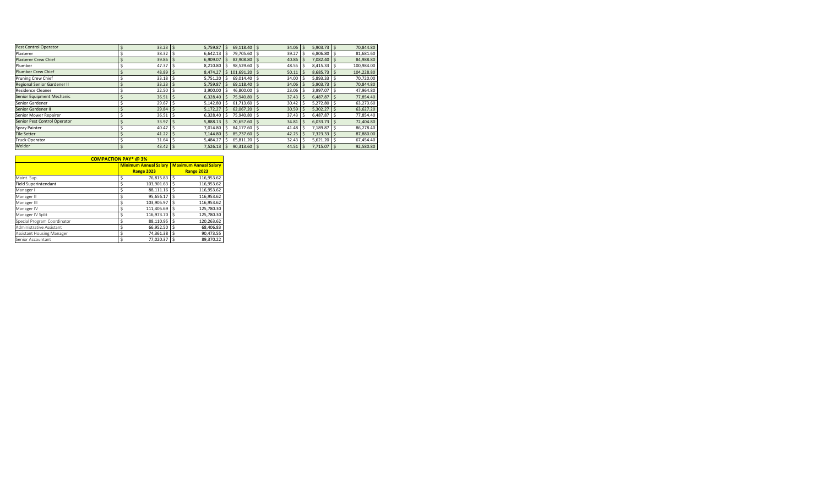| Pest Control Operator        | $33.23$ \$        | 5,759.87       | 69,118.40 \$     | 34.06 | 5,903.73    | 70,844.80<br>l \$ |
|------------------------------|-------------------|----------------|------------------|-------|-------------|-------------------|
| Plasterer                    | 38.32             | 6,642.13       | 79,705.60        | 39.27 | 6,806.80    | 81,681.60         |
| <b>Plasterer Crew Chief</b>  | 39.86             | 6.909.07       | 82,908.80 \$     | 40.86 | 7,082.40    | 84,988.80         |
| Plumber                      | 47.37             | 8,210.80<br>-S | 98,529.60 \$     | 48.55 | 8,415.33    | 100,984.00<br>ı s |
| <b>Plumber Crew Chief</b>    | $48.89$ \$        | 8,474.27       | $$101,691.20$ \$ | 50.11 | 8,685.73    | 104,228.80        |
| Pruning Crew Chief           | 33.18             | 5,751.20<br>S. | 69,014.40 \$     | 34.00 | 5,893.33    | 70,720.00         |
| Regional Senior Gardener II  | 33.23             | 5,759.87       | 69,118.40 \$     | 34.06 | 5,903.73    | 70,844.80         |
| <b>Residence Cleaner</b>     | 22.50             | 3,900.00       | 46,800.00 \$     | 23.06 | 3,997.07    | 47,964.80         |
| Senior Equipment Mechanic    | $36.51$ \$        | 6,328.40       | 75,940.80 \$     | 37.43 | 6,487.87    | 77,854.40         |
| Senior Gardener              | 29.67             | 5,142.80       | 61.713.60        | 30.42 | 5,272.80    | 63,273.60         |
| Senior Gardener II           | $29.84$ \$        | 5,172.27       | $62.067.20$ S    | 30.59 | 5,302.27    | 63,627.20<br>∣\$  |
| Senior Mower Repairer        | 36.51             | 6,328.40       | 75,940.80        | 37.43 | 6,487.87    | 77,854.40         |
| Senior Pest Control Operator | $33.97$ $\mid$ \$ | 5,888.13       | 70,657.60 \$     | 34.81 | 6,033.73    | 72,404.80<br>l S  |
| Spray Painter                | 40.47             | 7,014.80       | 84,177.60        | 41.48 | 7,189.87    | 86,278.40         |
| <b>Tile Setter</b>           | $41.22$ \$        | 7,144.80       | 85,737.60 \$     | 42.25 | 7,323.33 \$ | 87,880.00         |
| Truck Operator               | 31.64             | 5,484.27       | 65,811.20 \$     | 32.43 | 5,621.20    | 67,454.40         |
| Welder                       | $43.42 \mid$ \$   | 7,526.13       | $90,313.60$ \$   | 44.51 | 7,715.07 \$ | 92,580.80         |

|                             | <b>COMPACTION PAY* @3%</b>   |    |                              |
|-----------------------------|------------------------------|----|------------------------------|
|                             | <b>Minimum Annual Salary</b> |    | <b>Maximum Annual Salary</b> |
|                             | <b>Range 2023</b>            |    | <b>Range 2023</b>            |
| Maint. Sup.                 | 76,815.83<br>\$              | Ś  | 116,953.62                   |
| <b>Field Superintendant</b> | 103.901.63<br>\$             | Ś  | 116,953.62                   |
| Manager I                   | 88,111.16<br>\$              | Ś  | 116,953.62                   |
| Manager II                  | 95.656.17<br>\$              | Ś  | 116,953.62                   |
| Manager III                 | 103.905.97<br>\$             | Ś  | 116,953.62                   |
| Manager IV                  | \$<br>111,405.69             | Ś  | 125,780.30                   |
| Manager IV Split            | 116.973.70<br>\$             | Ś  | 125,780.30                   |
| Special Program Coordinator | 88,110.95<br>\$              | \$ | 120,263.62                   |
| Administrative Assistant    | Ś<br>66,952.50               | Ś  | 68,406.83                    |
| Assistant Housing Manager   | \$<br>74,361.38              | Ś  | 90,473.55                    |
| Senior Accountant           | Ś<br>77.020.37               | Ś  | 89.370.22                    |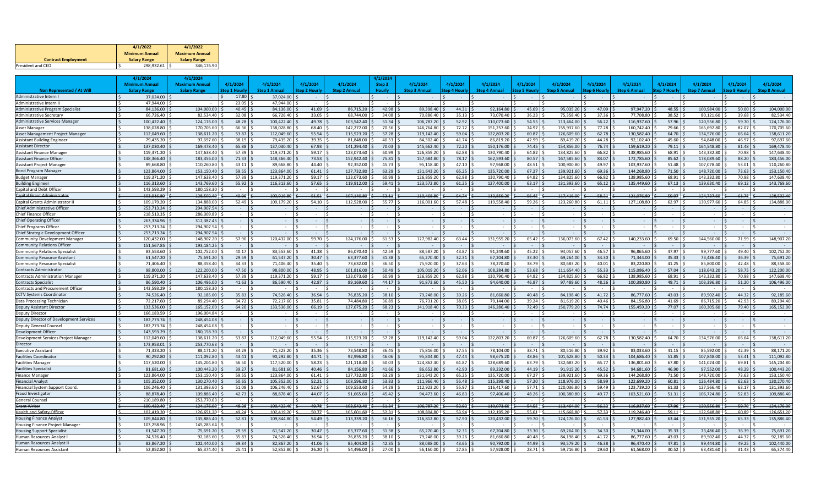|                            | 4/1/2022              | 4/1/2022              |
|----------------------------|-----------------------|-----------------------|
|                            | <b>Minimum Annual</b> | <b>Maximum Annual</b> |
| <b>Contract Employment</b> | <b>Salary Range</b>   | <b>Salary Range</b>   |
| President and CEO          | 298.932.61            | 346.176.90            |

|                                                                             | 4/1/2024                 | 4/1/2024                 |                |                          |                      |                          | 4/1/2024       |                          |                      |                          |                     |                          |                     |                          |                |                          |                |                         |
|-----------------------------------------------------------------------------|--------------------------|--------------------------|----------------|--------------------------|----------------------|--------------------------|----------------|--------------------------|----------------------|--------------------------|---------------------|--------------------------|---------------------|--------------------------|----------------|--------------------------|----------------|-------------------------|
|                                                                             | <b>Minimum Annua</b>     | <b>Maximum Annual</b>    | 4/1/2024       | 4/1/2024                 | 4/1/2024             | 4/1/2024                 | Step 3         | 4/1/2024                 | 4/1/2024             | 4/1/2024                 | 4/1/2024            | 4/1/2024                 | 4/1/2024            | 4/1/2024                 | 4/1/2024       | 4/1/2024                 | 4/1/2024       | 4/1/2024                |
| <b>Non Represented / At Will</b>                                            | <b>Salary Range</b>      | <b>Salary Range</b>      | Step 1 Hourly  | <b>Step 1 Annual</b>     | <b>Step 2 Hourly</b> | <b>Step 2 Annual</b>     | <b>Hourly</b>  | <b>Step 3 Annual</b>     | <b>Step 4 Hourly</b> | <b>Step 4 Annual</b>     | <b>Step 5 Hourl</b> | <b>Step 5 Annual</b>     | <b>Step 6 Hourl</b> | <b>Step 6 Annual</b>     | Step 7 Hourly  | <b>Step 7 Annual</b>     | Step 8 Hourh   | <b>Step 8 Annual</b>    |
| Administrative Intern I                                                     | 37,024.00                |                          | 17.80          | 37,024.00                |                      |                          | $\sim$         |                          |                      |                          |                     |                          |                     |                          |                |                          |                |                         |
| Administrative Intern II                                                    | 47.944.00                | $\sim$                   | 23.05          | 47.944.00                |                      | $\sim$                   |                | $\sim$                   |                      |                          |                     |                          |                     |                          |                |                          |                |                         |
| <b>Administrative Program Specialist</b>                                    | 84.136.00                | 104,000.00               | 40.45          | 84.136.00                | 41.69                | 86,715.20                | 42.98          | 89.398.40                | 44.31                | 92,164.80                | 45.69               | 95,035.20                | 47.09               | 97,947.20                | 48.55          | 100.984.00               | 50.00          | 104,000.00              |
| Administrative Secretary                                                    | 66,726.40                | 82,534.40                | 32.08          | 66.726.40                | 33.05                | 68.744.00                | 34.08          | 70.886.40                | 35.13                | 73,070.40                | 36.23               | 75,358.40                | 37.36               | 77,708.80                | 38.52          | 80,121.60                | 39.68          | 82,534.40               |
| <b>Administrative Services Manage</b>                                       | 100,422.40               | 124,176.00               | 48.28          | 100.422.40               | 49.78                | 103.542.40               | 51.34          | 106.787.20               | 52.92                | 110,073.60               | 54.55               | 113.464.00               | 56.22               | 116,937.60               | 57.96          | 120,556.80               | 59.70          | 124,176.00              |
| Asset Manager                                                               | 138,028.80               | 170,705.60               | 66.36          | 138,028.80               | 68.40                | 142,272.00               | 70.56          | 146,764.80               | 72.72                | 151,257.60               | 74.97               | 155,937.60               | 77.28               | 160,742.40               | 79.66          | 165,692.80               | 82.07          | 170,705.6               |
| Asset Management Project Manage                                             | 112,049.60               | 138,611.20               | 53.87          | 112,049.60               | 55.54                | 115,523.20               | 57.28          | 119,142.40               | 59.04                | 122,803.20               | 60.87               | 126,609.60               | 62.78               | 130,582.40               | 64.70          | 134,576.00               | 66.64          | 138,611.20              |
| <b>Assistant Building Engineer</b>                                          | 79,435.20                | 97.697.60                | 38.19          | 79,435.20                | 39.35                | 81.848.00                | 40.53          | 84,302.40                | 41.74                | 86,819.20                | 42.99               | 89,419.20                | 44.28               | 92,102.40                | 45.60          | 94.848.00                | 46.97          | 97,697.6                |
| <b>Assistant Director</b>                                                   | 137.030.40               | 169.478.40               | 65.88          | 137.030.40               | 67.93                | 141.294.40               | 70.03          | 145.662.40               | 72.20                | 150,176.00               | 74.45               | 154,856.00               | 76.74               | 159,619.20               | 79.11          | 164,548.80               | 81.48          | 169,478.4               |
| <b>Assistant Finance Manage</b>                                             | 119.371.20               | 147.638.40               | 57.39          | 119,371.20               | 59.17                | 123.073.60               | 60.99          | 126.859.20               | 62.88                | 130.790.40               | 64.82               | 134.825.60               | 66.82               | 138.985.60               | 68.91          | 143,332.80               | 70.98          | 147,638.4               |
| <b>Assistant Finance Officer</b>                                            | 148,366.40               | 183,456.00               | 71.33          | 148,366.40               | 73.53                | 152,942.40               | 75.81          | 157.684.80               | 78.17                | 162,593.60               | 80.57               | 167,585.60               | 83.07               | 172,785.60               | 85.62          | 178,089.60               | 88.20          | 183,456.00              |
| Assistant Project Manager                                                   | 89.668.80                | 110.260.80               | 43.11          | 89.668.80                | 44.40                | 92.352.00                | 45.73          | 95.118.40                | 47.10                | 97.968.00                | 48.51               | 100.900.80               | 49.97               | 103.937.60               | 51.48          | 107.078.40               | 53.01          | 110.260.80              |
| <b>Bond Program Manager</b>                                                 | 123,864.00               | 153,150.40               | 59.55          | 123,864.00               | 61.41                | 127,732.80               | 63.29          | 131,643.20               | 65.25                | 135,720.00               | 67.27               | 139,921.60               | 69.36               | 144,268.80               | 71.50          | 148,720.00               | 73.63          | 153,150.4               |
| <b>Budget Manage</b>                                                        | 119.371.20               | 147.638.40               | 57.39          | 119.371.20               | 59.17                | 123.073.60               | 60.99          | 126.859.20               | 62.88                | 130,790.40               | 64.82               | 134.825.60               | 66.82               | 138,985.60               | 68.91          | 143.332.80               | 70.98          | 147,638.4               |
| <b>Building Enginee</b>                                                     | 116.313.60               | 143,769.60               | 55.92          | 116,313.60               | 57.65                | 119,912.00               | 59.41          | 123,572.80               | 61.25                | 127,400.00               | 63.17               | 131,393.60               | 65.12               | 135,449.60               | 67.13          | 139,630.40               | 69.12          | 143,769.60              |
| Capital and Debt Officer                                                    | 143.593.29               | 180.158.30               |                |                          |                      |                          |                |                          |                      |                          |                     |                          |                     |                          |                |                          |                |                         |
| <b>Capital Grant Administrato</b>                                           | 103,916.80               | 128,502.40               | 49.96          | 103,916.80               | 51.51                | 107.140.80               | $-53.11$       | 110.468.80               | 54.74                | 113.859.20               | 56.45               | 117.416.00               | 58.21               | 121.076.80               | 59.97          | 124.737.60               | 61.78          | 128.502.40              |
| Capital Grants Administrator I                                              | 109,179.20               | 134.888.00               | 52.49          | 109,179.20               | 54.10                | 112,528.00               | 55.77          | 116,001.60               | 57.48                | 119,558.40               | 59.26               | 123,260.80               | 61.11               | 127,108.80               | 62.97          | 130,977.60               | 64.85          | 134,888.0               |
| Chief Administrative Officer                                                | 253.713.24               | 294.907.54               |                |                          |                      |                          |                |                          |                      |                          |                     |                          |                     |                          |                |                          |                |                         |
| <b>Chief Finance Officer</b>                                                | 218.513.35               | 286.309.89               | $\sim$         | $\sim$                   |                      | $\sim$                   |                | $\sim$                   |                      |                          |                     | $\sim$                   |                     | $\sim$                   |                |                          |                |                         |
| <b>Chief Operating Officer</b>                                              | 263.334.96               | 312.387.45               | $\sim$         | $\sim$                   |                      | $\sim$                   | $\sim$         | $\sim$                   |                      |                          | $\sim$              |                          |                     | $\sim$                   |                |                          |                |                         |
| <b>Chief Programs Officer</b>                                               | 253,713.24               | 294,907.54               |                |                          |                      |                          |                |                          |                      |                          |                     |                          |                     |                          |                |                          |                |                         |
| Chief Strategic Development Officer                                         | 253,713.24               | 294,907.54               | 57.90          |                          |                      |                          |                |                          | 63.44                |                          |                     |                          | 67.42               | 140.233.60               | 69.50          |                          |                | 148.907.20              |
| <b>Community Development Manager</b><br><b>Community Relations Officer</b>  | 120.432.00<br>151,567.85 | 148,907.20<br>193,184.25 |                | 120.432.00               | 59.70                | 124.176.00               | 61.53          | 127,982.40               |                      | 131.955.20               | 65.42               | 136.073.60               |                     |                          |                | 144.560.00               | 71.59          |                         |
|                                                                             | 83,553.60                | 102,752.00               | 40.17          | 83.553.60                | 41.38                | 86.070.40                | 42.59          | 88.587.20                | 43.87                | 91.249.60                | 45.22               | 94,057.60                | 46.57               | 96.865.60                | 47.97          | 99,777.60                | 49.40          | 102,752.00              |
| <b>Community Relations Specialist</b><br><b>Community Resource Assistan</b> | 61,547.20                | 75,691.20                | 29.59          | 61,547.20                | 30.47                | 63.377.60                | 31.38          | 65,270.40                | 32.31                | 67,204.8                 | 33.30               | 69,264.0                 | 34.30               | 71.344.00                | 35.33          | 73.486.4                 | 36.39          | 75,691.2                |
| <b>Community Resource Specialist</b>                                        | 71.406.40                | 88.358.40                | 34.33          | 71,406.40                | 35.40                | 73.632.00                | 36.50          | 75.920.00                | 37.63                | 78.270.40                | 38.79               | 80.683.20                | 40.01               | 83.220.80                | 41.25          | 85.800.00                | 42.48          | 88.358.4                |
| <b>Contracts Administrator</b>                                              | 98.800.00                | 122.200.00               | 47.50          | 98.800.00                | 48.95                | 101.816.00               | 50.49          | 105.019.20               | 52.06                | 108.284.80               | 53.68               | 111.654.40               | 55.33               | 115.086.40               | 57.04          | 118,643.20               | 58.75          | 122,200.0               |
| <b>Contracts Administration Manager</b>                                     | 119.371.20               | 147.638.40               | 57.39          | 119,371.20               | 59.17                | 123.073.60               | 60.99          | 126,859.20               | 62.88                | 130,790.40               | 64.82               | 134,825.60               | 66.82               | 138,985.60               | 68.91          | 143,332.80               | 70.98          | 147,638.40              |
| <b>Contracts Specialist</b>                                                 | 86.590.40                | 106.496.00               | 41.63          | 86.590.40                | 42.87                | 89.169.60                | 44.17          | 91.873.60                | 45.50                | 94.640.00                | 46.87               | 97.489.60                | 48.26               | 100.380.80               | 49.71          | 103.396.80               | 51.20          | 106.496.00              |
| Contracts and Procurement Officer                                           | 143,593.29               | 180,158.30               |                |                          |                      |                          |                |                          |                      |                          |                     |                          |                     |                          |                |                          |                |                         |
| <b>CCTV Systems Coordinator</b>                                             | 74.526.40                | 92.185.60                | 35.83          | 74.526.40                | 36.94                | 76.835.20                | 38.10          | 79,248.00                | 39.26                | 81.660.80                | 40.48               | 84.198.40                | 41.72               | 86,777.60                | 43.03          | 89.502.40                | 44.32          | 92.185.60               |
| Data Processing Technicia                                                   | 72,217.60                | 89,294.40                | 34.72          | 72,217.60                | 35.81                | 74.484.80                | 36.89          | 76,731.20                | 38.05                | 79,144.00                | 39.24               | 81,619.20                | 40.46               | 84,156.80                | 41.69          | 86,715.20                | 42.93          | 89,294.40               |
| Deputy Assistant Director                                                   | 133,536.00               | 165,152.00               | 64.20          | 133,536.00               | 66.19                | 137,675.20               | 68.23          | 141,918.40               | 70.33                | 146,286.40               | 72.49               | 150,779.20               | 74.74               | 155,459.20               | 77.07          | 160,305.60               | 79.40          | 165,152.00              |
| Deputy Directo                                                              | 166.183.59               | 196,004.84               |                |                          |                      |                          |                |                          |                      |                          |                     |                          |                     |                          |                |                          |                |                         |
| Deputy Director of Development Services                                     | 182.773.74               | 248.454.08               | $\sim$         | $\sim$                   |                      | $\sim$                   |                | $\sim$                   |                      |                          |                     |                          |                     | $\sim$                   |                |                          |                |                         |
| Deputy General Counse                                                       | 182.773.74               | 248.454.08               | $\sim$         | $\sim$                   |                      | $\sim$                   |                | $\sim$                   |                      |                          |                     |                          |                     | $\sim$                   |                |                          |                |                         |
| Development Officer                                                         | 143.593.29               | 180.158.30               |                |                          |                      |                          |                |                          |                      |                          |                     |                          |                     |                          |                |                          |                |                         |
| Development Services Project Manager                                        | 112,049.60               | 138,611.20               | 53.87          | 112,049.60               | 55.54                | 115,523.20               | 57.28          | 119,142.40 \$            | 59.04                | 122,803.20               | 60.87               | 126,609.60               | 62.78               | 130,582.40               | 64.70          | 134,576.00               | 66.64          | 138,611.20              |
| Director                                                                    | 173,953.01               | 253,770.63               |                |                          |                      |                          |                |                          |                      |                          |                     |                          |                     |                          |                |                          |                |                         |
| <b>Executive Assistant</b>                                                  | 71,323.20                | 88,171.20                | 34.29          | 71,323.20                | 35.36                | 73,548.80                | 36.45          | 75,816.00                | 37.55                | 78,104.00                | 38.71               | 80,516.80                | 39.92               | 83,033.60                | 41.15          | 85,592.00                | 42.39          | 88,171.20               |
| <b>Facilities Coordinato</b>                                                | 90.292.80                | 111.092.80               | 43.41          | 90.292.80                | 44.71                | 92.996.80                | 46.06          | 95.804.80                | 47.44                | 98.675.20                | 48.86               | 101.628.80               | 50.33               | 104.686.40               | 51.85          | 107.848.00               | 53.41          | 111,092.80              |
| <b>Facilities Manager</b>                                                   | 117,520.00               | 145,204.80               | 56.50          | 117,520.00               | 58.23                | 121,118.40               | 60.03          | 124,862.40               | 61.87                | 128,689.60               | 63.79               | 132,683.20               | 65.77               | 136,801.60               | 67.80          | 141,024.00               | 69.81          | 145,204.8               |
| Facilities Specialis                                                        | 81.681.60                | 100.443.20               | 39.27          | 81,681.60                | 40.46                | 84.156.80                | 41.66          | 86.652.80                | 42.90                | 89,232.00                | 44.19               | 91.915.20                | 45.52               | 94.681.60                | 46.90          | 97,552.00                | 48.29          | 100.443.2               |
| Finance Manage<br><b>Financial Analyst</b>                                  | 123.864.00<br>105.352.00 | 153.150.40<br>130,270.40 | 59.55<br>50.65 | 123.864.00<br>105,352.00 | 61.41<br>52.21       | 127.732.80<br>108,596.80 | 63.29<br>53.83 | 131.643.20<br>111,966.40 | 65.25<br>55.48       | 135,720.00<br>115,398.40 | 67.27<br>57.20      | 139,921.60<br>118,976.00 | 69.36<br>58.99      | 144.268.80<br>122,699.20 | 71.50<br>60.81 | 148,720.00<br>126,484.80 | 73.63<br>62.63 | 153.150.4<br>130,270.40 |
| Financial System Support Coord                                              | 106.246.40               | 131.393.60               | 51.08          | 106.246.40               | 52.67                | 109.553.60               | 54.29          | 112.923.20               | 55.97                | 116,417.60               | 57.71               | 120.036.80               | 59.49               | 123.739.20               | 61.33          | 127.566.40               | 63.17          | 131,393.6               |
| Fraud Investigator                                                          | 88.878.40                | 109.886.40               | 42.73          | 88.878.40                | 44.07                | 91.665.60                | 45.42          | 94.473.60                | 46.83                | 97.406.40                | 48.26               | 100.380.80               | 49.77               | 103,521.60               | 51.31          | 106,724.80               | 52.83          | 109,886.4               |
| <b>General Counse</b>                                                       | 210.189.80               | 253.770.63               |                |                          |                      |                          |                |                          |                      |                          |                     |                          |                     |                          |                |                          |                |                         |
| Grant Writer                                                                | 100.422.40               | 124.176.00               | 48.28          | 100.422.40               | 49.78                | 103.542.40               | $-51.34$       | 106.787.20               | 52.92                | 110.073.60               | 54.55               | 113.464.00               | 56.22               | 116.937.60               | 57.96          | 120.556.80               | 59.70          | 124,176.00              |
| <b>Health and Safety Officer</b>                                            | 102,419.20               | 126,651.20               | 49.24          | 102,419.20               | 50.77                | 105,601.60               | 52.31          | 108.804.80               | 53.94                | 112,195.20               | 55.61               | 115,668.80               | 57.33               | 119,246.40               | 59.11          | 122,948.80               | 60.89          | 126,651.20              |
| <b>Housing Finance Analyst</b>                                              | 109.844.80               | 135.886.40               | 52.81          | 109.844.80               | 54.49                | 113,339.20               | 56.16          | 116,812.80               | 57.90                | 120,432.00               | 59.70               | 124,176.00               | 61.53               | 127,982.40               | 63.44          | 131,955.20               | 65.33          | 135,886.40              |
| Housing Finance Project Manage                                              | 103,258.96               | 145,285.64               |                |                          |                      |                          |                |                          |                      |                          |                     |                          |                     |                          |                |                          |                |                         |
| <b>Housing Support Specialist</b>                                           | 61.547.20                | 75,691.20                | 29.59          | 61,547.20                | 30.47                | 63.377.60                | 31.38          | 65,270.40                | 32.31                | 67.204.80                | 33.30               | 69.264.00                | 34.30               | 71.344.00                | 35.33          | 73.486.40                | 36.39          | 75,691.20               |
| Human Resources Analyst                                                     | 74,526.40                | 92,185.60                | 35.83          | 74,526.40                | 36.94                | 76.835.20                | 38.10          | 79.248.00                | 39.26                | 81.660.80                | 40.48               | 84,198.40                | 41.72               | 86,777.60                | 43.03          | 89.502.40                | 44.32          | 92,185.60               |
| Human Resources Analyst                                                     | 82,867.20                | 102.440.00               | 39.84          | 82,867.20                | 41.06                | 85.404.80                | 42.35          | 88.088.00                | 43.65                | 90,792.00                | 44.99               | 93,579.20                | 46.38               | 96,470.40                | 47.81          | 99.444.80                | 49.25          | 102,440.00              |
| Human Resources Assistant                                                   | 52.852.80                | 65.374.40                | 25.41          | 52.852.80                | 26.20                | 54.496.00                | 27.00          | 56.160.00                | 27.85                | 57.928.00                | 28.71               | 59.716.80                | 29.60               | 61.568.00                | 30.52          | 63.481.60                | 31.43          | 65,374.40               |
|                                                                             |                          |                          |                |                          |                      |                          |                |                          |                      |                          |                     |                          |                     |                          |                |                          |                |                         |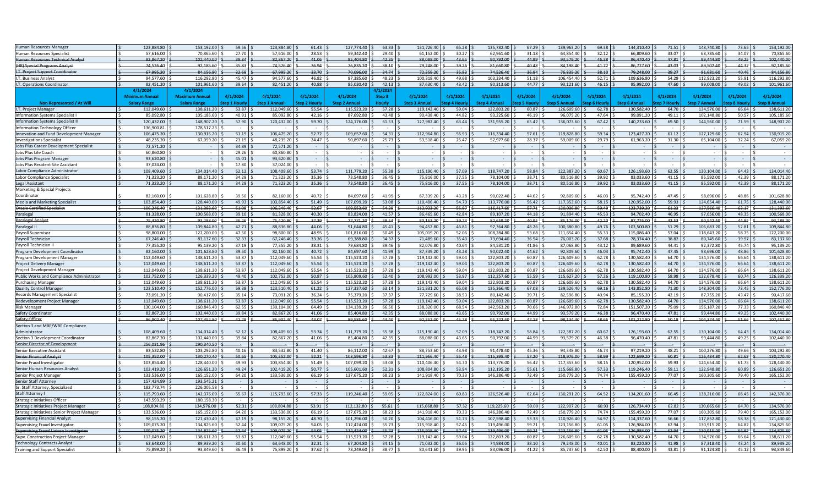| Human Resources Manager<br>123,884.80<br>153,192.00<br>59.56<br>123,884.80<br>61.43<br>127,774.40<br>63.33<br>131,726.40<br>65.28<br>135,782.40<br>67.29<br>139,963.20<br>69.38<br>144,310.40<br>71.51<br>148,740.80<br>27.70<br>28.53<br>59.342.40<br>29.40<br>61,152.00<br>30.27<br>62,961.60<br>31.18<br>64.854.40<br>32.12<br>66.809.60<br>33.07<br>68.785.60<br>57,616.00<br>70,865.60<br>57,616.00<br>Human Resources Specialist<br>82.867.20<br>85.404.80<br>42.35<br>44.99<br>46.38<br>99.444.80<br>uman Resources Technical Analyst<br>82.867.20<br>102.440.00<br>39.84<br>41.06<br>88.088.00<br>43.65<br>90,792.00<br>93.579.20<br>96.470.40<br>47.81<br>74.526.40<br>92.185.60<br>35.83<br>74.526.40<br>36.94<br>76.835.20<br>38.10<br>79.248.00<br>39.26<br>81.660.80<br>40.48<br>84.198.40<br>41.72<br>86,777.60<br>43.03<br>89.502.40<br><b>HR) Special Programs Analyst</b><br>74.526.40<br>84.156.80<br>32.69<br>67.995.20<br>33.70<br>70.096.00<br>34.74<br>72.259.20<br>35.83<br>36.94<br>$-38.10$<br>79,248.00<br>39.27<br>81.681.60<br>67.995.20<br>76.835.20<br>.T. Project Support Coordinator<br>94.577.60<br>46.82<br>48.23<br>49.68<br>103.334.40<br>52.71<br>112.923.20<br>116,292.80<br>45.47<br>94.577.60<br>97.385.60<br>100.318.40<br>51.18<br>106.454.40<br>109.636.80<br>54.29<br>T. Business Analyst<br>82,451.20<br>101,961.60<br>39.64<br>82,451.20<br>40.88<br>85,030.40<br>42.13<br>87,630.40<br>43.42<br>90,313.60<br>44.77<br>93,121.60<br>46.15<br>95,992.00<br>47.60<br>99,008.00<br>T. Operations Coordinato<br>4/1/20<br>4/1/20<br>4/1/2024<br>4/1/2024<br>4/1/2024<br>4/1/2024<br>4/1/2024<br><b>Maximum Annual</b><br>4/1/2024<br>4/1/2024<br>4/1/2024<br>Step 3<br>4/1/2024<br>4/1/2024<br>4/1/2024<br>4/1/2024<br>4/1/2024<br>um Annual<br><b>Step 6 Annual</b><br><b>Step 7 Annual</b><br>Non Represented / At Will<br><b>Salary Range</b><br><b>Salary Range</b><br><b>Step 2 Hourly</b><br>tep 4 Hourly<br><b>Step 4 Annual</b><br>tep 5 Hourh<br>itep 1 Hourly<br><b>Step 1 Annual</b><br><b>Step 2 Annual</b><br>Hourly<br><b>Step 3 Annual</b><br><b>Step 5 Annual</b><br>t <b>ep 6 Hour</b><br>ep 7 Hourl<br>138,611.20<br>53.87<br>112,049.60<br>55.54<br>115,523.20<br>57.28<br>119,142.40<br>59.04<br>122,803.20<br>60.87<br>126,609.60<br>62.78<br>130,582.40<br>64.70<br>134,576.00<br>I.T. Project Manager<br>112,049.60<br>42.16<br>43.48<br>44.82<br>47.64<br>nformation Systems Specialist I<br>85,092.80<br>105,185.6<br>40.91<br>85,092.80<br>87,692.80<br>90.438.40<br>93,225.60<br>46.19<br>96,075.20<br>99,091.20<br>49.11<br>102,148.80<br>127,982.40<br>131,955.20<br>140,233.60<br>nformation Systems Specialist I<br>120.432.00<br>148.907.20<br>57.90<br>120,432.00<br>59.70<br>124.176.00<br>61.53<br>63.44<br>65.42<br>136,073.60<br>67.42<br>69.50<br>144,560.00<br>nformation Technology Officer<br>136.900.81<br>178,517.23<br>51.19<br>106.475.20<br>52.72<br>109.657.60<br>54.31<br>112.964.80<br>55.93<br>116.334.40<br>57.61<br>123,427,20<br>127.129.60<br><b>Inovation and Fund Development Manager</b><br>106.475.20<br>130.915.20<br>119.828.8<br>59.34<br>61.12<br>48,235.20<br>67,059.20<br>23.19<br>48,235.20<br>24.47<br>50,897.60<br>25.73<br>53,518.40<br>25.47<br>52,977.60<br>28.37<br>59,009.6<br>29.79<br>61,963.20<br>31.30<br>65,104.00<br>vestigations Specialist<br>72,571.20<br>34.89<br>72,571.20<br>obs Plus Career Development Specialist<br>60,860.80<br>29.26<br>60,860.80<br>obs Plus Life Coach<br>$\overline{\phantom{a}}$<br>$\sim$<br>$\sim$<br>$\sim$<br>$\overline{\phantom{a}}$<br>obs Plus Program Manager<br>93.620.80<br>45.01<br>93.620.80<br>$\sim$<br>$\sim$<br>$\overline{\phantom{a}}$<br>$\sim$<br>$\sim$<br>37,024.00<br>17.80<br>37,024.00<br>obs Plus Resident Site Assistant<br>134.014.40<br>53.74<br>115.190.40<br>118,747.20<br>58.84<br>122,387.20<br>60.67<br>126.193.60<br>62.55<br>130.104.00<br>Labor Compliance Administrator<br>108.409.60<br>52.12<br>108.409.60<br>111.779.20<br>55.38<br>57.09<br>38.71<br>71,323.20<br>88,171.20<br>34.29<br>71,323.20<br>35.36<br>73,548.80<br>36.45<br>75,816.00<br>37.55<br>78,104.00<br>80,516.80<br>39.92<br>83,033.60<br>41.15<br>85,592.00<br>abor Compliance Specialist<br>38.71<br>41.15<br>egal Assistant<br>71.323.20<br>88.171.20<br>34.29<br>71.323.20<br>35.36<br>73.548.80<br>36.45<br>75.816.00<br>37.55<br>78.104.00<br>80.516.80<br>39.92<br>83.033.60<br>85.592.00<br>Marketing & Special Projects<br>Coordinator<br>82,160.00<br>101,628.80<br>39.50<br>82,160.00<br>40.72<br>84.697.60<br>87.339.20<br>43.28<br>90,022.40<br>44.62<br>92.809.60<br>46.03<br>95,742.40<br>47.45<br>98.696.00<br>41 99<br>103,854.40<br>128,440.0<br>49.93<br>103,854.40<br>51.49<br>107,099.20<br>53.08<br>110,406.40<br>54.70<br>56.42<br>117,353.60<br>58.15<br>120,952.00<br>59.93<br>124,654.40<br>Media and Marketing Specialist<br>113,776.00<br>106.246.4<br>131.393.60<br>51.08<br>106.246.40<br>52.67<br>109.553.60<br>54.29<br>112.923.20<br>55.97<br>116.417.60<br>$-57.71$<br>120.036.80<br>59.49<br>123,739.20<br>61.33<br>127.566.40<br><b>Oracle Certified Specialist</b><br>100,568.0<br>39.10<br>81,328.00<br>40.30<br>83,824.00<br>41.57<br>86,465.60<br>42.84<br>89,107.20<br>44.18<br>91,894.40<br>45.53<br>94,702.40<br>46.95<br>97,656.00<br>aralegal<br>81,328.0<br>75.420.80<br>93.288.00<br>36.26<br>75.420.80<br>37.39<br>77.771.20<br>38.54<br>80.163.20<br>39.74<br>82.659.20<br>40.95<br>85.176.00<br>42.20<br>87,776.00<br>43.53<br>90.542.40<br>aralegal Analyst<br>109,844.80<br>42.71<br>88,836.80<br>44.06<br>91,644.80<br>45.41<br>94,452.80<br>46.81<br>97,364.80<br>48.26<br>100,380.80<br>49.76<br>103,500.80<br>51.29<br>106,683.20<br>aralegal II<br>88,836.80<br>98.800.0<br>122,200.0<br>47.50<br>98.800.00<br>48.95<br>101,816.00<br>50.49<br>105.019.20<br>52.06<br>108.284.80<br>53.68<br>111,654.40<br>55.33<br>115,086.40<br>57.04<br>118,643.20<br>ayroll Supervisor<br>67.246.40<br>35.43<br>ayroll Techniciar<br>67.246.40<br>83.137.60<br>32.33<br>33.36<br>69.388.80<br>34.37<br>71.489.60<br>73.694.40<br>36.54<br>76.003.20<br>37.68<br>78.374.40<br>38.82<br>80.745.60<br>95,139.20<br>37.19<br>77.355.20<br>38.31<br>79.684.80<br>39.46<br>82.076.80<br>40.64<br>84,531.20<br>41.86<br>87.068.80<br>43.12<br>89.689.60<br>44.41<br>92,372.80<br>ayroll Technician II<br>77.355.20<br>39.50<br>82.160.00<br>40.72<br>84.697.60<br>41.99<br>87.339.20<br>43.28<br>44.62<br>92.809.60<br>46.03<br>95.742.40<br>47.45<br>98.696.00<br>82.160.00<br>101.628.80<br>90.022.40<br>rogram Development Coordinator<br>112,049.60<br>138,611.20<br>53.87<br>112,049.60<br>55.54<br>115,523.20<br>57.28<br>119,142.40<br>59.04<br>122,803.20<br>60.87<br>126,609.6<br>62.78<br>130,582.40<br>64.70<br>134,576.00<br>rogram Development Manager<br>53.87<br>55.54<br>57.28<br>59.04<br>130,582.40<br>64.70<br>134,576.00<br>112,049.60<br>138,611.20<br>112,049.60<br>115,523.20<br>119,142.40<br>122,803.20<br>60.87<br>126,609.60<br>62.78<br>roject Delivery Manage<br>138,611.20<br>53.87<br>112,049.60<br>55.54<br>115,523.20<br>57.28<br>119,142.40<br>59.04<br>122,803.20<br>60.87<br>126,609.60<br>62.78<br>130,582.40<br>64.70<br>134,576.00<br>112,049.60<br>roiect Development Manage<br>ublic Works and Compliance Administrator<br>102,752.00<br>126,339.20<br>49.40<br>102,752.00<br>50.87<br>105,809.60<br>52.40<br>108,992.00<br>53.97<br>112,257.60<br>55.59<br>115,627.20<br>57.26<br>119,100.80<br>58.98<br>122,678.40<br>53.87<br>55.54<br>115,523.20<br>57.28<br>119,142.40<br>59.04<br>60.87<br>130,582.40<br>64.70<br>urchasing Manager<br>112,049.60<br>138,611.20<br>112,049.60<br>122,803.20<br>126,609.6<br>62.78<br>134,576.00<br>123,510.40<br>152,776.00<br>59.38<br>123.510.40<br>61.22<br>127,337.60<br>63.14<br>131.331.20<br>65.08<br>135,366.40<br>67.08<br>139.526.40<br>69.16<br>143,852.80<br>71.30<br>148,304.00<br>Quality Control Manager<br>73,091.20<br>36.24<br>75.379.20<br>37.37<br>77.729.60<br>38.53<br>80.142.40<br>39.71<br>82.596.80<br>40.94<br>85,155.20<br>42.19<br>87,755.20<br>73.091.20<br>90.417.60<br>35.14<br>Records Management Specialist<br>53.87<br>55.54<br>57.28<br>59.04<br>60.87<br>126.609.60<br>64.70<br>134.576.00<br>112.049.60<br>138.611.20<br>112.049.60<br>115.523.20<br>119.142.40<br>122.803.20<br>62.78<br>130,582.40<br>edevelopment Project Manage<br>160.846.40<br>62.55<br>130.104.00<br>64.49<br>134,139.20<br>66.50<br>138,320.00<br>68.54<br>142,563.20<br>70.66<br>146.972.80<br>72.84<br>151,507.20<br>75.09<br>156,187.20<br>130.104.00<br>lisk Manager<br>82,867.20<br>102,440.00<br>39.84<br>82,867.20<br>41.06<br>85,404.80<br>42.35<br>88,088.00<br>43.65<br>90,792.00<br>44.99<br>93,579.20<br>46.38<br>96,470.40<br>47.81<br>99,444.80<br>Gafety Coordinator<br>afety Officer<br>43.07<br>44.40<br>104,374.40<br>86,902.40<br>107,452.80<br>41.78<br>86,902.40<br>89,585.60<br>92,352.00<br>45.78<br>95,222.40<br>47.18<br>98,134.40<br>48.66<br>101,212.80<br>50.18<br>Section 3 and MBE/WBE Compliance<br>118,747.20<br>108,409.60<br>134,014.40<br>52.12<br>108,409.60<br>53.74<br>111,779.20<br>55.38<br>115,190.40<br>57.09<br>58.84<br>122,387.20<br>60.67<br>126,193.60<br>62.55<br>130,104.00<br>Administrator<br>82.867.20<br>102,440.00<br>39.84<br>82.867.20<br>41.06<br>85.404.80<br>42.35<br>88.088.00<br>43.65<br>90,792.00<br>44.99<br>93,579.20<br>46.38<br>96,470.40<br>47.81<br>99,444.80<br>Section 3 Development Coordinator<br>256.031.96<br>290.340.50<br>enior Director of Development<br>83.532.80<br>103.292.80<br>40.16<br>83.532.80<br>86.112.00<br>42.67<br>88.753.60<br>43.98<br>91.478.40<br>45.36<br>94.348.80<br>46.74<br>97.219.20<br>48.21<br>100.276.80<br>enior Executive Assistant<br>41.40 | 73.65<br>153,192.00<br>34.07<br>70,865.60<br>49.25<br>102.440.00<br>44.32<br>92,185.60<br>40.46<br>84.156.80<br>55.91<br>116,292.80<br>49.02<br>101,961.60<br>4/1/2024<br>4/1/2024<br>ep 8 Hourh<br>Step 8 Annual<br>66.64<br>138,611.20<br>50.57<br>105,185.60<br>71.59<br>148.907.20<br>62.94<br>130.915.20<br>32.24<br>67,059.20<br>$\sim$<br>64.43<br>134.014.40<br>42.39<br>88,171.20<br>42.39<br>88.171.20<br>48.86<br>101,628.80<br>128,440.00<br>61.75<br>63.17<br>131.393.60<br>48.35<br>100,568.00<br>44.85<br>93.288.00<br>52.81<br>109,844.80<br>58.75<br>122,200.0<br>39.97<br>83.137.60 |
|-------------------------------------------------------------------------------------------------------------------------------------------------------------------------------------------------------------------------------------------------------------------------------------------------------------------------------------------------------------------------------------------------------------------------------------------------------------------------------------------------------------------------------------------------------------------------------------------------------------------------------------------------------------------------------------------------------------------------------------------------------------------------------------------------------------------------------------------------------------------------------------------------------------------------------------------------------------------------------------------------------------------------------------------------------------------------------------------------------------------------------------------------------------------------------------------------------------------------------------------------------------------------------------------------------------------------------------------------------------------------------------------------------------------------------------------------------------------------------------------------------------------------------------------------------------------------------------------------------------------------------------------------------------------------------------------------------------------------------------------------------------------------------------------------------------------------------------------------------------------------------------------------------------------------------------------------------------------------------------------------------------------------------------------------------------------------------------------------------------------------------------------------------------------------------------------------------------------------------------------------------------------------------------------------------------------------------------------------------------------------------------------------------------------------------------------------------------------------------------------------------------------------------------------------------------------------------------------------------------------------------------------------------------------------------------------------------------------------------------------------------------------------------------------------------------------------------------------------------------------------------------------------------------------------------------------------------------------------------------------------------------------------------------------------------------------------------------------------------------------------------------------------------------------------------------------------------------------------------------------------------------------------------------------------------------------------------------------------------------------------------------------------------------------------------------------------------------------------------------------------------------------------------------------------------------------------------------------------------------------------------------------------------------------------------------------------------------------------------------------------------------------------------------------------------------------------------------------------------------------------------------------------------------------------------------------------------------------------------------------------------------------------------------------------------------------------------------------------------------------------------------------------------------------------------------------------------------------------------------------------------------------------------------------------------------------------------------------------------------------------------------------------------------------------------------------------------------------------------------------------------------------------------------------------------------------------------------------------------------------------------------------------------------------------------------------------------------------------------------------------------------------------------------------------------------------------------------------------------------------------------------------------------------------------------------------------------------------------------------------------------------------------------------------------------------------------------------------------------------------------------------------------------------------------------------------------------------------------------------------------------------------------------------------------------------------------------------------------------------------------------------------------------------------------------------------------------------------------------------------------------------------------------------------------------------------------------------------------------------------------------------------------------------------------------------------------------------------------------------------------------------------------------------------------------------------------------------------------------------------------------------------------------------------------------------------------------------------------------------------------------------------------------------------------------------------------------------------------------------------------------------------------------------------------------------------------------------------------------------------------------------------------------------------------------------------------------------------------------------------------------------------------------------------------------------------------------------------------------------------------------------------------------------------------------------------------------------------------------------------------------------------------------------------------------------------------------------------------------------------------------------------------------------------------------------------------------------------------------------------------------------------------------------------------------------------------------------------------------------------------------------------------------------------------------------------------------------------------------------------------------------------------------------------------------------------------------------------------------------------------------------------------------------------------------------------------------------------------------------------------------------------------------------------------------------------------------------------------------------------------------------------------------------------------------------------------------------------------------------------------------------------------------------------------------------------------------------------------------------------------------------------------------------------------------------------------------------------------------------------------------------------------------------------------------------------------------------------------------------------------------------------------------------------------------------------------------------------------------------------------------------------------------------------------------------------------------------------------------------------------------------------------------------------------------------------------------------------------------------------------------------------------------------------------------------------------------------------------------------------------------------------------------------------------------------------------------------------------------------------------------------------------------------------------------------------------------------------------------------------------------------------------------------------------------------------------------------------------------------------------------------------------------------------------------------------------------------------------------------------------------------------------------------------------------------------------------------------------------------------------------------------------------------------------------------------------------------------------------------------------------------------------------------------------------------------------------------------------------------------------------------------------------------------------------------------------------------------------------------------------------------------------------------------------------------------------------------------------------------------------------------------------------------------------------------------------------------------------------------------------------------------------------------------------------------------------------------------------------------|-------------------------------------------------------------------------------------------------------------------------------------------------------------------------------------------------------------------------------------------------------------------------------------------------------------------------------------------------------------------------------------------------------------------------------------------------------------------------------------------------------------------------------------------------------------------------------------------------------|
|                                                                                                                                                                                                                                                                                                                                                                                                                                                                                                                                                                                                                                                                                                                                                                                                                                                                                                                                                                                                                                                                                                                                                                                                                                                                                                                                                                                                                                                                                                                                                                                                                                                                                                                                                                                                                                                                                                                                                                                                                                                                                                                                                                                                                                                                                                                                                                                                                                                                                                                                                                                                                                                                                                                                                                                                                                                                                                                                                                                                                                                                                                                                                                                                                                                                                                                                                                                                                                                                                                                                                                                                                                                                                                                                                                                                                                                                                                                                                                                                                                                                                                                                                                                                                                                                                                                                                                                                                                                                                                                                                                                                                                                                                                                                                                                                                                                                                                                                                                                                                                                                                                                                                                                                                                                                                                                                                                                                                                                                                                                                                                                                                                                                                                                                                                                                                                                                                                                                                                                                                                                                                                                                                                                                                                                                                                                                                                                                                                                                                                                                                                                                                                                                                                                                                                                                                                                                                                                                                                                                                                                                                                                                                                                                                                                                                                                                                                                                                                                                                                                                                                                                                                                                                                                                                                                                                                                                                                                                                                                                                                                                                                                                                                                                                                                                                                                                                                                                                                                                                                                                                                                                                                                                                                                                                                                                                                                                                                                                                                                                                                                                                                                                                                                                                                                                                                                                                                                                                                                                                                                                                                                                                                                                                                                                                                                                                                                             |                                                                                                                                                                                                                                                                                                                                                                                                                                                                                                                                                                                                       |
|                                                                                                                                                                                                                                                                                                                                                                                                                                                                                                                                                                                                                                                                                                                                                                                                                                                                                                                                                                                                                                                                                                                                                                                                                                                                                                                                                                                                                                                                                                                                                                                                                                                                                                                                                                                                                                                                                                                                                                                                                                                                                                                                                                                                                                                                                                                                                                                                                                                                                                                                                                                                                                                                                                                                                                                                                                                                                                                                                                                                                                                                                                                                                                                                                                                                                                                                                                                                                                                                                                                                                                                                                                                                                                                                                                                                                                                                                                                                                                                                                                                                                                                                                                                                                                                                                                                                                                                                                                                                                                                                                                                                                                                                                                                                                                                                                                                                                                                                                                                                                                                                                                                                                                                                                                                                                                                                                                                                                                                                                                                                                                                                                                                                                                                                                                                                                                                                                                                                                                                                                                                                                                                                                                                                                                                                                                                                                                                                                                                                                                                                                                                                                                                                                                                                                                                                                                                                                                                                                                                                                                                                                                                                                                                                                                                                                                                                                                                                                                                                                                                                                                                                                                                                                                                                                                                                                                                                                                                                                                                                                                                                                                                                                                                                                                                                                                                                                                                                                                                                                                                                                                                                                                                                                                                                                                                                                                                                                                                                                                                                                                                                                                                                                                                                                                                                                                                                                                                                                                                                                                                                                                                                                                                                                                                                                                                                                                                             |                                                                                                                                                                                                                                                                                                                                                                                                                                                                                                                                                                                                       |
|                                                                                                                                                                                                                                                                                                                                                                                                                                                                                                                                                                                                                                                                                                                                                                                                                                                                                                                                                                                                                                                                                                                                                                                                                                                                                                                                                                                                                                                                                                                                                                                                                                                                                                                                                                                                                                                                                                                                                                                                                                                                                                                                                                                                                                                                                                                                                                                                                                                                                                                                                                                                                                                                                                                                                                                                                                                                                                                                                                                                                                                                                                                                                                                                                                                                                                                                                                                                                                                                                                                                                                                                                                                                                                                                                                                                                                                                                                                                                                                                                                                                                                                                                                                                                                                                                                                                                                                                                                                                                                                                                                                                                                                                                                                                                                                                                                                                                                                                                                                                                                                                                                                                                                                                                                                                                                                                                                                                                                                                                                                                                                                                                                                                                                                                                                                                                                                                                                                                                                                                                                                                                                                                                                                                                                                                                                                                                                                                                                                                                                                                                                                                                                                                                                                                                                                                                                                                                                                                                                                                                                                                                                                                                                                                                                                                                                                                                                                                                                                                                                                                                                                                                                                                                                                                                                                                                                                                                                                                                                                                                                                                                                                                                                                                                                                                                                                                                                                                                                                                                                                                                                                                                                                                                                                                                                                                                                                                                                                                                                                                                                                                                                                                                                                                                                                                                                                                                                                                                                                                                                                                                                                                                                                                                                                                                                                                                                                             |                                                                                                                                                                                                                                                                                                                                                                                                                                                                                                                                                                                                       |
|                                                                                                                                                                                                                                                                                                                                                                                                                                                                                                                                                                                                                                                                                                                                                                                                                                                                                                                                                                                                                                                                                                                                                                                                                                                                                                                                                                                                                                                                                                                                                                                                                                                                                                                                                                                                                                                                                                                                                                                                                                                                                                                                                                                                                                                                                                                                                                                                                                                                                                                                                                                                                                                                                                                                                                                                                                                                                                                                                                                                                                                                                                                                                                                                                                                                                                                                                                                                                                                                                                                                                                                                                                                                                                                                                                                                                                                                                                                                                                                                                                                                                                                                                                                                                                                                                                                                                                                                                                                                                                                                                                                                                                                                                                                                                                                                                                                                                                                                                                                                                                                                                                                                                                                                                                                                                                                                                                                                                                                                                                                                                                                                                                                                                                                                                                                                                                                                                                                                                                                                                                                                                                                                                                                                                                                                                                                                                                                                                                                                                                                                                                                                                                                                                                                                                                                                                                                                                                                                                                                                                                                                                                                                                                                                                                                                                                                                                                                                                                                                                                                                                                                                                                                                                                                                                                                                                                                                                                                                                                                                                                                                                                                                                                                                                                                                                                                                                                                                                                                                                                                                                                                                                                                                                                                                                                                                                                                                                                                                                                                                                                                                                                                                                                                                                                                                                                                                                                                                                                                                                                                                                                                                                                                                                                                                                                                                                                                             |                                                                                                                                                                                                                                                                                                                                                                                                                                                                                                                                                                                                       |
|                                                                                                                                                                                                                                                                                                                                                                                                                                                                                                                                                                                                                                                                                                                                                                                                                                                                                                                                                                                                                                                                                                                                                                                                                                                                                                                                                                                                                                                                                                                                                                                                                                                                                                                                                                                                                                                                                                                                                                                                                                                                                                                                                                                                                                                                                                                                                                                                                                                                                                                                                                                                                                                                                                                                                                                                                                                                                                                                                                                                                                                                                                                                                                                                                                                                                                                                                                                                                                                                                                                                                                                                                                                                                                                                                                                                                                                                                                                                                                                                                                                                                                                                                                                                                                                                                                                                                                                                                                                                                                                                                                                                                                                                                                                                                                                                                                                                                                                                                                                                                                                                                                                                                                                                                                                                                                                                                                                                                                                                                                                                                                                                                                                                                                                                                                                                                                                                                                                                                                                                                                                                                                                                                                                                                                                                                                                                                                                                                                                                                                                                                                                                                                                                                                                                                                                                                                                                                                                                                                                                                                                                                                                                                                                                                                                                                                                                                                                                                                                                                                                                                                                                                                                                                                                                                                                                                                                                                                                                                                                                                                                                                                                                                                                                                                                                                                                                                                                                                                                                                                                                                                                                                                                                                                                                                                                                                                                                                                                                                                                                                                                                                                                                                                                                                                                                                                                                                                                                                                                                                                                                                                                                                                                                                                                                                                                                                                                             |                                                                                                                                                                                                                                                                                                                                                                                                                                                                                                                                                                                                       |
|                                                                                                                                                                                                                                                                                                                                                                                                                                                                                                                                                                                                                                                                                                                                                                                                                                                                                                                                                                                                                                                                                                                                                                                                                                                                                                                                                                                                                                                                                                                                                                                                                                                                                                                                                                                                                                                                                                                                                                                                                                                                                                                                                                                                                                                                                                                                                                                                                                                                                                                                                                                                                                                                                                                                                                                                                                                                                                                                                                                                                                                                                                                                                                                                                                                                                                                                                                                                                                                                                                                                                                                                                                                                                                                                                                                                                                                                                                                                                                                                                                                                                                                                                                                                                                                                                                                                                                                                                                                                                                                                                                                                                                                                                                                                                                                                                                                                                                                                                                                                                                                                                                                                                                                                                                                                                                                                                                                                                                                                                                                                                                                                                                                                                                                                                                                                                                                                                                                                                                                                                                                                                                                                                                                                                                                                                                                                                                                                                                                                                                                                                                                                                                                                                                                                                                                                                                                                                                                                                                                                                                                                                                                                                                                                                                                                                                                                                                                                                                                                                                                                                                                                                                                                                                                                                                                                                                                                                                                                                                                                                                                                                                                                                                                                                                                                                                                                                                                                                                                                                                                                                                                                                                                                                                                                                                                                                                                                                                                                                                                                                                                                                                                                                                                                                                                                                                                                                                                                                                                                                                                                                                                                                                                                                                                                                                                                                                                             |                                                                                                                                                                                                                                                                                                                                                                                                                                                                                                                                                                                                       |
|                                                                                                                                                                                                                                                                                                                                                                                                                                                                                                                                                                                                                                                                                                                                                                                                                                                                                                                                                                                                                                                                                                                                                                                                                                                                                                                                                                                                                                                                                                                                                                                                                                                                                                                                                                                                                                                                                                                                                                                                                                                                                                                                                                                                                                                                                                                                                                                                                                                                                                                                                                                                                                                                                                                                                                                                                                                                                                                                                                                                                                                                                                                                                                                                                                                                                                                                                                                                                                                                                                                                                                                                                                                                                                                                                                                                                                                                                                                                                                                                                                                                                                                                                                                                                                                                                                                                                                                                                                                                                                                                                                                                                                                                                                                                                                                                                                                                                                                                                                                                                                                                                                                                                                                                                                                                                                                                                                                                                                                                                                                                                                                                                                                                                                                                                                                                                                                                                                                                                                                                                                                                                                                                                                                                                                                                                                                                                                                                                                                                                                                                                                                                                                                                                                                                                                                                                                                                                                                                                                                                                                                                                                                                                                                                                                                                                                                                                                                                                                                                                                                                                                                                                                                                                                                                                                                                                                                                                                                                                                                                                                                                                                                                                                                                                                                                                                                                                                                                                                                                                                                                                                                                                                                                                                                                                                                                                                                                                                                                                                                                                                                                                                                                                                                                                                                                                                                                                                                                                                                                                                                                                                                                                                                                                                                                                                                                                                                             |                                                                                                                                                                                                                                                                                                                                                                                                                                                                                                                                                                                                       |
|                                                                                                                                                                                                                                                                                                                                                                                                                                                                                                                                                                                                                                                                                                                                                                                                                                                                                                                                                                                                                                                                                                                                                                                                                                                                                                                                                                                                                                                                                                                                                                                                                                                                                                                                                                                                                                                                                                                                                                                                                                                                                                                                                                                                                                                                                                                                                                                                                                                                                                                                                                                                                                                                                                                                                                                                                                                                                                                                                                                                                                                                                                                                                                                                                                                                                                                                                                                                                                                                                                                                                                                                                                                                                                                                                                                                                                                                                                                                                                                                                                                                                                                                                                                                                                                                                                                                                                                                                                                                                                                                                                                                                                                                                                                                                                                                                                                                                                                                                                                                                                                                                                                                                                                                                                                                                                                                                                                                                                                                                                                                                                                                                                                                                                                                                                                                                                                                                                                                                                                                                                                                                                                                                                                                                                                                                                                                                                                                                                                                                                                                                                                                                                                                                                                                                                                                                                                                                                                                                                                                                                                                                                                                                                                                                                                                                                                                                                                                                                                                                                                                                                                                                                                                                                                                                                                                                                                                                                                                                                                                                                                                                                                                                                                                                                                                                                                                                                                                                                                                                                                                                                                                                                                                                                                                                                                                                                                                                                                                                                                                                                                                                                                                                                                                                                                                                                                                                                                                                                                                                                                                                                                                                                                                                                                                                                                                                                                             |                                                                                                                                                                                                                                                                                                                                                                                                                                                                                                                                                                                                       |
|                                                                                                                                                                                                                                                                                                                                                                                                                                                                                                                                                                                                                                                                                                                                                                                                                                                                                                                                                                                                                                                                                                                                                                                                                                                                                                                                                                                                                                                                                                                                                                                                                                                                                                                                                                                                                                                                                                                                                                                                                                                                                                                                                                                                                                                                                                                                                                                                                                                                                                                                                                                                                                                                                                                                                                                                                                                                                                                                                                                                                                                                                                                                                                                                                                                                                                                                                                                                                                                                                                                                                                                                                                                                                                                                                                                                                                                                                                                                                                                                                                                                                                                                                                                                                                                                                                                                                                                                                                                                                                                                                                                                                                                                                                                                                                                                                                                                                                                                                                                                                                                                                                                                                                                                                                                                                                                                                                                                                                                                                                                                                                                                                                                                                                                                                                                                                                                                                                                                                                                                                                                                                                                                                                                                                                                                                                                                                                                                                                                                                                                                                                                                                                                                                                                                                                                                                                                                                                                                                                                                                                                                                                                                                                                                                                                                                                                                                                                                                                                                                                                                                                                                                                                                                                                                                                                                                                                                                                                                                                                                                                                                                                                                                                                                                                                                                                                                                                                                                                                                                                                                                                                                                                                                                                                                                                                                                                                                                                                                                                                                                                                                                                                                                                                                                                                                                                                                                                                                                                                                                                                                                                                                                                                                                                                                                                                                                                                             |                                                                                                                                                                                                                                                                                                                                                                                                                                                                                                                                                                                                       |
|                                                                                                                                                                                                                                                                                                                                                                                                                                                                                                                                                                                                                                                                                                                                                                                                                                                                                                                                                                                                                                                                                                                                                                                                                                                                                                                                                                                                                                                                                                                                                                                                                                                                                                                                                                                                                                                                                                                                                                                                                                                                                                                                                                                                                                                                                                                                                                                                                                                                                                                                                                                                                                                                                                                                                                                                                                                                                                                                                                                                                                                                                                                                                                                                                                                                                                                                                                                                                                                                                                                                                                                                                                                                                                                                                                                                                                                                                                                                                                                                                                                                                                                                                                                                                                                                                                                                                                                                                                                                                                                                                                                                                                                                                                                                                                                                                                                                                                                                                                                                                                                                                                                                                                                                                                                                                                                                                                                                                                                                                                                                                                                                                                                                                                                                                                                                                                                                                                                                                                                                                                                                                                                                                                                                                                                                                                                                                                                                                                                                                                                                                                                                                                                                                                                                                                                                                                                                                                                                                                                                                                                                                                                                                                                                                                                                                                                                                                                                                                                                                                                                                                                                                                                                                                                                                                                                                                                                                                                                                                                                                                                                                                                                                                                                                                                                                                                                                                                                                                                                                                                                                                                                                                                                                                                                                                                                                                                                                                                                                                                                                                                                                                                                                                                                                                                                                                                                                                                                                                                                                                                                                                                                                                                                                                                                                                                                                                                             |                                                                                                                                                                                                                                                                                                                                                                                                                                                                                                                                                                                                       |
|                                                                                                                                                                                                                                                                                                                                                                                                                                                                                                                                                                                                                                                                                                                                                                                                                                                                                                                                                                                                                                                                                                                                                                                                                                                                                                                                                                                                                                                                                                                                                                                                                                                                                                                                                                                                                                                                                                                                                                                                                                                                                                                                                                                                                                                                                                                                                                                                                                                                                                                                                                                                                                                                                                                                                                                                                                                                                                                                                                                                                                                                                                                                                                                                                                                                                                                                                                                                                                                                                                                                                                                                                                                                                                                                                                                                                                                                                                                                                                                                                                                                                                                                                                                                                                                                                                                                                                                                                                                                                                                                                                                                                                                                                                                                                                                                                                                                                                                                                                                                                                                                                                                                                                                                                                                                                                                                                                                                                                                                                                                                                                                                                                                                                                                                                                                                                                                                                                                                                                                                                                                                                                                                                                                                                                                                                                                                                                                                                                                                                                                                                                                                                                                                                                                                                                                                                                                                                                                                                                                                                                                                                                                                                                                                                                                                                                                                                                                                                                                                                                                                                                                                                                                                                                                                                                                                                                                                                                                                                                                                                                                                                                                                                                                                                                                                                                                                                                                                                                                                                                                                                                                                                                                                                                                                                                                                                                                                                                                                                                                                                                                                                                                                                                                                                                                                                                                                                                                                                                                                                                                                                                                                                                                                                                                                                                                                                                                             |                                                                                                                                                                                                                                                                                                                                                                                                                                                                                                                                                                                                       |
|                                                                                                                                                                                                                                                                                                                                                                                                                                                                                                                                                                                                                                                                                                                                                                                                                                                                                                                                                                                                                                                                                                                                                                                                                                                                                                                                                                                                                                                                                                                                                                                                                                                                                                                                                                                                                                                                                                                                                                                                                                                                                                                                                                                                                                                                                                                                                                                                                                                                                                                                                                                                                                                                                                                                                                                                                                                                                                                                                                                                                                                                                                                                                                                                                                                                                                                                                                                                                                                                                                                                                                                                                                                                                                                                                                                                                                                                                                                                                                                                                                                                                                                                                                                                                                                                                                                                                                                                                                                                                                                                                                                                                                                                                                                                                                                                                                                                                                                                                                                                                                                                                                                                                                                                                                                                                                                                                                                                                                                                                                                                                                                                                                                                                                                                                                                                                                                                                                                                                                                                                                                                                                                                                                                                                                                                                                                                                                                                                                                                                                                                                                                                                                                                                                                                                                                                                                                                                                                                                                                                                                                                                                                                                                                                                                                                                                                                                                                                                                                                                                                                                                                                                                                                                                                                                                                                                                                                                                                                                                                                                                                                                                                                                                                                                                                                                                                                                                                                                                                                                                                                                                                                                                                                                                                                                                                                                                                                                                                                                                                                                                                                                                                                                                                                                                                                                                                                                                                                                                                                                                                                                                                                                                                                                                                                                                                                                                                             |                                                                                                                                                                                                                                                                                                                                                                                                                                                                                                                                                                                                       |
|                                                                                                                                                                                                                                                                                                                                                                                                                                                                                                                                                                                                                                                                                                                                                                                                                                                                                                                                                                                                                                                                                                                                                                                                                                                                                                                                                                                                                                                                                                                                                                                                                                                                                                                                                                                                                                                                                                                                                                                                                                                                                                                                                                                                                                                                                                                                                                                                                                                                                                                                                                                                                                                                                                                                                                                                                                                                                                                                                                                                                                                                                                                                                                                                                                                                                                                                                                                                                                                                                                                                                                                                                                                                                                                                                                                                                                                                                                                                                                                                                                                                                                                                                                                                                                                                                                                                                                                                                                                                                                                                                                                                                                                                                                                                                                                                                                                                                                                                                                                                                                                                                                                                                                                                                                                                                                                                                                                                                                                                                                                                                                                                                                                                                                                                                                                                                                                                                                                                                                                                                                                                                                                                                                                                                                                                                                                                                                                                                                                                                                                                                                                                                                                                                                                                                                                                                                                                                                                                                                                                                                                                                                                                                                                                                                                                                                                                                                                                                                                                                                                                                                                                                                                                                                                                                                                                                                                                                                                                                                                                                                                                                                                                                                                                                                                                                                                                                                                                                                                                                                                                                                                                                                                                                                                                                                                                                                                                                                                                                                                                                                                                                                                                                                                                                                                                                                                                                                                                                                                                                                                                                                                                                                                                                                                                                                                                                                                             |                                                                                                                                                                                                                                                                                                                                                                                                                                                                                                                                                                                                       |
|                                                                                                                                                                                                                                                                                                                                                                                                                                                                                                                                                                                                                                                                                                                                                                                                                                                                                                                                                                                                                                                                                                                                                                                                                                                                                                                                                                                                                                                                                                                                                                                                                                                                                                                                                                                                                                                                                                                                                                                                                                                                                                                                                                                                                                                                                                                                                                                                                                                                                                                                                                                                                                                                                                                                                                                                                                                                                                                                                                                                                                                                                                                                                                                                                                                                                                                                                                                                                                                                                                                                                                                                                                                                                                                                                                                                                                                                                                                                                                                                                                                                                                                                                                                                                                                                                                                                                                                                                                                                                                                                                                                                                                                                                                                                                                                                                                                                                                                                                                                                                                                                                                                                                                                                                                                                                                                                                                                                                                                                                                                                                                                                                                                                                                                                                                                                                                                                                                                                                                                                                                                                                                                                                                                                                                                                                                                                                                                                                                                                                                                                                                                                                                                                                                                                                                                                                                                                                                                                                                                                                                                                                                                                                                                                                                                                                                                                                                                                                                                                                                                                                                                                                                                                                                                                                                                                                                                                                                                                                                                                                                                                                                                                                                                                                                                                                                                                                                                                                                                                                                                                                                                                                                                                                                                                                                                                                                                                                                                                                                                                                                                                                                                                                                                                                                                                                                                                                                                                                                                                                                                                                                                                                                                                                                                                                                                                                                                             |                                                                                                                                                                                                                                                                                                                                                                                                                                                                                                                                                                                                       |
|                                                                                                                                                                                                                                                                                                                                                                                                                                                                                                                                                                                                                                                                                                                                                                                                                                                                                                                                                                                                                                                                                                                                                                                                                                                                                                                                                                                                                                                                                                                                                                                                                                                                                                                                                                                                                                                                                                                                                                                                                                                                                                                                                                                                                                                                                                                                                                                                                                                                                                                                                                                                                                                                                                                                                                                                                                                                                                                                                                                                                                                                                                                                                                                                                                                                                                                                                                                                                                                                                                                                                                                                                                                                                                                                                                                                                                                                                                                                                                                                                                                                                                                                                                                                                                                                                                                                                                                                                                                                                                                                                                                                                                                                                                                                                                                                                                                                                                                                                                                                                                                                                                                                                                                                                                                                                                                                                                                                                                                                                                                                                                                                                                                                                                                                                                                                                                                                                                                                                                                                                                                                                                                                                                                                                                                                                                                                                                                                                                                                                                                                                                                                                                                                                                                                                                                                                                                                                                                                                                                                                                                                                                                                                                                                                                                                                                                                                                                                                                                                                                                                                                                                                                                                                                                                                                                                                                                                                                                                                                                                                                                                                                                                                                                                                                                                                                                                                                                                                                                                                                                                                                                                                                                                                                                                                                                                                                                                                                                                                                                                                                                                                                                                                                                                                                                                                                                                                                                                                                                                                                                                                                                                                                                                                                                                                                                                                                                             |                                                                                                                                                                                                                                                                                                                                                                                                                                                                                                                                                                                                       |
|                                                                                                                                                                                                                                                                                                                                                                                                                                                                                                                                                                                                                                                                                                                                                                                                                                                                                                                                                                                                                                                                                                                                                                                                                                                                                                                                                                                                                                                                                                                                                                                                                                                                                                                                                                                                                                                                                                                                                                                                                                                                                                                                                                                                                                                                                                                                                                                                                                                                                                                                                                                                                                                                                                                                                                                                                                                                                                                                                                                                                                                                                                                                                                                                                                                                                                                                                                                                                                                                                                                                                                                                                                                                                                                                                                                                                                                                                                                                                                                                                                                                                                                                                                                                                                                                                                                                                                                                                                                                                                                                                                                                                                                                                                                                                                                                                                                                                                                                                                                                                                                                                                                                                                                                                                                                                                                                                                                                                                                                                                                                                                                                                                                                                                                                                                                                                                                                                                                                                                                                                                                                                                                                                                                                                                                                                                                                                                                                                                                                                                                                                                                                                                                                                                                                                                                                                                                                                                                                                                                                                                                                                                                                                                                                                                                                                                                                                                                                                                                                                                                                                                                                                                                                                                                                                                                                                                                                                                                                                                                                                                                                                                                                                                                                                                                                                                                                                                                                                                                                                                                                                                                                                                                                                                                                                                                                                                                                                                                                                                                                                                                                                                                                                                                                                                                                                                                                                                                                                                                                                                                                                                                                                                                                                                                                                                                                                                                             |                                                                                                                                                                                                                                                                                                                                                                                                                                                                                                                                                                                                       |
|                                                                                                                                                                                                                                                                                                                                                                                                                                                                                                                                                                                                                                                                                                                                                                                                                                                                                                                                                                                                                                                                                                                                                                                                                                                                                                                                                                                                                                                                                                                                                                                                                                                                                                                                                                                                                                                                                                                                                                                                                                                                                                                                                                                                                                                                                                                                                                                                                                                                                                                                                                                                                                                                                                                                                                                                                                                                                                                                                                                                                                                                                                                                                                                                                                                                                                                                                                                                                                                                                                                                                                                                                                                                                                                                                                                                                                                                                                                                                                                                                                                                                                                                                                                                                                                                                                                                                                                                                                                                                                                                                                                                                                                                                                                                                                                                                                                                                                                                                                                                                                                                                                                                                                                                                                                                                                                                                                                                                                                                                                                                                                                                                                                                                                                                                                                                                                                                                                                                                                                                                                                                                                                                                                                                                                                                                                                                                                                                                                                                                                                                                                                                                                                                                                                                                                                                                                                                                                                                                                                                                                                                                                                                                                                                                                                                                                                                                                                                                                                                                                                                                                                                                                                                                                                                                                                                                                                                                                                                                                                                                                                                                                                                                                                                                                                                                                                                                                                                                                                                                                                                                                                                                                                                                                                                                                                                                                                                                                                                                                                                                                                                                                                                                                                                                                                                                                                                                                                                                                                                                                                                                                                                                                                                                                                                                                                                                                                             |                                                                                                                                                                                                                                                                                                                                                                                                                                                                                                                                                                                                       |
|                                                                                                                                                                                                                                                                                                                                                                                                                                                                                                                                                                                                                                                                                                                                                                                                                                                                                                                                                                                                                                                                                                                                                                                                                                                                                                                                                                                                                                                                                                                                                                                                                                                                                                                                                                                                                                                                                                                                                                                                                                                                                                                                                                                                                                                                                                                                                                                                                                                                                                                                                                                                                                                                                                                                                                                                                                                                                                                                                                                                                                                                                                                                                                                                                                                                                                                                                                                                                                                                                                                                                                                                                                                                                                                                                                                                                                                                                                                                                                                                                                                                                                                                                                                                                                                                                                                                                                                                                                                                                                                                                                                                                                                                                                                                                                                                                                                                                                                                                                                                                                                                                                                                                                                                                                                                                                                                                                                                                                                                                                                                                                                                                                                                                                                                                                                                                                                                                                                                                                                                                                                                                                                                                                                                                                                                                                                                                                                                                                                                                                                                                                                                                                                                                                                                                                                                                                                                                                                                                                                                                                                                                                                                                                                                                                                                                                                                                                                                                                                                                                                                                                                                                                                                                                                                                                                                                                                                                                                                                                                                                                                                                                                                                                                                                                                                                                                                                                                                                                                                                                                                                                                                                                                                                                                                                                                                                                                                                                                                                                                                                                                                                                                                                                                                                                                                                                                                                                                                                                                                                                                                                                                                                                                                                                                                                                                                                                                             |                                                                                                                                                                                                                                                                                                                                                                                                                                                                                                                                                                                                       |
|                                                                                                                                                                                                                                                                                                                                                                                                                                                                                                                                                                                                                                                                                                                                                                                                                                                                                                                                                                                                                                                                                                                                                                                                                                                                                                                                                                                                                                                                                                                                                                                                                                                                                                                                                                                                                                                                                                                                                                                                                                                                                                                                                                                                                                                                                                                                                                                                                                                                                                                                                                                                                                                                                                                                                                                                                                                                                                                                                                                                                                                                                                                                                                                                                                                                                                                                                                                                                                                                                                                                                                                                                                                                                                                                                                                                                                                                                                                                                                                                                                                                                                                                                                                                                                                                                                                                                                                                                                                                                                                                                                                                                                                                                                                                                                                                                                                                                                                                                                                                                                                                                                                                                                                                                                                                                                                                                                                                                                                                                                                                                                                                                                                                                                                                                                                                                                                                                                                                                                                                                                                                                                                                                                                                                                                                                                                                                                                                                                                                                                                                                                                                                                                                                                                                                                                                                                                                                                                                                                                                                                                                                                                                                                                                                                                                                                                                                                                                                                                                                                                                                                                                                                                                                                                                                                                                                                                                                                                                                                                                                                                                                                                                                                                                                                                                                                                                                                                                                                                                                                                                                                                                                                                                                                                                                                                                                                                                                                                                                                                                                                                                                                                                                                                                                                                                                                                                                                                                                                                                                                                                                                                                                                                                                                                                                                                                                                                             |                                                                                                                                                                                                                                                                                                                                                                                                                                                                                                                                                                                                       |
|                                                                                                                                                                                                                                                                                                                                                                                                                                                                                                                                                                                                                                                                                                                                                                                                                                                                                                                                                                                                                                                                                                                                                                                                                                                                                                                                                                                                                                                                                                                                                                                                                                                                                                                                                                                                                                                                                                                                                                                                                                                                                                                                                                                                                                                                                                                                                                                                                                                                                                                                                                                                                                                                                                                                                                                                                                                                                                                                                                                                                                                                                                                                                                                                                                                                                                                                                                                                                                                                                                                                                                                                                                                                                                                                                                                                                                                                                                                                                                                                                                                                                                                                                                                                                                                                                                                                                                                                                                                                                                                                                                                                                                                                                                                                                                                                                                                                                                                                                                                                                                                                                                                                                                                                                                                                                                                                                                                                                                                                                                                                                                                                                                                                                                                                                                                                                                                                                                                                                                                                                                                                                                                                                                                                                                                                                                                                                                                                                                                                                                                                                                                                                                                                                                                                                                                                                                                                                                                                                                                                                                                                                                                                                                                                                                                                                                                                                                                                                                                                                                                                                                                                                                                                                                                                                                                                                                                                                                                                                                                                                                                                                                                                                                                                                                                                                                                                                                                                                                                                                                                                                                                                                                                                                                                                                                                                                                                                                                                                                                                                                                                                                                                                                                                                                                                                                                                                                                                                                                                                                                                                                                                                                                                                                                                                                                                                                                                             |                                                                                                                                                                                                                                                                                                                                                                                                                                                                                                                                                                                                       |
|                                                                                                                                                                                                                                                                                                                                                                                                                                                                                                                                                                                                                                                                                                                                                                                                                                                                                                                                                                                                                                                                                                                                                                                                                                                                                                                                                                                                                                                                                                                                                                                                                                                                                                                                                                                                                                                                                                                                                                                                                                                                                                                                                                                                                                                                                                                                                                                                                                                                                                                                                                                                                                                                                                                                                                                                                                                                                                                                                                                                                                                                                                                                                                                                                                                                                                                                                                                                                                                                                                                                                                                                                                                                                                                                                                                                                                                                                                                                                                                                                                                                                                                                                                                                                                                                                                                                                                                                                                                                                                                                                                                                                                                                                                                                                                                                                                                                                                                                                                                                                                                                                                                                                                                                                                                                                                                                                                                                                                                                                                                                                                                                                                                                                                                                                                                                                                                                                                                                                                                                                                                                                                                                                                                                                                                                                                                                                                                                                                                                                                                                                                                                                                                                                                                                                                                                                                                                                                                                                                                                                                                                                                                                                                                                                                                                                                                                                                                                                                                                                                                                                                                                                                                                                                                                                                                                                                                                                                                                                                                                                                                                                                                                                                                                                                                                                                                                                                                                                                                                                                                                                                                                                                                                                                                                                                                                                                                                                                                                                                                                                                                                                                                                                                                                                                                                                                                                                                                                                                                                                                                                                                                                                                                                                                                                                                                                                                                             |                                                                                                                                                                                                                                                                                                                                                                                                                                                                                                                                                                                                       |
|                                                                                                                                                                                                                                                                                                                                                                                                                                                                                                                                                                                                                                                                                                                                                                                                                                                                                                                                                                                                                                                                                                                                                                                                                                                                                                                                                                                                                                                                                                                                                                                                                                                                                                                                                                                                                                                                                                                                                                                                                                                                                                                                                                                                                                                                                                                                                                                                                                                                                                                                                                                                                                                                                                                                                                                                                                                                                                                                                                                                                                                                                                                                                                                                                                                                                                                                                                                                                                                                                                                                                                                                                                                                                                                                                                                                                                                                                                                                                                                                                                                                                                                                                                                                                                                                                                                                                                                                                                                                                                                                                                                                                                                                                                                                                                                                                                                                                                                                                                                                                                                                                                                                                                                                                                                                                                                                                                                                                                                                                                                                                                                                                                                                                                                                                                                                                                                                                                                                                                                                                                                                                                                                                                                                                                                                                                                                                                                                                                                                                                                                                                                                                                                                                                                                                                                                                                                                                                                                                                                                                                                                                                                                                                                                                                                                                                                                                                                                                                                                                                                                                                                                                                                                                                                                                                                                                                                                                                                                                                                                                                                                                                                                                                                                                                                                                                                                                                                                                                                                                                                                                                                                                                                                                                                                                                                                                                                                                                                                                                                                                                                                                                                                                                                                                                                                                                                                                                                                                                                                                                                                                                                                                                                                                                                                                                                                                                                             |                                                                                                                                                                                                                                                                                                                                                                                                                                                                                                                                                                                                       |
|                                                                                                                                                                                                                                                                                                                                                                                                                                                                                                                                                                                                                                                                                                                                                                                                                                                                                                                                                                                                                                                                                                                                                                                                                                                                                                                                                                                                                                                                                                                                                                                                                                                                                                                                                                                                                                                                                                                                                                                                                                                                                                                                                                                                                                                                                                                                                                                                                                                                                                                                                                                                                                                                                                                                                                                                                                                                                                                                                                                                                                                                                                                                                                                                                                                                                                                                                                                                                                                                                                                                                                                                                                                                                                                                                                                                                                                                                                                                                                                                                                                                                                                                                                                                                                                                                                                                                                                                                                                                                                                                                                                                                                                                                                                                                                                                                                                                                                                                                                                                                                                                                                                                                                                                                                                                                                                                                                                                                                                                                                                                                                                                                                                                                                                                                                                                                                                                                                                                                                                                                                                                                                                                                                                                                                                                                                                                                                                                                                                                                                                                                                                                                                                                                                                                                                                                                                                                                                                                                                                                                                                                                                                                                                                                                                                                                                                                                                                                                                                                                                                                                                                                                                                                                                                                                                                                                                                                                                                                                                                                                                                                                                                                                                                                                                                                                                                                                                                                                                                                                                                                                                                                                                                                                                                                                                                                                                                                                                                                                                                                                                                                                                                                                                                                                                                                                                                                                                                                                                                                                                                                                                                                                                                                                                                                                                                                                                                             |                                                                                                                                                                                                                                                                                                                                                                                                                                                                                                                                                                                                       |
|                                                                                                                                                                                                                                                                                                                                                                                                                                                                                                                                                                                                                                                                                                                                                                                                                                                                                                                                                                                                                                                                                                                                                                                                                                                                                                                                                                                                                                                                                                                                                                                                                                                                                                                                                                                                                                                                                                                                                                                                                                                                                                                                                                                                                                                                                                                                                                                                                                                                                                                                                                                                                                                                                                                                                                                                                                                                                                                                                                                                                                                                                                                                                                                                                                                                                                                                                                                                                                                                                                                                                                                                                                                                                                                                                                                                                                                                                                                                                                                                                                                                                                                                                                                                                                                                                                                                                                                                                                                                                                                                                                                                                                                                                                                                                                                                                                                                                                                                                                                                                                                                                                                                                                                                                                                                                                                                                                                                                                                                                                                                                                                                                                                                                                                                                                                                                                                                                                                                                                                                                                                                                                                                                                                                                                                                                                                                                                                                                                                                                                                                                                                                                                                                                                                                                                                                                                                                                                                                                                                                                                                                                                                                                                                                                                                                                                                                                                                                                                                                                                                                                                                                                                                                                                                                                                                                                                                                                                                                                                                                                                                                                                                                                                                                                                                                                                                                                                                                                                                                                                                                                                                                                                                                                                                                                                                                                                                                                                                                                                                                                                                                                                                                                                                                                                                                                                                                                                                                                                                                                                                                                                                                                                                                                                                                                                                                                                                             |                                                                                                                                                                                                                                                                                                                                                                                                                                                                                                                                                                                                       |
|                                                                                                                                                                                                                                                                                                                                                                                                                                                                                                                                                                                                                                                                                                                                                                                                                                                                                                                                                                                                                                                                                                                                                                                                                                                                                                                                                                                                                                                                                                                                                                                                                                                                                                                                                                                                                                                                                                                                                                                                                                                                                                                                                                                                                                                                                                                                                                                                                                                                                                                                                                                                                                                                                                                                                                                                                                                                                                                                                                                                                                                                                                                                                                                                                                                                                                                                                                                                                                                                                                                                                                                                                                                                                                                                                                                                                                                                                                                                                                                                                                                                                                                                                                                                                                                                                                                                                                                                                                                                                                                                                                                                                                                                                                                                                                                                                                                                                                                                                                                                                                                                                                                                                                                                                                                                                                                                                                                                                                                                                                                                                                                                                                                                                                                                                                                                                                                                                                                                                                                                                                                                                                                                                                                                                                                                                                                                                                                                                                                                                                                                                                                                                                                                                                                                                                                                                                                                                                                                                                                                                                                                                                                                                                                                                                                                                                                                                                                                                                                                                                                                                                                                                                                                                                                                                                                                                                                                                                                                                                                                                                                                                                                                                                                                                                                                                                                                                                                                                                                                                                                                                                                                                                                                                                                                                                                                                                                                                                                                                                                                                                                                                                                                                                                                                                                                                                                                                                                                                                                                                                                                                                                                                                                                                                                                                                                                                                                             |                                                                                                                                                                                                                                                                                                                                                                                                                                                                                                                                                                                                       |
|                                                                                                                                                                                                                                                                                                                                                                                                                                                                                                                                                                                                                                                                                                                                                                                                                                                                                                                                                                                                                                                                                                                                                                                                                                                                                                                                                                                                                                                                                                                                                                                                                                                                                                                                                                                                                                                                                                                                                                                                                                                                                                                                                                                                                                                                                                                                                                                                                                                                                                                                                                                                                                                                                                                                                                                                                                                                                                                                                                                                                                                                                                                                                                                                                                                                                                                                                                                                                                                                                                                                                                                                                                                                                                                                                                                                                                                                                                                                                                                                                                                                                                                                                                                                                                                                                                                                                                                                                                                                                                                                                                                                                                                                                                                                                                                                                                                                                                                                                                                                                                                                                                                                                                                                                                                                                                                                                                                                                                                                                                                                                                                                                                                                                                                                                                                                                                                                                                                                                                                                                                                                                                                                                                                                                                                                                                                                                                                                                                                                                                                                                                                                                                                                                                                                                                                                                                                                                                                                                                                                                                                                                                                                                                                                                                                                                                                                                                                                                                                                                                                                                                                                                                                                                                                                                                                                                                                                                                                                                                                                                                                                                                                                                                                                                                                                                                                                                                                                                                                                                                                                                                                                                                                                                                                                                                                                                                                                                                                                                                                                                                                                                                                                                                                                                                                                                                                                                                                                                                                                                                                                                                                                                                                                                                                                                                                                                                                             |                                                                                                                                                                                                                                                                                                                                                                                                                                                                                                                                                                                                       |
|                                                                                                                                                                                                                                                                                                                                                                                                                                                                                                                                                                                                                                                                                                                                                                                                                                                                                                                                                                                                                                                                                                                                                                                                                                                                                                                                                                                                                                                                                                                                                                                                                                                                                                                                                                                                                                                                                                                                                                                                                                                                                                                                                                                                                                                                                                                                                                                                                                                                                                                                                                                                                                                                                                                                                                                                                                                                                                                                                                                                                                                                                                                                                                                                                                                                                                                                                                                                                                                                                                                                                                                                                                                                                                                                                                                                                                                                                                                                                                                                                                                                                                                                                                                                                                                                                                                                                                                                                                                                                                                                                                                                                                                                                                                                                                                                                                                                                                                                                                                                                                                                                                                                                                                                                                                                                                                                                                                                                                                                                                                                                                                                                                                                                                                                                                                                                                                                                                                                                                                                                                                                                                                                                                                                                                                                                                                                                                                                                                                                                                                                                                                                                                                                                                                                                                                                                                                                                                                                                                                                                                                                                                                                                                                                                                                                                                                                                                                                                                                                                                                                                                                                                                                                                                                                                                                                                                                                                                                                                                                                                                                                                                                                                                                                                                                                                                                                                                                                                                                                                                                                                                                                                                                                                                                                                                                                                                                                                                                                                                                                                                                                                                                                                                                                                                                                                                                                                                                                                                                                                                                                                                                                                                                                                                                                                                                                                                                             |                                                                                                                                                                                                                                                                                                                                                                                                                                                                                                                                                                                                       |
|                                                                                                                                                                                                                                                                                                                                                                                                                                                                                                                                                                                                                                                                                                                                                                                                                                                                                                                                                                                                                                                                                                                                                                                                                                                                                                                                                                                                                                                                                                                                                                                                                                                                                                                                                                                                                                                                                                                                                                                                                                                                                                                                                                                                                                                                                                                                                                                                                                                                                                                                                                                                                                                                                                                                                                                                                                                                                                                                                                                                                                                                                                                                                                                                                                                                                                                                                                                                                                                                                                                                                                                                                                                                                                                                                                                                                                                                                                                                                                                                                                                                                                                                                                                                                                                                                                                                                                                                                                                                                                                                                                                                                                                                                                                                                                                                                                                                                                                                                                                                                                                                                                                                                                                                                                                                                                                                                                                                                                                                                                                                                                                                                                                                                                                                                                                                                                                                                                                                                                                                                                                                                                                                                                                                                                                                                                                                                                                                                                                                                                                                                                                                                                                                                                                                                                                                                                                                                                                                                                                                                                                                                                                                                                                                                                                                                                                                                                                                                                                                                                                                                                                                                                                                                                                                                                                                                                                                                                                                                                                                                                                                                                                                                                                                                                                                                                                                                                                                                                                                                                                                                                                                                                                                                                                                                                                                                                                                                                                                                                                                                                                                                                                                                                                                                                                                                                                                                                                                                                                                                                                                                                                                                                                                                                                                                                                                                                                             |                                                                                                                                                                                                                                                                                                                                                                                                                                                                                                                                                                                                       |
|                                                                                                                                                                                                                                                                                                                                                                                                                                                                                                                                                                                                                                                                                                                                                                                                                                                                                                                                                                                                                                                                                                                                                                                                                                                                                                                                                                                                                                                                                                                                                                                                                                                                                                                                                                                                                                                                                                                                                                                                                                                                                                                                                                                                                                                                                                                                                                                                                                                                                                                                                                                                                                                                                                                                                                                                                                                                                                                                                                                                                                                                                                                                                                                                                                                                                                                                                                                                                                                                                                                                                                                                                                                                                                                                                                                                                                                                                                                                                                                                                                                                                                                                                                                                                                                                                                                                                                                                                                                                                                                                                                                                                                                                                                                                                                                                                                                                                                                                                                                                                                                                                                                                                                                                                                                                                                                                                                                                                                                                                                                                                                                                                                                                                                                                                                                                                                                                                                                                                                                                                                                                                                                                                                                                                                                                                                                                                                                                                                                                                                                                                                                                                                                                                                                                                                                                                                                                                                                                                                                                                                                                                                                                                                                                                                                                                                                                                                                                                                                                                                                                                                                                                                                                                                                                                                                                                                                                                                                                                                                                                                                                                                                                                                                                                                                                                                                                                                                                                                                                                                                                                                                                                                                                                                                                                                                                                                                                                                                                                                                                                                                                                                                                                                                                                                                                                                                                                                                                                                                                                                                                                                                                                                                                                                                                                                                                                                                             |                                                                                                                                                                                                                                                                                                                                                                                                                                                                                                                                                                                                       |
|                                                                                                                                                                                                                                                                                                                                                                                                                                                                                                                                                                                                                                                                                                                                                                                                                                                                                                                                                                                                                                                                                                                                                                                                                                                                                                                                                                                                                                                                                                                                                                                                                                                                                                                                                                                                                                                                                                                                                                                                                                                                                                                                                                                                                                                                                                                                                                                                                                                                                                                                                                                                                                                                                                                                                                                                                                                                                                                                                                                                                                                                                                                                                                                                                                                                                                                                                                                                                                                                                                                                                                                                                                                                                                                                                                                                                                                                                                                                                                                                                                                                                                                                                                                                                                                                                                                                                                                                                                                                                                                                                                                                                                                                                                                                                                                                                                                                                                                                                                                                                                                                                                                                                                                                                                                                                                                                                                                                                                                                                                                                                                                                                                                                                                                                                                                                                                                                                                                                                                                                                                                                                                                                                                                                                                                                                                                                                                                                                                                                                                                                                                                                                                                                                                                                                                                                                                                                                                                                                                                                                                                                                                                                                                                                                                                                                                                                                                                                                                                                                                                                                                                                                                                                                                                                                                                                                                                                                                                                                                                                                                                                                                                                                                                                                                                                                                                                                                                                                                                                                                                                                                                                                                                                                                                                                                                                                                                                                                                                                                                                                                                                                                                                                                                                                                                                                                                                                                                                                                                                                                                                                                                                                                                                                                                                                                                                                                                             |                                                                                                                                                                                                                                                                                                                                                                                                                                                                                                                                                                                                       |
|                                                                                                                                                                                                                                                                                                                                                                                                                                                                                                                                                                                                                                                                                                                                                                                                                                                                                                                                                                                                                                                                                                                                                                                                                                                                                                                                                                                                                                                                                                                                                                                                                                                                                                                                                                                                                                                                                                                                                                                                                                                                                                                                                                                                                                                                                                                                                                                                                                                                                                                                                                                                                                                                                                                                                                                                                                                                                                                                                                                                                                                                                                                                                                                                                                                                                                                                                                                                                                                                                                                                                                                                                                                                                                                                                                                                                                                                                                                                                                                                                                                                                                                                                                                                                                                                                                                                                                                                                                                                                                                                                                                                                                                                                                                                                                                                                                                                                                                                                                                                                                                                                                                                                                                                                                                                                                                                                                                                                                                                                                                                                                                                                                                                                                                                                                                                                                                                                                                                                                                                                                                                                                                                                                                                                                                                                                                                                                                                                                                                                                                                                                                                                                                                                                                                                                                                                                                                                                                                                                                                                                                                                                                                                                                                                                                                                                                                                                                                                                                                                                                                                                                                                                                                                                                                                                                                                                                                                                                                                                                                                                                                                                                                                                                                                                                                                                                                                                                                                                                                                                                                                                                                                                                                                                                                                                                                                                                                                                                                                                                                                                                                                                                                                                                                                                                                                                                                                                                                                                                                                                                                                                                                                                                                                                                                                                                                                                                             | 45.74<br>95,139.20                                                                                                                                                                                                                                                                                                                                                                                                                                                                                                                                                                                    |
|                                                                                                                                                                                                                                                                                                                                                                                                                                                                                                                                                                                                                                                                                                                                                                                                                                                                                                                                                                                                                                                                                                                                                                                                                                                                                                                                                                                                                                                                                                                                                                                                                                                                                                                                                                                                                                                                                                                                                                                                                                                                                                                                                                                                                                                                                                                                                                                                                                                                                                                                                                                                                                                                                                                                                                                                                                                                                                                                                                                                                                                                                                                                                                                                                                                                                                                                                                                                                                                                                                                                                                                                                                                                                                                                                                                                                                                                                                                                                                                                                                                                                                                                                                                                                                                                                                                                                                                                                                                                                                                                                                                                                                                                                                                                                                                                                                                                                                                                                                                                                                                                                                                                                                                                                                                                                                                                                                                                                                                                                                                                                                                                                                                                                                                                                                                                                                                                                                                                                                                                                                                                                                                                                                                                                                                                                                                                                                                                                                                                                                                                                                                                                                                                                                                                                                                                                                                                                                                                                                                                                                                                                                                                                                                                                                                                                                                                                                                                                                                                                                                                                                                                                                                                                                                                                                                                                                                                                                                                                                                                                                                                                                                                                                                                                                                                                                                                                                                                                                                                                                                                                                                                                                                                                                                                                                                                                                                                                                                                                                                                                                                                                                                                                                                                                                                                                                                                                                                                                                                                                                                                                                                                                                                                                                                                                                                                                                                             | 48.86<br>101.628.80                                                                                                                                                                                                                                                                                                                                                                                                                                                                                                                                                                                   |
|                                                                                                                                                                                                                                                                                                                                                                                                                                                                                                                                                                                                                                                                                                                                                                                                                                                                                                                                                                                                                                                                                                                                                                                                                                                                                                                                                                                                                                                                                                                                                                                                                                                                                                                                                                                                                                                                                                                                                                                                                                                                                                                                                                                                                                                                                                                                                                                                                                                                                                                                                                                                                                                                                                                                                                                                                                                                                                                                                                                                                                                                                                                                                                                                                                                                                                                                                                                                                                                                                                                                                                                                                                                                                                                                                                                                                                                                                                                                                                                                                                                                                                                                                                                                                                                                                                                                                                                                                                                                                                                                                                                                                                                                                                                                                                                                                                                                                                                                                                                                                                                                                                                                                                                                                                                                                                                                                                                                                                                                                                                                                                                                                                                                                                                                                                                                                                                                                                                                                                                                                                                                                                                                                                                                                                                                                                                                                                                                                                                                                                                                                                                                                                                                                                                                                                                                                                                                                                                                                                                                                                                                                                                                                                                                                                                                                                                                                                                                                                                                                                                                                                                                                                                                                                                                                                                                                                                                                                                                                                                                                                                                                                                                                                                                                                                                                                                                                                                                                                                                                                                                                                                                                                                                                                                                                                                                                                                                                                                                                                                                                                                                                                                                                                                                                                                                                                                                                                                                                                                                                                                                                                                                                                                                                                                                                                                                                                                             | 66.64<br>138,611.20                                                                                                                                                                                                                                                                                                                                                                                                                                                                                                                                                                                   |
|                                                                                                                                                                                                                                                                                                                                                                                                                                                                                                                                                                                                                                                                                                                                                                                                                                                                                                                                                                                                                                                                                                                                                                                                                                                                                                                                                                                                                                                                                                                                                                                                                                                                                                                                                                                                                                                                                                                                                                                                                                                                                                                                                                                                                                                                                                                                                                                                                                                                                                                                                                                                                                                                                                                                                                                                                                                                                                                                                                                                                                                                                                                                                                                                                                                                                                                                                                                                                                                                                                                                                                                                                                                                                                                                                                                                                                                                                                                                                                                                                                                                                                                                                                                                                                                                                                                                                                                                                                                                                                                                                                                                                                                                                                                                                                                                                                                                                                                                                                                                                                                                                                                                                                                                                                                                                                                                                                                                                                                                                                                                                                                                                                                                                                                                                                                                                                                                                                                                                                                                                                                                                                                                                                                                                                                                                                                                                                                                                                                                                                                                                                                                                                                                                                                                                                                                                                                                                                                                                                                                                                                                                                                                                                                                                                                                                                                                                                                                                                                                                                                                                                                                                                                                                                                                                                                                                                                                                                                                                                                                                                                                                                                                                                                                                                                                                                                                                                                                                                                                                                                                                                                                                                                                                                                                                                                                                                                                                                                                                                                                                                                                                                                                                                                                                                                                                                                                                                                                                                                                                                                                                                                                                                                                                                                                                                                                                                                             | 66.64<br>138,611.20                                                                                                                                                                                                                                                                                                                                                                                                                                                                                                                                                                                   |
|                                                                                                                                                                                                                                                                                                                                                                                                                                                                                                                                                                                                                                                                                                                                                                                                                                                                                                                                                                                                                                                                                                                                                                                                                                                                                                                                                                                                                                                                                                                                                                                                                                                                                                                                                                                                                                                                                                                                                                                                                                                                                                                                                                                                                                                                                                                                                                                                                                                                                                                                                                                                                                                                                                                                                                                                                                                                                                                                                                                                                                                                                                                                                                                                                                                                                                                                                                                                                                                                                                                                                                                                                                                                                                                                                                                                                                                                                                                                                                                                                                                                                                                                                                                                                                                                                                                                                                                                                                                                                                                                                                                                                                                                                                                                                                                                                                                                                                                                                                                                                                                                                                                                                                                                                                                                                                                                                                                                                                                                                                                                                                                                                                                                                                                                                                                                                                                                                                                                                                                                                                                                                                                                                                                                                                                                                                                                                                                                                                                                                                                                                                                                                                                                                                                                                                                                                                                                                                                                                                                                                                                                                                                                                                                                                                                                                                                                                                                                                                                                                                                                                                                                                                                                                                                                                                                                                                                                                                                                                                                                                                                                                                                                                                                                                                                                                                                                                                                                                                                                                                                                                                                                                                                                                                                                                                                                                                                                                                                                                                                                                                                                                                                                                                                                                                                                                                                                                                                                                                                                                                                                                                                                                                                                                                                                                                                                                                                             | 66.64<br>138,611.20                                                                                                                                                                                                                                                                                                                                                                                                                                                                                                                                                                                   |
|                                                                                                                                                                                                                                                                                                                                                                                                                                                                                                                                                                                                                                                                                                                                                                                                                                                                                                                                                                                                                                                                                                                                                                                                                                                                                                                                                                                                                                                                                                                                                                                                                                                                                                                                                                                                                                                                                                                                                                                                                                                                                                                                                                                                                                                                                                                                                                                                                                                                                                                                                                                                                                                                                                                                                                                                                                                                                                                                                                                                                                                                                                                                                                                                                                                                                                                                                                                                                                                                                                                                                                                                                                                                                                                                                                                                                                                                                                                                                                                                                                                                                                                                                                                                                                                                                                                                                                                                                                                                                                                                                                                                                                                                                                                                                                                                                                                                                                                                                                                                                                                                                                                                                                                                                                                                                                                                                                                                                                                                                                                                                                                                                                                                                                                                                                                                                                                                                                                                                                                                                                                                                                                                                                                                                                                                                                                                                                                                                                                                                                                                                                                                                                                                                                                                                                                                                                                                                                                                                                                                                                                                                                                                                                                                                                                                                                                                                                                                                                                                                                                                                                                                                                                                                                                                                                                                                                                                                                                                                                                                                                                                                                                                                                                                                                                                                                                                                                                                                                                                                                                                                                                                                                                                                                                                                                                                                                                                                                                                                                                                                                                                                                                                                                                                                                                                                                                                                                                                                                                                                                                                                                                                                                                                                                                                                                                                                                                             | 60.74<br>126,339.2<br>66.64<br>138,611.20                                                                                                                                                                                                                                                                                                                                                                                                                                                                                                                                                             |
|                                                                                                                                                                                                                                                                                                                                                                                                                                                                                                                                                                                                                                                                                                                                                                                                                                                                                                                                                                                                                                                                                                                                                                                                                                                                                                                                                                                                                                                                                                                                                                                                                                                                                                                                                                                                                                                                                                                                                                                                                                                                                                                                                                                                                                                                                                                                                                                                                                                                                                                                                                                                                                                                                                                                                                                                                                                                                                                                                                                                                                                                                                                                                                                                                                                                                                                                                                                                                                                                                                                                                                                                                                                                                                                                                                                                                                                                                                                                                                                                                                                                                                                                                                                                                                                                                                                                                                                                                                                                                                                                                                                                                                                                                                                                                                                                                                                                                                                                                                                                                                                                                                                                                                                                                                                                                                                                                                                                                                                                                                                                                                                                                                                                                                                                                                                                                                                                                                                                                                                                                                                                                                                                                                                                                                                                                                                                                                                                                                                                                                                                                                                                                                                                                                                                                                                                                                                                                                                                                                                                                                                                                                                                                                                                                                                                                                                                                                                                                                                                                                                                                                                                                                                                                                                                                                                                                                                                                                                                                                                                                                                                                                                                                                                                                                                                                                                                                                                                                                                                                                                                                                                                                                                                                                                                                                                                                                                                                                                                                                                                                                                                                                                                                                                                                                                                                                                                                                                                                                                                                                                                                                                                                                                                                                                                                                                                                                                             | 73.45<br>152,776.00                                                                                                                                                                                                                                                                                                                                                                                                                                                                                                                                                                                   |
|                                                                                                                                                                                                                                                                                                                                                                                                                                                                                                                                                                                                                                                                                                                                                                                                                                                                                                                                                                                                                                                                                                                                                                                                                                                                                                                                                                                                                                                                                                                                                                                                                                                                                                                                                                                                                                                                                                                                                                                                                                                                                                                                                                                                                                                                                                                                                                                                                                                                                                                                                                                                                                                                                                                                                                                                                                                                                                                                                                                                                                                                                                                                                                                                                                                                                                                                                                                                                                                                                                                                                                                                                                                                                                                                                                                                                                                                                                                                                                                                                                                                                                                                                                                                                                                                                                                                                                                                                                                                                                                                                                                                                                                                                                                                                                                                                                                                                                                                                                                                                                                                                                                                                                                                                                                                                                                                                                                                                                                                                                                                                                                                                                                                                                                                                                                                                                                                                                                                                                                                                                                                                                                                                                                                                                                                                                                                                                                                                                                                                                                                                                                                                                                                                                                                                                                                                                                                                                                                                                                                                                                                                                                                                                                                                                                                                                                                                                                                                                                                                                                                                                                                                                                                                                                                                                                                                                                                                                                                                                                                                                                                                                                                                                                                                                                                                                                                                                                                                                                                                                                                                                                                                                                                                                                                                                                                                                                                                                                                                                                                                                                                                                                                                                                                                                                                                                                                                                                                                                                                                                                                                                                                                                                                                                                                                                                                                                                             | 43.47<br>90,417.60                                                                                                                                                                                                                                                                                                                                                                                                                                                                                                                                                                                    |
|                                                                                                                                                                                                                                                                                                                                                                                                                                                                                                                                                                                                                                                                                                                                                                                                                                                                                                                                                                                                                                                                                                                                                                                                                                                                                                                                                                                                                                                                                                                                                                                                                                                                                                                                                                                                                                                                                                                                                                                                                                                                                                                                                                                                                                                                                                                                                                                                                                                                                                                                                                                                                                                                                                                                                                                                                                                                                                                                                                                                                                                                                                                                                                                                                                                                                                                                                                                                                                                                                                                                                                                                                                                                                                                                                                                                                                                                                                                                                                                                                                                                                                                                                                                                                                                                                                                                                                                                                                                                                                                                                                                                                                                                                                                                                                                                                                                                                                                                                                                                                                                                                                                                                                                                                                                                                                                                                                                                                                                                                                                                                                                                                                                                                                                                                                                                                                                                                                                                                                                                                                                                                                                                                                                                                                                                                                                                                                                                                                                                                                                                                                                                                                                                                                                                                                                                                                                                                                                                                                                                                                                                                                                                                                                                                                                                                                                                                                                                                                                                                                                                                                                                                                                                                                                                                                                                                                                                                                                                                                                                                                                                                                                                                                                                                                                                                                                                                                                                                                                                                                                                                                                                                                                                                                                                                                                                                                                                                                                                                                                                                                                                                                                                                                                                                                                                                                                                                                                                                                                                                                                                                                                                                                                                                                                                                                                                                                                             | 66.64<br>138.611.20                                                                                                                                                                                                                                                                                                                                                                                                                                                                                                                                                                                   |
|                                                                                                                                                                                                                                                                                                                                                                                                                                                                                                                                                                                                                                                                                                                                                                                                                                                                                                                                                                                                                                                                                                                                                                                                                                                                                                                                                                                                                                                                                                                                                                                                                                                                                                                                                                                                                                                                                                                                                                                                                                                                                                                                                                                                                                                                                                                                                                                                                                                                                                                                                                                                                                                                                                                                                                                                                                                                                                                                                                                                                                                                                                                                                                                                                                                                                                                                                                                                                                                                                                                                                                                                                                                                                                                                                                                                                                                                                                                                                                                                                                                                                                                                                                                                                                                                                                                                                                                                                                                                                                                                                                                                                                                                                                                                                                                                                                                                                                                                                                                                                                                                                                                                                                                                                                                                                                                                                                                                                                                                                                                                                                                                                                                                                                                                                                                                                                                                                                                                                                                                                                                                                                                                                                                                                                                                                                                                                                                                                                                                                                                                                                                                                                                                                                                                                                                                                                                                                                                                                                                                                                                                                                                                                                                                                                                                                                                                                                                                                                                                                                                                                                                                                                                                                                                                                                                                                                                                                                                                                                                                                                                                                                                                                                                                                                                                                                                                                                                                                                                                                                                                                                                                                                                                                                                                                                                                                                                                                                                                                                                                                                                                                                                                                                                                                                                                                                                                                                                                                                                                                                                                                                                                                                                                                                                                                                                                                                                             | 77.33<br>160,846.40                                                                                                                                                                                                                                                                                                                                                                                                                                                                                                                                                                                   |
|                                                                                                                                                                                                                                                                                                                                                                                                                                                                                                                                                                                                                                                                                                                                                                                                                                                                                                                                                                                                                                                                                                                                                                                                                                                                                                                                                                                                                                                                                                                                                                                                                                                                                                                                                                                                                                                                                                                                                                                                                                                                                                                                                                                                                                                                                                                                                                                                                                                                                                                                                                                                                                                                                                                                                                                                                                                                                                                                                                                                                                                                                                                                                                                                                                                                                                                                                                                                                                                                                                                                                                                                                                                                                                                                                                                                                                                                                                                                                                                                                                                                                                                                                                                                                                                                                                                                                                                                                                                                                                                                                                                                                                                                                                                                                                                                                                                                                                                                                                                                                                                                                                                                                                                                                                                                                                                                                                                                                                                                                                                                                                                                                                                                                                                                                                                                                                                                                                                                                                                                                                                                                                                                                                                                                                                                                                                                                                                                                                                                                                                                                                                                                                                                                                                                                                                                                                                                                                                                                                                                                                                                                                                                                                                                                                                                                                                                                                                                                                                                                                                                                                                                                                                                                                                                                                                                                                                                                                                                                                                                                                                                                                                                                                                                                                                                                                                                                                                                                                                                                                                                                                                                                                                                                                                                                                                                                                                                                                                                                                                                                                                                                                                                                                                                                                                                                                                                                                                                                                                                                                                                                                                                                                                                                                                                                                                                                                                             | 49.25<br>102,440.00                                                                                                                                                                                                                                                                                                                                                                                                                                                                                                                                                                                   |
|                                                                                                                                                                                                                                                                                                                                                                                                                                                                                                                                                                                                                                                                                                                                                                                                                                                                                                                                                                                                                                                                                                                                                                                                                                                                                                                                                                                                                                                                                                                                                                                                                                                                                                                                                                                                                                                                                                                                                                                                                                                                                                                                                                                                                                                                                                                                                                                                                                                                                                                                                                                                                                                                                                                                                                                                                                                                                                                                                                                                                                                                                                                                                                                                                                                                                                                                                                                                                                                                                                                                                                                                                                                                                                                                                                                                                                                                                                                                                                                                                                                                                                                                                                                                                                                                                                                                                                                                                                                                                                                                                                                                                                                                                                                                                                                                                                                                                                                                                                                                                                                                                                                                                                                                                                                                                                                                                                                                                                                                                                                                                                                                                                                                                                                                                                                                                                                                                                                                                                                                                                                                                                                                                                                                                                                                                                                                                                                                                                                                                                                                                                                                                                                                                                                                                                                                                                                                                                                                                                                                                                                                                                                                                                                                                                                                                                                                                                                                                                                                                                                                                                                                                                                                                                                                                                                                                                                                                                                                                                                                                                                                                                                                                                                                                                                                                                                                                                                                                                                                                                                                                                                                                                                                                                                                                                                                                                                                                                                                                                                                                                                                                                                                                                                                                                                                                                                                                                                                                                                                                                                                                                                                                                                                                                                                                                                                                                                             | 51.66<br>107,452.80                                                                                                                                                                                                                                                                                                                                                                                                                                                                                                                                                                                   |
|                                                                                                                                                                                                                                                                                                                                                                                                                                                                                                                                                                                                                                                                                                                                                                                                                                                                                                                                                                                                                                                                                                                                                                                                                                                                                                                                                                                                                                                                                                                                                                                                                                                                                                                                                                                                                                                                                                                                                                                                                                                                                                                                                                                                                                                                                                                                                                                                                                                                                                                                                                                                                                                                                                                                                                                                                                                                                                                                                                                                                                                                                                                                                                                                                                                                                                                                                                                                                                                                                                                                                                                                                                                                                                                                                                                                                                                                                                                                                                                                                                                                                                                                                                                                                                                                                                                                                                                                                                                                                                                                                                                                                                                                                                                                                                                                                                                                                                                                                                                                                                                                                                                                                                                                                                                                                                                                                                                                                                                                                                                                                                                                                                                                                                                                                                                                                                                                                                                                                                                                                                                                                                                                                                                                                                                                                                                                                                                                                                                                                                                                                                                                                                                                                                                                                                                                                                                                                                                                                                                                                                                                                                                                                                                                                                                                                                                                                                                                                                                                                                                                                                                                                                                                                                                                                                                                                                                                                                                                                                                                                                                                                                                                                                                                                                                                                                                                                                                                                                                                                                                                                                                                                                                                                                                                                                                                                                                                                                                                                                                                                                                                                                                                                                                                                                                                                                                                                                                                                                                                                                                                                                                                                                                                                                                                                                                                                                                             |                                                                                                                                                                                                                                                                                                                                                                                                                                                                                                                                                                                                       |
|                                                                                                                                                                                                                                                                                                                                                                                                                                                                                                                                                                                                                                                                                                                                                                                                                                                                                                                                                                                                                                                                                                                                                                                                                                                                                                                                                                                                                                                                                                                                                                                                                                                                                                                                                                                                                                                                                                                                                                                                                                                                                                                                                                                                                                                                                                                                                                                                                                                                                                                                                                                                                                                                                                                                                                                                                                                                                                                                                                                                                                                                                                                                                                                                                                                                                                                                                                                                                                                                                                                                                                                                                                                                                                                                                                                                                                                                                                                                                                                                                                                                                                                                                                                                                                                                                                                                                                                                                                                                                                                                                                                                                                                                                                                                                                                                                                                                                                                                                                                                                                                                                                                                                                                                                                                                                                                                                                                                                                                                                                                                                                                                                                                                                                                                                                                                                                                                                                                                                                                                                                                                                                                                                                                                                                                                                                                                                                                                                                                                                                                                                                                                                                                                                                                                                                                                                                                                                                                                                                                                                                                                                                                                                                                                                                                                                                                                                                                                                                                                                                                                                                                                                                                                                                                                                                                                                                                                                                                                                                                                                                                                                                                                                                                                                                                                                                                                                                                                                                                                                                                                                                                                                                                                                                                                                                                                                                                                                                                                                                                                                                                                                                                                                                                                                                                                                                                                                                                                                                                                                                                                                                                                                                                                                                                                                                                                                                                             | 64.43<br>134,014.40                                                                                                                                                                                                                                                                                                                                                                                                                                                                                                                                                                                   |
|                                                                                                                                                                                                                                                                                                                                                                                                                                                                                                                                                                                                                                                                                                                                                                                                                                                                                                                                                                                                                                                                                                                                                                                                                                                                                                                                                                                                                                                                                                                                                                                                                                                                                                                                                                                                                                                                                                                                                                                                                                                                                                                                                                                                                                                                                                                                                                                                                                                                                                                                                                                                                                                                                                                                                                                                                                                                                                                                                                                                                                                                                                                                                                                                                                                                                                                                                                                                                                                                                                                                                                                                                                                                                                                                                                                                                                                                                                                                                                                                                                                                                                                                                                                                                                                                                                                                                                                                                                                                                                                                                                                                                                                                                                                                                                                                                                                                                                                                                                                                                                                                                                                                                                                                                                                                                                                                                                                                                                                                                                                                                                                                                                                                                                                                                                                                                                                                                                                                                                                                                                                                                                                                                                                                                                                                                                                                                                                                                                                                                                                                                                                                                                                                                                                                                                                                                                                                                                                                                                                                                                                                                                                                                                                                                                                                                                                                                                                                                                                                                                                                                                                                                                                                                                                                                                                                                                                                                                                                                                                                                                                                                                                                                                                                                                                                                                                                                                                                                                                                                                                                                                                                                                                                                                                                                                                                                                                                                                                                                                                                                                                                                                                                                                                                                                                                                                                                                                                                                                                                                                                                                                                                                                                                                                                                                                                                                                                             | 49.25<br>102,440.00                                                                                                                                                                                                                                                                                                                                                                                                                                                                                                                                                                                   |
|                                                                                                                                                                                                                                                                                                                                                                                                                                                                                                                                                                                                                                                                                                                                                                                                                                                                                                                                                                                                                                                                                                                                                                                                                                                                                                                                                                                                                                                                                                                                                                                                                                                                                                                                                                                                                                                                                                                                                                                                                                                                                                                                                                                                                                                                                                                                                                                                                                                                                                                                                                                                                                                                                                                                                                                                                                                                                                                                                                                                                                                                                                                                                                                                                                                                                                                                                                                                                                                                                                                                                                                                                                                                                                                                                                                                                                                                                                                                                                                                                                                                                                                                                                                                                                                                                                                                                                                                                                                                                                                                                                                                                                                                                                                                                                                                                                                                                                                                                                                                                                                                                                                                                                                                                                                                                                                                                                                                                                                                                                                                                                                                                                                                                                                                                                                                                                                                                                                                                                                                                                                                                                                                                                                                                                                                                                                                                                                                                                                                                                                                                                                                                                                                                                                                                                                                                                                                                                                                                                                                                                                                                                                                                                                                                                                                                                                                                                                                                                                                                                                                                                                                                                                                                                                                                                                                                                                                                                                                                                                                                                                                                                                                                                                                                                                                                                                                                                                                                                                                                                                                                                                                                                                                                                                                                                                                                                                                                                                                                                                                                                                                                                                                                                                                                                                                                                                                                                                                                                                                                                                                                                                                                                                                                                                                                                                                                                                             |                                                                                                                                                                                                                                                                                                                                                                                                                                                                                                                                                                                                       |
|                                                                                                                                                                                                                                                                                                                                                                                                                                                                                                                                                                                                                                                                                                                                                                                                                                                                                                                                                                                                                                                                                                                                                                                                                                                                                                                                                                                                                                                                                                                                                                                                                                                                                                                                                                                                                                                                                                                                                                                                                                                                                                                                                                                                                                                                                                                                                                                                                                                                                                                                                                                                                                                                                                                                                                                                                                                                                                                                                                                                                                                                                                                                                                                                                                                                                                                                                                                                                                                                                                                                                                                                                                                                                                                                                                                                                                                                                                                                                                                                                                                                                                                                                                                                                                                                                                                                                                                                                                                                                                                                                                                                                                                                                                                                                                                                                                                                                                                                                                                                                                                                                                                                                                                                                                                                                                                                                                                                                                                                                                                                                                                                                                                                                                                                                                                                                                                                                                                                                                                                                                                                                                                                                                                                                                                                                                                                                                                                                                                                                                                                                                                                                                                                                                                                                                                                                                                                                                                                                                                                                                                                                                                                                                                                                                                                                                                                                                                                                                                                                                                                                                                                                                                                                                                                                                                                                                                                                                                                                                                                                                                                                                                                                                                                                                                                                                                                                                                                                                                                                                                                                                                                                                                                                                                                                                                                                                                                                                                                                                                                                                                                                                                                                                                                                                                                                                                                                                                                                                                                                                                                                                                                                                                                                                                                                                                                                                                             | 49.66<br>103.292.80                                                                                                                                                                                                                                                                                                                                                                                                                                                                                                                                                                                   |
| 53.83<br>55.48<br>115,398.40<br>118.976.00<br>122.699.20<br>126,484,80<br><b>Enior Financial Analyst</b><br>105.352.00<br>130.270.40<br>50.65<br>105.352.00<br>52.21<br>108 506 80<br>111.966.40<br>57.20<br>58.99<br>60.81                                                                                                                                                                                                                                                                                                                                                                                                                                                                                                                                                                                                                                                                                                                                                                                                                                                                                                                                                                                                                                                                                                                                                                                                                                                                                                                                                                                                                                                                                                                                                                                                                                                                                                                                                                                                                                                                                                                                                                                                                                                                                                                                                                                                                                                                                                                                                                                                                                                                                                                                                                                                                                                                                                                                                                                                                                                                                                                                                                                                                                                                                                                                                                                                                                                                                                                                                                                                                                                                                                                                                                                                                                                                                                                                                                                                                                                                                                                                                                                                                                                                                                                                                                                                                                                                                                                                                                                                                                                                                                                                                                                                                                                                                                                                                                                                                                                                                                                                                                                                                                                                                                                                                                                                                                                                                                                                                                                                                                                                                                                                                                                                                                                                                                                                                                                                                                                                                                                                                                                                                                                                                                                                                                                                                                                                                                                                                                                                                                                                                                                                                                                                                                                                                                                                                                                                                                                                                                                                                                                                                                                                                                                                                                                                                                                                                                                                                                                                                                                                                                                                                                                                                                                                                                                                                                                                                                                                                                                                                                                                                                                                                                                                                                                                                                                                                                                                                                                                                                                                                                                                                                                                                                                                                                                                                                                                                                                                                                                                                                                                                                                                                                                                                                                                                                                                                                                                                                                                                                                                                                                                                                                                                                 | 62.63<br>130,270.40                                                                                                                                                                                                                                                                                                                                                                                                                                                                                                                                                                                   |
| 128.440.00<br>103.854.40<br>53.08<br>54.70<br>59.93<br>enior Fraud Investigator<br>103.854.40<br>49.93<br>51.49<br>107.099.20<br>110.406.40<br>113.776.00<br>56.42<br>117.353.60<br>58.15<br>120.952.00<br>124.654.40                                                                                                                                                                                                                                                                                                                                                                                                                                                                                                                                                                                                                                                                                                                                                                                                                                                                                                                                                                                                                                                                                                                                                                                                                                                                                                                                                                                                                                                                                                                                                                                                                                                                                                                                                                                                                                                                                                                                                                                                                                                                                                                                                                                                                                                                                                                                                                                                                                                                                                                                                                                                                                                                                                                                                                                                                                                                                                                                                                                                                                                                                                                                                                                                                                                                                                                                                                                                                                                                                                                                                                                                                                                                                                                                                                                                                                                                                                                                                                                                                                                                                                                                                                                                                                                                                                                                                                                                                                                                                                                                                                                                                                                                                                                                                                                                                                                                                                                                                                                                                                                                                                                                                                                                                                                                                                                                                                                                                                                                                                                                                                                                                                                                                                                                                                                                                                                                                                                                                                                                                                                                                                                                                                                                                                                                                                                                                                                                                                                                                                                                                                                                                                                                                                                                                                                                                                                                                                                                                                                                                                                                                                                                                                                                                                                                                                                                                                                                                                                                                                                                                                                                                                                                                                                                                                                                                                                                                                                                                                                                                                                                                                                                                                                                                                                                                                                                                                                                                                                                                                                                                                                                                                                                                                                                                                                                                                                                                                                                                                                                                                                                                                                                                                                                                                                                                                                                                                                                                                                                                                                                                                                                                                       | 61.75<br>128.440.00                                                                                                                                                                                                                                                                                                                                                                                                                                                                                                                                                                                   |
| 50.77<br>52.31<br>53.94<br>102,419.20<br>126,651.20<br>49.24<br>102,419.20<br>105,601.60<br>108,804.80<br>112,195.20<br>55.61<br>115,668.80<br>57.33<br>119,246.40<br>59.11<br>122,948.80<br>enior Human Resources Analyst                                                                                                                                                                                                                                                                                                                                                                                                                                                                                                                                                                                                                                                                                                                                                                                                                                                                                                                                                                                                                                                                                                                                                                                                                                                                                                                                                                                                                                                                                                                                                                                                                                                                                                                                                                                                                                                                                                                                                                                                                                                                                                                                                                                                                                                                                                                                                                                                                                                                                                                                                                                                                                                                                                                                                                                                                                                                                                                                                                                                                                                                                                                                                                                                                                                                                                                                                                                                                                                                                                                                                                                                                                                                                                                                                                                                                                                                                                                                                                                                                                                                                                                                                                                                                                                                                                                                                                                                                                                                                                                                                                                                                                                                                                                                                                                                                                                                                                                                                                                                                                                                                                                                                                                                                                                                                                                                                                                                                                                                                                                                                                                                                                                                                                                                                                                                                                                                                                                                                                                                                                                                                                                                                                                                                                                                                                                                                                                                                                                                                                                                                                                                                                                                                                                                                                                                                                                                                                                                                                                                                                                                                                                                                                                                                                                                                                                                                                                                                                                                                                                                                                                                                                                                                                                                                                                                                                                                                                                                                                                                                                                                                                                                                                                                                                                                                                                                                                                                                                                                                                                                                                                                                                                                                                                                                                                                                                                                                                                                                                                                                                                                                                                                                                                                                                                                                                                                                                                                                                                                                                                                                                                                                                  | 60.89<br>126,651.20                                                                                                                                                                                                                                                                                                                                                                                                                                                                                                                                                                                   |
| 64.20<br>133,536.00<br>66.19<br>137,675.20<br>68.23<br>70.33<br>146,286.40<br>72.49<br>74.74<br>155,459.20<br>77.07<br>enior Project Manager<br>133,536.00<br>165,152.00<br>141,918.40<br>150,779.20<br>160,305.60                                                                                                                                                                                                                                                                                                                                                                                                                                                                                                                                                                                                                                                                                                                                                                                                                                                                                                                                                                                                                                                                                                                                                                                                                                                                                                                                                                                                                                                                                                                                                                                                                                                                                                                                                                                                                                                                                                                                                                                                                                                                                                                                                                                                                                                                                                                                                                                                                                                                                                                                                                                                                                                                                                                                                                                                                                                                                                                                                                                                                                                                                                                                                                                                                                                                                                                                                                                                                                                                                                                                                                                                                                                                                                                                                                                                                                                                                                                                                                                                                                                                                                                                                                                                                                                                                                                                                                                                                                                                                                                                                                                                                                                                                                                                                                                                                                                                                                                                                                                                                                                                                                                                                                                                                                                                                                                                                                                                                                                                                                                                                                                                                                                                                                                                                                                                                                                                                                                                                                                                                                                                                                                                                                                                                                                                                                                                                                                                                                                                                                                                                                                                                                                                                                                                                                                                                                                                                                                                                                                                                                                                                                                                                                                                                                                                                                                                                                                                                                                                                                                                                                                                                                                                                                                                                                                                                                                                                                                                                                                                                                                                                                                                                                                                                                                                                                                                                                                                                                                                                                                                                                                                                                                                                                                                                                                                                                                                                                                                                                                                                                                                                                                                                                                                                                                                                                                                                                                                                                                                                                                                                                                                                                          | 79.40<br>165,152.00                                                                                                                                                                                                                                                                                                                                                                                                                                                                                                                                                                                   |
| 193,545.21<br>157,424.99<br>enior Staff Attorney                                                                                                                                                                                                                                                                                                                                                                                                                                                                                                                                                                                                                                                                                                                                                                                                                                                                                                                                                                                                                                                                                                                                                                                                                                                                                                                                                                                                                                                                                                                                                                                                                                                                                                                                                                                                                                                                                                                                                                                                                                                                                                                                                                                                                                                                                                                                                                                                                                                                                                                                                                                                                                                                                                                                                                                                                                                                                                                                                                                                                                                                                                                                                                                                                                                                                                                                                                                                                                                                                                                                                                                                                                                                                                                                                                                                                                                                                                                                                                                                                                                                                                                                                                                                                                                                                                                                                                                                                                                                                                                                                                                                                                                                                                                                                                                                                                                                                                                                                                                                                                                                                                                                                                                                                                                                                                                                                                                                                                                                                                                                                                                                                                                                                                                                                                                                                                                                                                                                                                                                                                                                                                                                                                                                                                                                                                                                                                                                                                                                                                                                                                                                                                                                                                                                                                                                                                                                                                                                                                                                                                                                                                                                                                                                                                                                                                                                                                                                                                                                                                                                                                                                                                                                                                                                                                                                                                                                                                                                                                                                                                                                                                                                                                                                                                                                                                                                                                                                                                                                                                                                                                                                                                                                                                                                                                                                                                                                                                                                                                                                                                                                                                                                                                                                                                                                                                                                                                                                                                                                                                                                                                                                                                                                                                                                                                                                            |                                                                                                                                                                                                                                                                                                                                                                                                                                                                                                                                                                                                       |
| 182,773.74<br>226,005.58<br>r. Staff Attorney, Specialized<br>$\sim$                                                                                                                                                                                                                                                                                                                                                                                                                                                                                                                                                                                                                                                                                                                                                                                                                                                                                                                                                                                                                                                                                                                                                                                                                                                                                                                                                                                                                                                                                                                                                                                                                                                                                                                                                                                                                                                                                                                                                                                                                                                                                                                                                                                                                                                                                                                                                                                                                                                                                                                                                                                                                                                                                                                                                                                                                                                                                                                                                                                                                                                                                                                                                                                                                                                                                                                                                                                                                                                                                                                                                                                                                                                                                                                                                                                                                                                                                                                                                                                                                                                                                                                                                                                                                                                                                                                                                                                                                                                                                                                                                                                                                                                                                                                                                                                                                                                                                                                                                                                                                                                                                                                                                                                                                                                                                                                                                                                                                                                                                                                                                                                                                                                                                                                                                                                                                                                                                                                                                                                                                                                                                                                                                                                                                                                                                                                                                                                                                                                                                                                                                                                                                                                                                                                                                                                                                                                                                                                                                                                                                                                                                                                                                                                                                                                                                                                                                                                                                                                                                                                                                                                                                                                                                                                                                                                                                                                                                                                                                                                                                                                                                                                                                                                                                                                                                                                                                                                                                                                                                                                                                                                                                                                                                                                                                                                                                                                                                                                                                                                                                                                                                                                                                                                                                                                                                                                                                                                                                                                                                                                                                                                                                                                                                                                                                                                        |                                                                                                                                                                                                                                                                                                                                                                                                                                                                                                                                                                                                       |
| 62.64<br>64.52<br>Staff Attorney I<br>115,793.60<br>142,376.00<br>55.67<br>115,793.60<br>57.33<br>119,246.40<br>59.05<br>122,824.00<br>60.83<br>126,526.40<br>130,291.20<br>134,201.60<br>66.45<br>138,216.00                                                                                                                                                                                                                                                                                                                                                                                                                                                                                                                                                                                                                                                                                                                                                                                                                                                                                                                                                                                                                                                                                                                                                                                                                                                                                                                                                                                                                                                                                                                                                                                                                                                                                                                                                                                                                                                                                                                                                                                                                                                                                                                                                                                                                                                                                                                                                                                                                                                                                                                                                                                                                                                                                                                                                                                                                                                                                                                                                                                                                                                                                                                                                                                                                                                                                                                                                                                                                                                                                                                                                                                                                                                                                                                                                                                                                                                                                                                                                                                                                                                                                                                                                                                                                                                                                                                                                                                                                                                                                                                                                                                                                                                                                                                                                                                                                                                                                                                                                                                                                                                                                                                                                                                                                                                                                                                                                                                                                                                                                                                                                                                                                                                                                                                                                                                                                                                                                                                                                                                                                                                                                                                                                                                                                                                                                                                                                                                                                                                                                                                                                                                                                                                                                                                                                                                                                                                                                                                                                                                                                                                                                                                                                                                                                                                                                                                                                                                                                                                                                                                                                                                                                                                                                                                                                                                                                                                                                                                                                                                                                                                                                                                                                                                                                                                                                                                                                                                                                                                                                                                                                                                                                                                                                                                                                                                                                                                                                                                                                                                                                                                                                                                                                                                                                                                                                                                                                                                                                                                                                                                                                                                                                                               | 142,376.00<br>68.45                                                                                                                                                                                                                                                                                                                                                                                                                                                                                                                                                                                   |
| Strategic Initiatives Officer<br>143.593.29<br>180.158.30<br>52.31<br>108,804.80<br>55.61<br>115,668.80<br>57.32<br>119,225.60<br>59.09<br>122,907.20<br>126,734.40<br>62.82<br>130,665.60<br>108,804.80<br>134,576.00<br>53.91<br>112,132.80<br>60.93                                                                                                                                                                                                                                                                                                                                                                                                                                                                                                                                                                                                                                                                                                                                                                                                                                                                                                                                                                                                                                                                                                                                                                                                                                                                                                                                                                                                                                                                                                                                                                                                                                                                                                                                                                                                                                                                                                                                                                                                                                                                                                                                                                                                                                                                                                                                                                                                                                                                                                                                                                                                                                                                                                                                                                                                                                                                                                                                                                                                                                                                                                                                                                                                                                                                                                                                                                                                                                                                                                                                                                                                                                                                                                                                                                                                                                                                                                                                                                                                                                                                                                                                                                                                                                                                                                                                                                                                                                                                                                                                                                                                                                                                                                                                                                                                                                                                                                                                                                                                                                                                                                                                                                                                                                                                                                                                                                                                                                                                                                                                                                                                                                                                                                                                                                                                                                                                                                                                                                                                                                                                                                                                                                                                                                                                                                                                                                                                                                                                                                                                                                                                                                                                                                                                                                                                                                                                                                                                                                                                                                                                                                                                                                                                                                                                                                                                                                                                                                                                                                                                                                                                                                                                                                                                                                                                                                                                                                                                                                                                                                                                                                                                                                                                                                                                                                                                                                                                                                                                                                                                                                                                                                                                                                                                                                                                                                                                                                                                                                                                                                                                                                                                                                                                                                                                                                                                                                                                                                                                                                                                                                                                      |                                                                                                                                                                                                                                                                                                                                                                                                                                                                                                                                                                                                       |
| Strategic Initiatives Project Manager<br>Strategic Initiatives Senior Project Manager<br>133.536.00<br>165.152.00<br>64.20<br>133.536.00<br>66.19<br>137.675.20<br>68.23<br>141.918.40<br>70.33<br>146.286.40<br>72.49<br>150.779.20<br>74.74<br>155.459.20<br>77.07<br>160.305.60                                                                                                                                                                                                                                                                                                                                                                                                                                                                                                                                                                                                                                                                                                                                                                                                                                                                                                                                                                                                                                                                                                                                                                                                                                                                                                                                                                                                                                                                                                                                                                                                                                                                                                                                                                                                                                                                                                                                                                                                                                                                                                                                                                                                                                                                                                                                                                                                                                                                                                                                                                                                                                                                                                                                                                                                                                                                                                                                                                                                                                                                                                                                                                                                                                                                                                                                                                                                                                                                                                                                                                                                                                                                                                                                                                                                                                                                                                                                                                                                                                                                                                                                                                                                                                                                                                                                                                                                                                                                                                                                                                                                                                                                                                                                                                                                                                                                                                                                                                                                                                                                                                                                                                                                                                                                                                                                                                                                                                                                                                                                                                                                                                                                                                                                                                                                                                                                                                                                                                                                                                                                                                                                                                                                                                                                                                                                                                                                                                                                                                                                                                                                                                                                                                                                                                                                                                                                                                                                                                                                                                                                                                                                                                                                                                                                                                                                                                                                                                                                                                                                                                                                                                                                                                                                                                                                                                                                                                                                                                                                                                                                                                                                                                                                                                                                                                                                                                                                                                                                                                                                                                                                                                                                                                                                                                                                                                                                                                                                                                                                                                                                                                                                                                                                                                                                                                                                                                                                                                                                                                                                                                          |                                                                                                                                                                                                                                                                                                                                                                                                                                                                                                                                                                                                       |
| 121,430.40<br>47.19<br>98,155.20<br>48.70<br>50.20<br>51.73<br>107,598.40<br>53.33<br>110,926.40<br>54.97<br>114,337.60<br>56.66<br>117.852.80<br>upervising Financial Analyst<br>98,155.20<br>101.296.00<br>104,416.00                                                                                                                                                                                                                                                                                                                                                                                                                                                                                                                                                                                                                                                                                                                                                                                                                                                                                                                                                                                                                                                                                                                                                                                                                                                                                                                                                                                                                                                                                                                                                                                                                                                                                                                                                                                                                                                                                                                                                                                                                                                                                                                                                                                                                                                                                                                                                                                                                                                                                                                                                                                                                                                                                                                                                                                                                                                                                                                                                                                                                                                                                                                                                                                                                                                                                                                                                                                                                                                                                                                                                                                                                                                                                                                                                                                                                                                                                                                                                                                                                                                                                                                                                                                                                                                                                                                                                                                                                                                                                                                                                                                                                                                                                                                                                                                                                                                                                                                                                                                                                                                                                                                                                                                                                                                                                                                                                                                                                                                                                                                                                                                                                                                                                                                                                                                                                                                                                                                                                                                                                                                                                                                                                                                                                                                                                                                                                                                                                                                                                                                                                                                                                                                                                                                                                                                                                                                                                                                                                                                                                                                                                                                                                                                                                                                                                                                                                                                                                                                                                                                                                                                                                                                                                                                                                                                                                                                                                                                                                                                                                                                                                                                                                                                                                                                                                                                                                                                                                                                                                                                                                                                                                                                                                                                                                                                                                                                                                                                                                                                                                                                                                                                                                                                                                                                                                                                                                                                                                                                                                                                                                                                                                                     | 134,576.00<br>64.70                                                                                                                                                                                                                                                                                                                                                                                                                                                                                                                                                                                   |
| 109.075.2<br>134.825.6<br>52.44<br>109.075.20<br>54.05<br>112.424.00<br>55.73<br>115.918.40<br>57.45<br>119.496.00<br>59.21<br>123,156.8<br>61.05<br>126,984.00<br>62.94<br>130.915.20<br>upervising Fraud Investigato                                                                                                                                                                                                                                                                                                                                                                                                                                                                                                                                                                                                                                                                                                                                                                                                                                                                                                                                                                                                                                                                                                                                                                                                                                                                                                                                                                                                                                                                                                                                                                                                                                                                                                                                                                                                                                                                                                                                                                                                                                                                                                                                                                                                                                                                                                                                                                                                                                                                                                                                                                                                                                                                                                                                                                                                                                                                                                                                                                                                                                                                                                                                                                                                                                                                                                                                                                                                                                                                                                                                                                                                                                                                                                                                                                                                                                                                                                                                                                                                                                                                                                                                                                                                                                                                                                                                                                                                                                                                                                                                                                                                                                                                                                                                                                                                                                                                                                                                                                                                                                                                                                                                                                                                                                                                                                                                                                                                                                                                                                                                                                                                                                                                                                                                                                                                                                                                                                                                                                                                                                                                                                                                                                                                                                                                                                                                                                                                                                                                                                                                                                                                                                                                                                                                                                                                                                                                                                                                                                                                                                                                                                                                                                                                                                                                                                                                                                                                                                                                                                                                                                                                                                                                                                                                                                                                                                                                                                                                                                                                                                                                                                                                                                                                                                                                                                                                                                                                                                                                                                                                                                                                                                                                                                                                                                                                                                                                                                                                                                                                                                                                                                                                                                                                                                                                                                                                                                                                                                                                                                                                                                                                                                      | 79.40<br>165.152.00                                                                                                                                                                                                                                                                                                                                                                                                                                                                                                                                                                                   |
| 134.825.6<br>52.44<br>109.075.20<br>54.05<br>112,424.00<br>55.73<br>115,918.40<br>57.45<br>119,496.00<br>123.156.80<br>126,984.00<br>62.94<br>130,915.20<br>pervising Fraud Liaison Investigator<br>109.075.2<br>59.21<br>61.05                                                                                                                                                                                                                                                                                                                                                                                                                                                                                                                                                                                                                                                                                                                                                                                                                                                                                                                                                                                                                                                                                                                                                                                                                                                                                                                                                                                                                                                                                                                                                                                                                                                                                                                                                                                                                                                                                                                                                                                                                                                                                                                                                                                                                                                                                                                                                                                                                                                                                                                                                                                                                                                                                                                                                                                                                                                                                                                                                                                                                                                                                                                                                                                                                                                                                                                                                                                                                                                                                                                                                                                                                                                                                                                                                                                                                                                                                                                                                                                                                                                                                                                                                                                                                                                                                                                                                                                                                                                                                                                                                                                                                                                                                                                                                                                                                                                                                                                                                                                                                                                                                                                                                                                                                                                                                                                                                                                                                                                                                                                                                                                                                                                                                                                                                                                                                                                                                                                                                                                                                                                                                                                                                                                                                                                                                                                                                                                                                                                                                                                                                                                                                                                                                                                                                                                                                                                                                                                                                                                                                                                                                                                                                                                                                                                                                                                                                                                                                                                                                                                                                                                                                                                                                                                                                                                                                                                                                                                                                                                                                                                                                                                                                                                                                                                                                                                                                                                                                                                                                                                                                                                                                                                                                                                                                                                                                                                                                                                                                                                                                                                                                                                                                                                                                                                                                                                                                                                                                                                                                                                                                                                                                             | 58.38<br>121,430.40                                                                                                                                                                                                                                                                                                                                                                                                                                                                                                                                                                                   |
| upv. Construction Project Manager<br>112,049.60<br>138,611.2<br>53.87<br>112,049.60<br>55.54<br>115,523.20<br>57.28<br>119,142.40<br>59.04<br>122,803.20<br>60.87<br>126,609.60<br>62.78<br>130,582.40<br>64.70<br>134,576.00                                                                                                                                                                                                                                                                                                                                                                                                                                                                                                                                                                                                                                                                                                                                                                                                                                                                                                                                                                                                                                                                                                                                                                                                                                                                                                                                                                                                                                                                                                                                                                                                                                                                                                                                                                                                                                                                                                                                                                                                                                                                                                                                                                                                                                                                                                                                                                                                                                                                                                                                                                                                                                                                                                                                                                                                                                                                                                                                                                                                                                                                                                                                                                                                                                                                                                                                                                                                                                                                                                                                                                                                                                                                                                                                                                                                                                                                                                                                                                                                                                                                                                                                                                                                                                                                                                                                                                                                                                                                                                                                                                                                                                                                                                                                                                                                                                                                                                                                                                                                                                                                                                                                                                                                                                                                                                                                                                                                                                                                                                                                                                                                                                                                                                                                                                                                                                                                                                                                                                                                                                                                                                                                                                                                                                                                                                                                                                                                                                                                                                                                                                                                                                                                                                                                                                                                                                                                                                                                                                                                                                                                                                                                                                                                                                                                                                                                                                                                                                                                                                                                                                                                                                                                                                                                                                                                                                                                                                                                                                                                                                                                                                                                                                                                                                                                                                                                                                                                                                                                                                                                                                                                                                                                                                                                                                                                                                                                                                                                                                                                                                                                                                                                                                                                                                                                                                                                                                                                                                                                                                                                                                                                                               | 64.82<br>134.825.60                                                                                                                                                                                                                                                                                                                                                                                                                                                                                                                                                                                   |
| 63,648.00<br>32.31<br>34.15<br>36.05<br>38.10<br>41.98<br>echnology Contracts Analyst<br>63,648.00<br>89,939.20<br>30.60<br>67,204.80<br>71,032.00<br>74,984.00<br>79,248.00<br>40.01<br>83,220.80<br>87,318.40                                                                                                                                                                                                                                                                                                                                                                                                                                                                                                                                                                                                                                                                                                                                                                                                                                                                                                                                                                                                                                                                                                                                                                                                                                                                                                                                                                                                                                                                                                                                                                                                                                                                                                                                                                                                                                                                                                                                                                                                                                                                                                                                                                                                                                                                                                                                                                                                                                                                                                                                                                                                                                                                                                                                                                                                                                                                                                                                                                                                                                                                                                                                                                                                                                                                                                                                                                                                                                                                                                                                                                                                                                                                                                                                                                                                                                                                                                                                                                                                                                                                                                                                                                                                                                                                                                                                                                                                                                                                                                                                                                                                                                                                                                                                                                                                                                                                                                                                                                                                                                                                                                                                                                                                                                                                                                                                                                                                                                                                                                                                                                                                                                                                                                                                                                                                                                                                                                                                                                                                                                                                                                                                                                                                                                                                                                                                                                                                                                                                                                                                                                                                                                                                                                                                                                                                                                                                                                                                                                                                                                                                                                                                                                                                                                                                                                                                                                                                                                                                                                                                                                                                                                                                                                                                                                                                                                                                                                                                                                                                                                                                                                                                                                                                                                                                                                                                                                                                                                                                                                                                                                                                                                                                                                                                                                                                                                                                                                                                                                                                                                                                                                                                                                                                                                                                                                                                                                                                                                                                                                                                                                                                                                             | 134.825.60<br>64.82                                                                                                                                                                                                                                                                                                                                                                                                                                                                                                                                                                                   |
| 75.899.20<br>93.849.60<br>36.49<br>75.899.20<br>37.62<br>78.249.60<br>38.77 \$<br>80.641.60<br>39.95<br>83.096.00<br>41.22<br>85.737.60<br>42.50<br>88,400.00<br>43.81<br>91.124.80<br><b>Training and Support Specialist</b>                                                                                                                                                                                                                                                                                                                                                                                                                                                                                                                                                                                                                                                                                                                                                                                                                                                                                                                                                                                                                                                                                                                                                                                                                                                                                                                                                                                                                                                                                                                                                                                                                                                                                                                                                                                                                                                                                                                                                                                                                                                                                                                                                                                                                                                                                                                                                                                                                                                                                                                                                                                                                                                                                                                                                                                                                                                                                                                                                                                                                                                                                                                                                                                                                                                                                                                                                                                                                                                                                                                                                                                                                                                                                                                                                                                                                                                                                                                                                                                                                                                                                                                                                                                                                                                                                                                                                                                                                                                                                                                                                                                                                                                                                                                                                                                                                                                                                                                                                                                                                                                                                                                                                                                                                                                                                                                                                                                                                                                                                                                                                                                                                                                                                                                                                                                                                                                                                                                                                                                                                                                                                                                                                                                                                                                                                                                                                                                                                                                                                                                                                                                                                                                                                                                                                                                                                                                                                                                                                                                                                                                                                                                                                                                                                                                                                                                                                                                                                                                                                                                                                                                                                                                                                                                                                                                                                                                                                                                                                                                                                                                                                                                                                                                                                                                                                                                                                                                                                                                                                                                                                                                                                                                                                                                                                                                                                                                                                                                                                                                                                                                                                                                                                                                                                                                                                                                                                                                                                                                                                                                                                                                                                               | 66.64<br>138,611.20<br>43.24<br>89,939.20                                                                                                                                                                                                                                                                                                                                                                                                                                                                                                                                                             |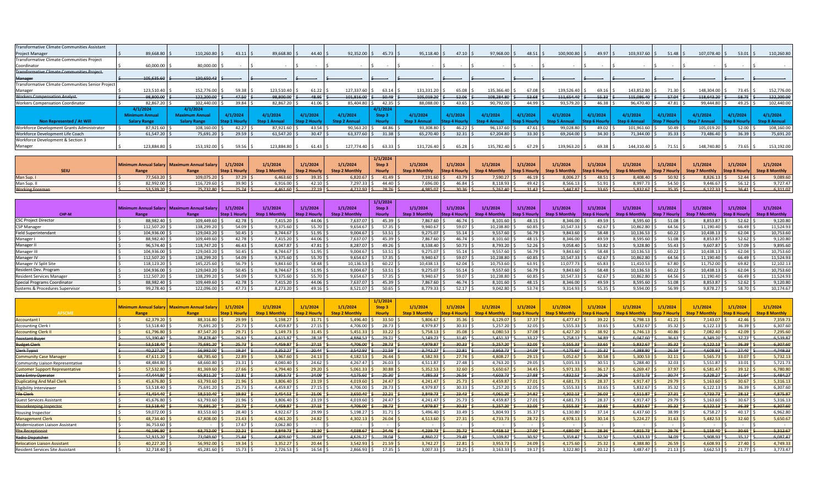|          |                                                                                                                                                                         |          |                                                                                                                               |                                                                                               |                                                                                              |                                                                                              |                                                                                               |                                                                                                |                                                                                              |                                                             |                                                                                                     |                                                                                                                  |                                                                                                    |                                                                                                                    |                                   |                                                                                         | 110,260.80                                                                                                         |
|----------|-------------------------------------------------------------------------------------------------------------------------------------------------------------------------|----------|-------------------------------------------------------------------------------------------------------------------------------|-----------------------------------------------------------------------------------------------|----------------------------------------------------------------------------------------------|----------------------------------------------------------------------------------------------|-----------------------------------------------------------------------------------------------|------------------------------------------------------------------------------------------------|----------------------------------------------------------------------------------------------|-------------------------------------------------------------|-----------------------------------------------------------------------------------------------------|------------------------------------------------------------------------------------------------------------------|----------------------------------------------------------------------------------------------------|--------------------------------------------------------------------------------------------------------------------|-----------------------------------|-----------------------------------------------------------------------------------------|--------------------------------------------------------------------------------------------------------------------|
|          |                                                                                                                                                                         |          |                                                                                                                               |                                                                                               |                                                                                              |                                                                                              |                                                                                               |                                                                                                |                                                                                              |                                                             |                                                                                                     |                                                                                                                  |                                                                                                    |                                                                                                                    |                                   |                                                                                         |                                                                                                                    |
|          |                                                                                                                                                                         |          |                                                                                                                               |                                                                                               |                                                                                              |                                                                                              |                                                                                               |                                                                                                |                                                                                              |                                                             |                                                                                                     |                                                                                                                  |                                                                                                    |                                                                                                                    |                                   |                                                                                         |                                                                                                                    |
|          |                                                                                                                                                                         |          |                                                                                                                               |                                                                                               |                                                                                              |                                                                                              |                                                                                               |                                                                                                |                                                                                              |                                                             |                                                                                                     |                                                                                                                  |                                                                                                    |                                                                                                                    |                                   |                                                                                         |                                                                                                                    |
|          |                                                                                                                                                                         |          |                                                                                                                               |                                                                                               |                                                                                              |                                                                                              |                                                                                               |                                                                                                |                                                                                              |                                                             |                                                                                                     |                                                                                                                  |                                                                                                    |                                                                                                                    |                                   |                                                                                         |                                                                                                                    |
|          |                                                                                                                                                                         |          |                                                                                                                               |                                                                                               |                                                                                              |                                                                                              |                                                                                               |                                                                                                |                                                                                              |                                                             |                                                                                                     |                                                                                                                  |                                                                                                    |                                                                                                                    |                                   |                                                                                         |                                                                                                                    |
|          |                                                                                                                                                                         |          |                                                                                                                               |                                                                                               |                                                                                              |                                                                                              |                                                                                               |                                                                                                |                                                                                              |                                                             |                                                                                                     |                                                                                                                  |                                                                                                    |                                                                                                                    | 148,304.00                        |                                                                                         | 152,776.00                                                                                                         |
|          |                                                                                                                                                                         |          |                                                                                                                               |                                                                                               |                                                                                              |                                                                                              |                                                                                               |                                                                                                |                                                                                              |                                                             | 111,654.40                                                                                          |                                                                                                                  | 115,086.40                                                                                         |                                                                                                                    | 118,643.20                        | $-58.75$                                                                                | 122,200.00                                                                                                         |
|          |                                                                                                                                                                         |          |                                                                                                                               |                                                                                               |                                                                                              |                                                                                              |                                                                                               |                                                                                                |                                                                                              |                                                             |                                                                                                     |                                                                                                                  |                                                                                                    |                                                                                                                    |                                   | 49.25                                                                                   | 102,440.00                                                                                                         |
| 4/1/2024 | 4/1/2024                                                                                                                                                                |          |                                                                                                                               |                                                                                               |                                                                                              | 4/1/2024                                                                                     |                                                                                               |                                                                                                |                                                                                              |                                                             |                                                                                                     |                                                                                                                  |                                                                                                    |                                                                                                                    |                                   |                                                                                         |                                                                                                                    |
|          | Maximum Annua                                                                                                                                                           | 4/1/2024 | 4/1/2024                                                                                                                      | 4/1/2024                                                                                      | 4/1/2024                                                                                     | Step <sub>3</sub>                                                                            | 4/1/2024                                                                                      | $\sqrt{1/2024}$                                                                                | 4/1/2024                                                                                     | 4/1/2024                                                    | 4/1/2024                                                                                            | 4/1/2024                                                                                                         | 4/1/2024                                                                                           | 4/1/2024                                                                                                           | 4/1/2024                          | 4/1/2024                                                                                | 4/1/2024                                                                                                           |
|          | Salary Range                                                                                                                                                            |          |                                                                                                                               |                                                                                               | en 2 Annua                                                                                   |                                                                                              |                                                                                               |                                                                                                |                                                                                              |                                                             |                                                                                                     |                                                                                                                  |                                                                                                    |                                                                                                                    |                                   |                                                                                         | <b>Step 8 Annual</b>                                                                                               |
|          |                                                                                                                                                                         |          |                                                                                                                               |                                                                                               |                                                                                              |                                                                                              |                                                                                               |                                                                                                |                                                                                              |                                                             |                                                                                                     |                                                                                                                  |                                                                                                    |                                                                                                                    |                                   | 52.00                                                                                   | 108,160.00                                                                                                         |
|          |                                                                                                                                                                         |          |                                                                                                                               |                                                                                               |                                                                                              |                                                                                              | 65,270.40                                                                                     |                                                                                                |                                                                                              |                                                             |                                                                                                     |                                                                                                                  | 71,344.00                                                                                          |                                                                                                                    |                                   |                                                                                         | 75,691.20                                                                                                          |
|          |                                                                                                                                                                         |          |                                                                                                                               |                                                                                               |                                                                                              |                                                                                              |                                                                                               |                                                                                                |                                                                                              |                                                             |                                                                                                     |                                                                                                                  |                                                                                                    |                                                                                                                    |                                   |                                                                                         |                                                                                                                    |
|          |                                                                                                                                                                         |          |                                                                                                                               |                                                                                               |                                                                                              |                                                                                              |                                                                                               |                                                                                                |                                                                                              |                                                             |                                                                                                     |                                                                                                                  |                                                                                                    |                                                                                                                    |                                   |                                                                                         | 153,192.00                                                                                                         |
|          | 89,668.80 \$<br>60,000.00<br>105,635.60<br>123,510.40<br>98,800.00<br>82,867.20<br><b>Minimum Annual</b><br><b>Salary Range</b><br>87,921.60<br>61,547.20<br>123,884.80 |          | 110,260.80<br>80,000.00<br>$-130,650.43$ :<br>152,776.00<br>122,200.00<br>102,440.00<br>108,160.00<br>75,691.20<br>153,192.00 | $43.11$ \$<br>$59.38$ \$<br>$-47.50$ \$<br>39.84 \$<br>$42.27$ \$<br>$29.59$ \$<br>$59.56$ \$ | 89,668.80 \$<br>123,510.40<br>98,800.00<br>82,867.20<br>87,921.60<br>61,547.20<br>123,884.80 | $44.40 \,$ S<br>$61.22$ \$<br>48.95<br>$41.06$ \$<br>43.54<br>$30.47$ \$<br>$61.43 \quad$ \$ | 92,352.00<br>127,337.60<br>101,816.00<br>85,404.80<br>90,563.20<br>63,377.60<br>127,774.40 \$ | $45.73$ \$<br>$63.14$ \$<br>$-50.49$ \$<br>$42.35$ \$<br>$44.86$ S<br>$31.38$ \$<br>$63.33$ \$ | 95,118.40 \$<br>131,331.20<br>105,019.20<br>52.06<br>88,088.00<br>93,308.80<br>131,726.40 \$ | $47.10$ $\leq$<br>65.08<br>43.65<br>46.22<br>32.31<br>65.28 | 97,968.00 \$<br>135,366.40<br>108,284.80<br>90,792.00 \$<br>96,137.60<br>67,204.80<br>135,782.40 \$ | $48.51$ \$<br>$67.08$ \$<br>$-53.68$ $\frac{2}{5}$<br>$44.99$ \$<br>$47.61 \text{ }$<br>$33.30$ \$<br>$67.29$ \$ | 100,900.80 \$<br>139,526.40 \$<br>93,579.20<br>46.38<br>99,028.80 \$<br>69,264.00<br>139,963.20 \$ | $49.97$ \$<br>$69.16$ \$<br>143,852.80<br>$-55.33$<br>96,470.40<br>$49.02$ \$<br>101,961.60<br>34.30<br>$69.38$ \$ | 103,937.60<br>71.30<br>144,310.40 | $51.48$ \$<br>$-57.04$<br>$47.81$ \$<br>$50.49$ $\pm$<br>35.33<br>73,486.40<br>71.51 \$ | 107,078.40<br>$53.01$ $\sqrt{5}$<br>73.45<br>99,444.80 \$<br>105,019.20 \$<br>36.39<br>148,740.80 \$<br>$73.65$ \$ |

|                        |              |                                                          |             |                              |            |                              | 1/1/2024                                                                                                                                                                                                                                                                                                                                                                                                                         |                       |                          |               |             |               |                        |                                                                                                                                                  |            |               |             |          |
|------------------------|--------------|----------------------------------------------------------|-------------|------------------------------|------------|------------------------------|----------------------------------------------------------------------------------------------------------------------------------------------------------------------------------------------------------------------------------------------------------------------------------------------------------------------------------------------------------------------------------------------------------------------------------|-----------------------|--------------------------|---------------|-------------|---------------|------------------------|--------------------------------------------------------------------------------------------------------------------------------------------------|------------|---------------|-------------|----------|
|                        |              | Minimum Annual Salary   Maximum Annual Salary   1/1/2024 |             | 1/1/2024                     | 1/1/2024   | 1/1/2024                     | Step <sub>3</sub>                                                                                                                                                                                                                                                                                                                                                                                                                | 1/1/2024              | 1/1/2024                 | 1/1/2024      | 1/1/2024    | 1/1/2024      | 1/1/2024               | 1/1/2024                                                                                                                                         | 1/1/2024   | 1/1/2024      | 1/1/2024    | 1/1/2024 |
| <b>SEIU</b>            |              |                                                          |             | Step 1 Hourly Step 1 Monthly |            | Step 2 Hourly Step 2 Monthly | <b>Hourly</b>                                                                                                                                                                                                                                                                                                                                                                                                                    | <b>Step 3 Monthly</b> |                          |               |             |               |                        | Step 4 Hourly Step 4 Monthly Step 5 Hourly Step 5 Monthly Step 6 Hourly Step 6 Monthly Step 7 Hourly Step 7 Monthly Step 8 Hourly Step 8 Monthly |            |               |             |          |
| Man Sup. I             | 77.563.20 \$ | 109.075.20                                               | $37.29$ S   | $6,463.60$ \$                | $39.35$ \$ | $6,820.67$ \$                | $41.49 \text{ S}$                                                                                                                                                                                                                                                                                                                                                                                                                | $7,191.60$ \$         | $43.79$ \ \$             | $7,590.27$ \$ | $46.19$ \$  | 8,006.27 \$   | $48.51$   \$           | 8,408.40 \$                                                                                                                                      | $50.92$ \$ | $8,826.13$ \$ | $52.44$ S   | 9,089.60 |
| Man Sup. II            | 82.992.00 \$ | 16,729.60 \$                                             | 39.90S      | 6,916.00 \$                  | $42.10$ S  | $7.297.33$ \$                | 44.40 \$                                                                                                                                                                                                                                                                                                                                                                                                                         | 7,696.00 \$           | $46.84$ S                | 8,118.93 \$   | $49.42$ \$  | $8,566.13$ \$ | $51.91$ S              | 8,997.73 \$                                                                                                                                      | $54.50$ \$ | 9.446.67      | $56.12$ \$  | 9.727.47 |
| <b>Working Foreman</b> | 53.539.20 \$ | $75,732.80$ \$                                           | $-25.74$ \$ | $4,461.60$ \$                | $27.19$ \$ |                              | $-4,712.93$ $\left  \right. \right.$ $\left  \right. \left. \right.$ $\left  \right.$ $\left  \right. \right.$ $\left  \right.$ $\left  \right.$ $\left  \right.$ $\left  \right.$ $\left  \right.$ $\left  \right.$ $\left  \right.$ $\left  \right.$ $\left  \right.$ $\left  \right.$ $\left  \right.$ $\left  \right.$ $\left  \right.$ $\left  \right.$ $\left  \right.$ $\left  \right.$ $\left  \right.$ $\left  \right.$ |                       | $4,985.07$ \$ $30.36$ \$ | $5,262,40$ \$ | $-31.43$ \$ | $5,447.87$ \$ | $-33.65$ $\frac{2}{3}$ | $5,832.67$ \$                                                                                                                                    | $35.35$ \$ | 6,127.33      | $-36.41$ \$ | 6.311.07 |

|                                  |              |                                               |                      |                       |                  |                       | 1/1/2024              |                       |           |                |                      |                       |          |                       |               |                       |                   |                       |
|----------------------------------|--------------|-----------------------------------------------|----------------------|-----------------------|------------------|-----------------------|-----------------------|-----------------------|-----------|----------------|----------------------|-----------------------|----------|-----------------------|---------------|-----------------------|-------------------|-----------------------|
|                                  |              | Minimum Annual Salary   Maximum Annual Salary | 1/1/2024             | 1/1/2024              | 1/1/2024         | 1/1/2024              | Step 3                | 1/1/2024              | 1/1/2024  | 1/1/2024       | 1/1/2024             | 1/1/2024              | 1/1/2024 | 1/1/2024              | 1/1/2024      | 1/1/2024              | 1/1/2024          | 1/1/2024              |
| CHP-M                            | Range        | Range                                         | <b>Step 1 Hourly</b> | <b>Step 1 Monthly</b> | Step 2 Hourly    | <b>Step 2 Monthly</b> | Hourly                | <b>Step 3 Monthly</b> |           | Step 4 Monthly | <b>Step 5 Hourly</b> | <b>Step 5 Monthly</b> |          | <b>Step 6 Monthly</b> | Step 7 Hourly | <b>Step 7 Monthly</b> |                   | <b>Step 8 Monthly</b> |
| <b>CSC Project Director</b>      | 88,982.40    | 109,449.60                                    | 42.78                | $7,415.20$ \$         | 44.06            | 7,637.07 \$           | $45.39$ \$            | 7,867.60 \$           | 46.74     | $8,101.60$ \$  | 48.15                | 8,346.00 \$           | 49.59    | 8,595.60              | 51.08         | 8,853.87              | $52.62$ $\mid$ \$ | 9,120.80              |
| <b>CSP Manager</b>               | 112,507.20   | 138,299.20                                    | 54.09                | $9,375.60$ \$         | 55.70 5          | 9,654.67              | $57.35$ \$            | 9,940.67              | 59.07     | 10,238.80      | 60.85                | 10,547.33 \$          | 62.67    | 10,862.80             | 64.56         | 11,190.40             | 66.49             | 11,524.93             |
| <b>Field Superintendant</b>      | 104,936.00   | 129,043.20                                    | $50.45$ \ 5          | $8,744.67$ \$         | 51.95            | 9,004.67              | $53.51$ $\frac{1}{5}$ | 9,275.07              | $55.14$ : | $9,557.60$ :   | 56.79                | 9,843.60              | 58.48    | 10,136.53             | 60.22         | 10,438.13             | $62.04$ :         | 10,753.60             |
| Manager I                        | 88,982.40    | 109,449.60                                    | 42.78                | 7,415.20              | 44.06            | 7,637.07              | $45.39$ \$            | 7,867.60              | 46.74     | 8,101.60       | 48.15                | 8,346.00 \$           | 49.59 5  | 8,595.60              | 51.08         | 8,853.87              | $52.62$ \$        | 9,120.80              |
| Manager II                       | 96,574.40 \$ | 118,747.20                                    | $46.43$ \ 5          | 8,047.87 \$           | $47.81$   $\leq$ | 8.287.07              | 49.26                 | 8,538.40              | 50.73     | 8,793.20 \$    | 52.26                | 9,058.40              | 53.82    | 9,328.80              | 55.43         | 9,607.87              | 57.09             | 9,895.60              |
| Manager III                      | 104,936.00   | 129,043.20                                    | $50.45$ S            | 8,744.67 \$           | 51.95            | 9,004.67              | $53.51$ \$            | 9,275.07              | 55.14     | 9,557.60       | 56.79                | 9,843.60              | 58.48    | 10,136.53             | 60.22         | 10,438.13             | 62.04             | 10,753.60             |
| Manager IV                       | 112,507.20   | 138,299.20                                    | $54.09$ \,           | $9,375.60$ \$         | $55.70$ \$       | 9.654.67              | $57.35$ \$            | 9,940.67              | 59.07     | 10,238.80      | 60.85                | 10,547.33             | 62.67    | 10,862.80             | 64.56         | 11,190.40             | 66.49             | 11,524.93             |
| Manager IV Split Site            | 118,123.20   | 145,225.60                                    | 56.79                | $9,843.60$ \$         | 58.48            | 10,136.53             | 60.22                 | 10,438.13             | 62.04     | 10,753.60      | 63.91                | 11,077.73             | 65.83    | 11,410.53             | 67.80         | 11,752.00             | 69.82             | 12,102.13             |
| Resident Dev. Program            | 104,936.00   | 129,043.20                                    | 50.45                | 8,744.67 \$           | 51.95            | 9,004.67              | $53.51$ $\sqrt{5}$    | 9,275.07              | $55.14$ : | $9,557.60$ \$  | 56.79                | 9,843.60              | 58.48    | $10,136.53$ :         | 60.22         | 10,438.13             | $62.04$ :         | 10,753.60             |
| <b>Resident Services Manager</b> | 112.507.20   | 138,299.20                                    | $54.09$ :            | $9,375.60$ \$         | 55.70 5          | 9.654.67              | $57.35$ S             | 9,940.67              | 59.07     | 10,238.80      | 60.85                | 10,547.33             | 62.67    | 10,862.80             | 64.56         | 11,190.40             | 66.49             | 11,524.93             |
| Special Programs Coordinator     | 88,982.40 \$ | 109,449.60                                    | $42.78$ S            | 7,415.20 \$           | $44.06$ \$       | 7,637.07 \$           | $45.39$ \$            | 7,867.60              | 46.74     | 8,101.60       | 48.15                | 8,346.00              | 49.59 \$ | 8,595.60              | 51.08         | 8,853.87              | 52.62             | 9,120.80              |
| Systems & Procedures Supervisor  | 99.278.40    | 122,096.00                                    | $47.73$ \sigma_15    | 8,273.20              | 49.16            | 8,521.07              | 50.65                 | 8,779.33              | 52.17     | 9.042.80       | 53.74                | 9.314.93              | 55.35    | 9,594.00              | 56.99         | 9,878.27              | 58.70             | 10,174.67             |

|                                        |           |                                                      |              |                       |                      |                     | 1/1/2024      |                      |                      |                       |                    |                       |             |                      |              |                     |               |                       |
|----------------------------------------|-----------|------------------------------------------------------|--------------|-----------------------|----------------------|---------------------|---------------|----------------------|----------------------|-----------------------|--------------------|-----------------------|-------------|----------------------|--------------|---------------------|---------------|-----------------------|
|                                        |           | <b>Minimum Annual Salary   Maximum Annual Salary</b> | 1/1/2024     | 1/1/2024              | 1/1/2024             | 1/1/2024            | Step 3        | 1/1/2024             | 1/1/2024             | 1/1/2024              | 1/1/2024           | 1/1/2024              | 1/1/2024    | 1/1/2024             | 1/1/2024     | 1/1/2024            | 1/1/2024      | 1/1/2024              |
| <b>AFSCME</b>                          | Range     | Range                                                | Step 1 Hourl | <b>Step 1 Monthly</b> | <b>Step 2 Hourly</b> | <b>Step 2 Month</b> | <b>Hourly</b> | <b>Step 3 Monthl</b> | <b>Step 4 Hourly</b> | <b>Step 4 Monthly</b> | Step 5 Hourl       | <b>Step 5 Monthly</b> | itep 6 Hour | <b>Step 6 Monthl</b> | step 7 Hourl | <b>Step 7 Month</b> | Step 8 Hourly | <b>Step 8 Monthly</b> |
| <b>Accountant I</b>                    | 62.379.20 | 88,316.80                                            | 29.99        | 5,198.27              | 31.71                | 5,496.40            | 33.50         | 5,806.67             | 35.36                | 6,129.07              | $37.37$ :          | 6.477.47              | 39.22       | 6,798.13             | 41.21        | 7.143.07            | 42.46         | 7,359.73              |
| Accounting Clerk                       | 53,518.40 | 75,691.20                                            | $25.73$ \$   | 4,459.87              | 27.15                | 4,706.00            | 28.73         | 4.979.87             | 30.33                | 5,257.20              | 32.05              | 5,555.33              | 33.65       | 5,832.67             | 35.32        | 6.122.13            | 36.39         | 6,307.60              |
| <b>Accounting Clerk I</b>              | 61,796.80 | 87,547.20                                            | $29.71$ S    | 5.149.73              | 31.45                | 5,451.33            | 33.22         | 5,758.13             | 35.08                | 6,080.53              | $37.08$ \$         | 6,427.20              | 38.92       | 6.746.13             | 40.86        | 7.082.40            | 42.09         | 7,295.60              |
| Assistant Buyer                        | 55,390.40 | 78.478.40                                            | $-26.63$     | 4.615.87              | 28.18                | 4.884.53            | $-29.71$      | 5,149.73             | 31.45                | 5,451.33              | $-33.22$           | 5.758.13              | 34.89       | 6.047.60             | 36.63        | 6.349.20            | $-37.73$      | 6,539.87              |
| <b>Budget Clerk</b>                    | 53,518.40 | 75,691.20                                            | 25.73        | 4,459.87              | 27.15                | 4,706.00            | $-28.73$      | 4,979.87             | 30.33                | 5,257.20              | 32.05              | 5,555.33              | 33.65       | 5,832.67             | 35.32        | 6,122.13            | 36.39         | 6,307.60              |
| <b>Clerk Typist</b>                    | 40,227.20 | 56,992.00                                            | $-19.34$     | 3,352.27              | 20.44                | 3.542.93            | $-21.59$      | 3,742.27             | 22.81                | 3,953.73              | 24.09              | 4,175.60              | 25.32       | 4,388.80             | 26.59        | 4.608.93            | $-27.40$      | 4,749.33              |
| <b>Community Case Manager</b>          | 47,611.20 | 68,785.60                                            | $22.89$ \$   | 3,967.60              | 24.13                | 4.182.53            | 26.44         | 4.582.93             | 27.74                | 4,808.27              | 29.15              | 5.052.67              | 30.58       | 5.300.53             | 32.11        | 5.565.73            | 33.07         | 5,732.13              |
| Community Liaison Representative       | 48,484.80 | 68,660.80                                            | $23.31$ \$   | 4,040.40              | 24.62                | 4,267.47            | 26.03         | 4,511.87             | 27.48                | 4,763.20              | 29.05              | 5,035.33              | 30.51       | 5,288.40             | 32.03        | 5.551.87            | 33.01         | 5,721.73              |
| <b>Customer Support Representative</b> | 57,532.80 | 81,369.60                                            | $27.66$ \$   | 4,794.40              | 29.20                | 5,061.33            | 30.88         | 5,352.53             | 32.60                | 5,650.67              | 34.45              | 5,971.33              | 36.17       | 6,269.47             | $37.97$ \$   | 6,581.47            | 39.12         | 6,780.80              |
| Data Entry Operator                    | 47.444.80 | 65,811.20                                            | $-22.81$     | 3.953.73              | 24.09                | 4.175.60            | $-25.30$      | 4.385.33             | 26.56                | 4,603.73              | 27.88              | 4.832.53              | $-29.26$    | 5,071.73             | 30.74        | 5.328.27            | $-31.64$      | 5,484.27              |
| <b>Duplicating And Mail Clerk</b>      | 45,676.80 | 63,793.60                                            | $21.96$ \$   | 3,806.40              | 23.19                | 4,019.60            | 24.47         | 4.241.47             | 25.73                | 4,459.87              | $27.01$ \$         | 4,681.73              | 28.37       | 4,917.47             | 29.79        | 5,163.60            | 30.67         | 5,316.1               |
| ligibility Interviewer                 | 53,518.40 | 75,691.20                                            | $25.73$ S    | 4,459.87              | 27.15                | 4,706.00            | $28.73$ \$    | 4,979.87             | 30.33                | 5,257.20              | 32.05              | 5,555.33              | 33.65       | 5,832.67             | $35.32$ S    | 6,122.13            | 36.39         | 6,307.60              |
| <b>File Clerk</b>                      | 41.454.40 | 58,510.40                                            | $-19.93$     | 3.454.53              | 21.06                | 3.650.40            | $-22.21$      | 3.849.73             | $-23.43$             | 4,061.20              | 24.82              | 4,302.13              | $-26.03$    | 4,511.87             | 27.31        | 4.733.73            | $-28.13$      | 4,875.87              |
| Guest Services Assistant               | 45,676.80 | 63,793.60                                            | $21.96$ \$   | 3,806.40              | 23.19                | 4.019.60            | 24.47 S       | 4,241.47             | 25.73                | 4,459.87              | $27.01$ \$         | 4.681.73              | 28.37       | 4,917.47             | 29.79        | 5.163.60            | 30.67         | 5,316.1               |
| <b>Housekeeping Inspector</b>          | 53,518.40 | 75,691.20                                            | $25.73$ \$   | 4,459.87              | 27.15                | 4,706.00            | $-28.73$      | 4,979.87             | 30.33                | 5,257.20              | 32.05              | 5,555.33              | $-33.65$    | 5,832.67             | 35.32        | 6,122.13            | $-36.39$      | 6,307.60              |
| Housing Inspector                      | 59,072.00 | 83,553.60                                            | 28.40        | 4,922.67              | 29.99                | 5,198.27            | $31.71$ :     | 5,496.40             | 33.49                | 5,804.93              | 35.37 <sup>5</sup> | 6,130.80              | 37.14       | 6,437.60             | 38.99        | 6.758.27            | 40.17         | 6,962.80              |
| <b>Management Clerk</b>                | 48,734.40 | 67,808.00                                            | $23.43$ \$   | 4,061.20              | 24.82                | 4,302.13            | 26.04         | 4,513.60             | 27.31                | 4,733.73              | $28.72$ \$         | 4,978.13              | 30.14       | 5,224.27             | 31.63        | 5,482.53            | 32.60         | 5,650.67              |
| <b>Modernization Liaison Assistant</b> | 36,753.60 |                                                      | $17.67$ \$   | 3,062.80              |                      |                     |               |                      |                      |                       |                    |                       |             |                      |              |                     |               |                       |
| Pbx Receptionis                        | 46,196.80 | 63,752.00                                            | 22.21        | 3,849.73              | 23.30                | 4.038.67            | $-24.46$      | 4,239.73             | 25.72                | 4,458.13              | -27.00             | 4.680.00              | 28.36       | 4,915.73             | 29.76        | 5,158.40            | $-30.65$      | 5,312.67              |
| Radio Dispatcher                       | 52,915.20 | 73,049.60                                            | $-25.44$     | 4,409.60              | 26.69                | 4,626.27            | -28.04        | 4,860.27             | 29.48                | 5,109.87              | 30.92              | 5,359.47              | 32.50       | 5,633.33             | 34.09        | 5,908.93            | 35.12         | 6,087.47              |
| Relocation Liaison Assistant           | 40,227.20 | 56,992.00                                            | 19.34        | 3.352.27              | 20.44                | 3,542.93            | 21.59         | 3,742.27             | 22.81                | 3,953.73              | $24.09$ :          | 4,175.60              | 25.32       | 4.388.80             | 26.59        | 4.608.93            | 27.40         | 4,749.33              |
| Resident Services Site Assistant       | 32,718.40 | 45,281.60                                            | $15.73$ S    | 2.726.53              | 16.54                | 2,866.93            | $17.35$ \$    | 3,007.33             | 18.25                | 3,163.33              | 19.17S             | 3.322.80              | 20.12       | 3.487.47             | 21.13        | 3,662.53            | 21.77         | 3,773.47              |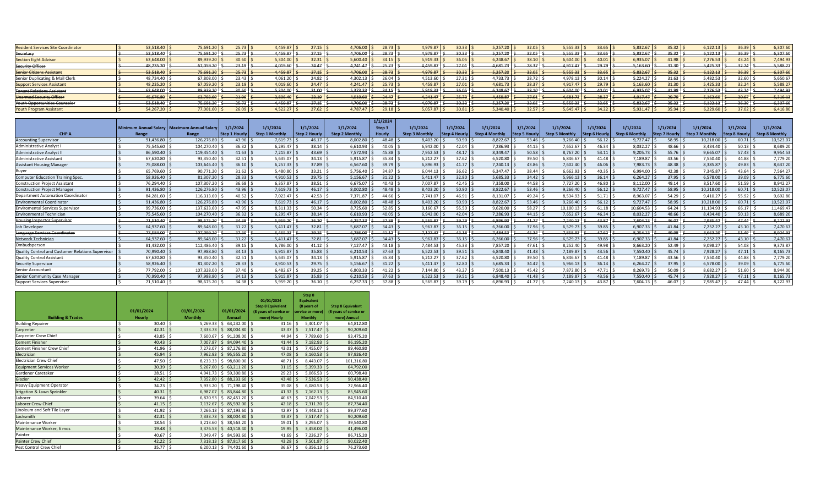| <b>Resident Services Site Coordinator</b> | 53.518.40      | 75,691.20 | 25.73 | 1.459.87 | $27.15$ S     | 28.73<br>1.706.00      | 1.979.87   |                          | 5.257.20      | $32.05$ S             | 5,555.33 |           | ,832.67     | 35.32      | 5.122.13     | $36.39$ S      | 6,307.60 |
|-------------------------------------------|----------------|-----------|-------|----------|---------------|------------------------|------------|--------------------------|---------------|-----------------------|----------|-----------|-------------|------------|--------------|----------------|----------|
| Secretary                                 | 53.518.40      | 75,691.20 | 25.73 | 4.459.87 | 27.15         | 4.706.00<br>-28.73     | 4.979.87   | 20.331                   | 5.257.20 \$   | $32.05$ 8             | 5,555.33 | 33.65     | 5,832.67    | 35.32      | 6.122.13     | 36.39          | 6,307.60 |
| <b>Section Eight Advisor</b>              | 63,648.00      | 89,939.20 | 30.60 | 5,304.00 | 32.31         | 5,600.40<br>34.15      | 5,919.33   |                          | 6.248.67      | $38.10$ $\frac{1}{2}$ | 6,604.00 | 40.01     | 6,935.07    | 41.98      | 7.276.53     | $43.24$ $\leq$ | 7,494.93 |
| <b>Security Officer</b>                   | 48,235.20      | 67,059.20 |       | 4,019.60 | 24.47         | $-25.73$<br>4.241.47   | 4,459.87   | 27.01                    | $4,681.73$ \$ | 28.37                 | 4.917.47 | 29.79     | 5,163.60    | 31.30      | 5,425.33     | 32.24          | 5,588.27 |
| <b>Senior Citizens Assistant</b>          | 53.518.40      | 75.691.20 | 25.73 | 4.459.87 | $27.15$ \,    | 4.706.00<br>$-28.73$   | 4.979.87   | 30.33                    | 5.257.20      | $32.05$ \$            | 5.555.33 | 33.65     | 5,832.67    | 35.32      | 6.122.13     | ﴾ ا 36.39      | 6,307.60 |
| Senior Duplicating & Mail Clerk           | 48.734.40      | 67,808.00 |       | 4,061.20 | 24.82         | 1 302 13               | 4,513.60   |                          | $1,733.73$ .  | 28.72                 | 1,978.13 | 30.14     | 5,224.27    | 31.63      | 5,482.53     | 32.60          | 5,650.67 |
| <b>Support Services Assistant</b>         | 48,235.20      | 67,059.20 | 13.19 | 4,019.60 | $24.47$ $\pm$ | 4,241.47<br>25.73      | 4,459.87   |                          | 4,681.73      | $28.37$ S             | 4,917.47 | 29.79     | 5,163.60    |            | 5,425.33     | $32.24$ :      | 5,588.27 |
| <b>Tenant Relations Assistant</b>         | 63.648.00      | 89.939.20 |       | 5.304.00 | $34.00$ s     | 5.373.33<br>34.15      | 5.919.33 l | 36.05                    | 6.248.67      | $38.10$ \$            | 6.604.00 | 40.01     | $-6.935.07$ | 41.98      | $7.276.53$ : | 43.24          | 7,494.93 |
| Unarmed Security Officer                  | 45,676.80      | 63,793.60 | 21.96 | 3.80640  | $23.19$ \     | 24.47<br>4.019.60      | 4.241.47   | $25.73$ $\frac{1}{2}$    | 4,459.87      | $27.01$ 5             | 4,681.73 | 28.37     | 4,917.47    | 29.79      | 5,163.60     | 30.67          | 5,316.13 |
| Youth Opportunities Counselor             | 53.518.40      | 75.691.20 | 25.73 | 4.459.87 | $27.15$ S     | 4.706.00<br>$28.73$ \$ | 4.979.87   | $30.33$   $\pm$          | $-5.257.20$ S | $-32.05$ \$           | 5,555.33 | $-33.65$  | 5,832.67    | $-35.32$   | 6.122.13     | 36.39 3        | 6,307.60 |
| <b>Youth Program Assistant</b>            | $54,267.20$ \$ | 77,001.60 | 26.09 | 4,522.27 | $27.62$ :     | 4.787.47<br>29.18      | 5,057.87   | $^{\circ}0.81$   $\vert$ | 5,340.40      | $32.57$ \$            | 5.645.47 | $34.22$ S | 5,931.47    | $35.94$ \. | 6.229.60     | 37.02          | 6,416.80 |

|                                                   |           |                                               |                      |                       |                                  |                       | 1/1/2024      |                       |                       |                       |                      |                       |                      |                |                      |                       |                      |                       |
|---------------------------------------------------|-----------|-----------------------------------------------|----------------------|-----------------------|----------------------------------|-----------------------|---------------|-----------------------|-----------------------|-----------------------|----------------------|-----------------------|----------------------|----------------|----------------------|-----------------------|----------------------|-----------------------|
|                                                   |           | Minimum Annual Salary   Maximum Annual Salary | 1/1/2024             | 1/1/2024              | 1/1/2024                         | 1/1/2024              | Step 3        | 1/1/2024              | 1/1/2024              | 1/1/2024              | 1/1/2024             | 1/1/2024              | 1/1/2024             | 1/1/2024       | 1/1/2024             | 1/1/202               | 1/1/2024             | 1/1/2024              |
| <b>CHPA</b>                                       | Range     | Range                                         | <b>Step 1 Hourly</b> | <b>Step 1 Monthly</b> | Step 2 Hourly                    | <b>Step 2 Monthly</b> | <b>Hourly</b> | <b>Step 3 Monthly</b> | <b>Step 4 Hourk</b>   | <b>Step 4 Monthly</b> | <b>Step 5 Hourly</b> | <b>Step 5 Monthly</b> | <b>Step 6 Hourly</b> | Step 6 Monthly | <b>Step 7 Hourly</b> | <b>Step 7 Monthly</b> | <b>Step 8 Hourly</b> | <b>Step 8 Monthly</b> |
| <b>Accounting Supervisor</b>                      | 91.436.80 | 126.276.80                                    | 43.96                | $7.619.73$ \$         | $46.17$ $\leq$                   | 8.002.80              | 48.48         | 8,403.20              | $50.90$ \ \$          | 8.822.67              | 53.46                | 9,266.40              | $56.12$ $\pm$        | 9,727.47       | 58.95                | 10.218.00             | 60.71                | 10,523.07             |
| Administrative Analyst                            | 75.545.60 | 104,270.40                                    | 36.32                | 6.295.47              | $38.14$ :                        | 6.610.93              | 40.05         | 6.942.00              | 42.04                 | 7.286.93              | 44.15                | 7,652.67              | 46.34                | 8,032.27       | 48.66                | 8.434.40              | 50.13                | 8.689.20              |
| <b>Administrative Analyst I</b>                   | 86.590.40 | 119,454.40                                    | 41.63                | 7,215.87              | $43.69$ \$                       | 7,572.93              | 45.88         | 7,952.53              | $48.17$ $\leq$        | 8.349.47              | 50.58                | 8,767.20              | $53.11$ $\pm$        | 9,205.73       | 55.76                | 9,665.07              | $57.43$ :            | 9,954.53              |
| Administrative Assistant                          | 67.620.80 | 93.350.40                                     | 32.51                | 5.635.07              | 34.13                            | 5.915.87              | 35.84         | 6.212.27              | 37.62                 | 6.520.80              | 39.50                | 6.846.67              | 41.48                | 7.189.87       | 43.56                | 7.550.40              | 44.88                | 7,779.20              |
| <b>Assistant Housing Manager</b>                  | 75,088.00 | 103,646.40                                    | 36.10                | 6.257.33              | 37.89 :                          | 6,567.60              | 39.79         | 6,896.93              | $41.77$ \ 5           | 7,240.13              | 43.86                | 7,602.40              | 46.06                | 7,983.73       | 48.38                | 8,385.87              | 49.83                | 8,637.20              |
| Buver                                             | 65.769.60 | 90.771.20                                     | 31.62                | 5.480.80              | $33.21$ S                        | 5.756.40              | 34.87         | 6.044.13              | 36.62                 | 6.347.47              | 38.44                | 6.662.93              | 40.35                | 6.994.00       | 42.38                | 7.345.87              | 43.64                | 7.564.27              |
| <b>Computer Education Training Spec</b>           | 58.926.40 | 81,307.20                                     | 28.33                | 4.910.53              | $29.75$ :                        | 5.156.67              | 31.22         | 5,411.47              | $32.80$ \$            | 5,685.33              | 34.42                | 5,966.13              | $36.14$ $\pm$        | 6.264.27       | 37.95                | 6.578.00              | 39.09                | 6.775.60              |
| <b>Construction Project Assistant</b>             | 76.294.40 | 107,307.20                                    | 36.68                | 6.357.87              | 38.51                            | 6.675.07              | 40.43         | 7.007.87              | 42.45                 | 7,358.00              | 44.58                | 7,727.20              | 46.80                | 8,112.00       | 49.14                | 8.517.60              | 51.59                | 8,942.27              |
| <b>Construction Project Manager</b>               | 91,436.80 | 126,276.80                                    | 43.96                | 7.619.73              | $46.17$ S                        | 8.002.80              | 48.48         | 8.403.20              | $50.90$ $\leq$        | 8.822.67              | 53.46                | 9,266.40              | $56.12$ $\pm$        | 9.727.47       | 58.95                | 10.218.00             | 60.71                | 10,523.07             |
| Department Automation Coordinator                 | 84,281.60 | 116,313.60                                    | 40.52                | 7,023.47              | 42.53                            | 7.371.87              | 44.66         | 7,741.07              | $46.91$ $\pm$         | 8,131.07              | 49.24                | 8,534.93              | 51.71                | 8,963.07       | 54.29                | 9,410.27              | 55.92                | 9,692.80              |
| <b>Environmental Coordinator</b>                  | 91,436.80 | 126.276.80                                    | 43.96                | 7,619.73 \$           | $46.17$ \$                       | 8.002.80              | 48.48         | 8,403.20              | $50.90$ \$            | 8,822.67              | 53.46                | 9,266.40              | 56.12                | 9,727.47       | 58.95                | 10,218.00             | $60.71$ :            | 10,523.07             |
| <b>Enviromental Services Supervisor</b>           | 99.736.00 | 137.633.60                                    | 47.95                | 8.311.33              | $50.34$ :                        | 8.725.60              | 52.85         | 9.160.67              | 55.50                 | 9.620.00              | 58.27                | 10.100.13             | 61.18                | 10.604.53      | 64.24                | 11.134.93             | 66.17                | 11,469.47             |
| <b>Environmental Technician</b>                   | 75.545.60 | 104,270.40                                    | 36.32                | 6,295.47              | $38.14$ $\overline{\phantom{0}}$ | 6.610.93              | 40.05         | 6,942.00              | 42.04                 | 7,286.93              | 44.15                | 7,652.67              | $46.34$ \;           | 8,032.27       | 48.66                | 8.434.40              | $50.13$ :            | 8,689.20              |
| <b>Housing Inspector Supervisor</b>               | 71.510.40 | 98.675.20                                     | 34.38                | 5.959.20              | $36.10$ :                        | 6.257.33              | $-37.88$      | 6.565.87              | 39.79                 | 6.896.93              | 41.77                | 7.240.13              | 43.87                | 7,604.13       | 46.07                | 7.985.47              | 47.44                | 8.222.93              |
| <b>Job Developer</b>                              | 64,937.60 | 89,648.00                                     | 31.22                | 5,411.47              | 32.81 :                          | 5,687.07              | 34.43         | 5,967.87              | 36.15                 | 6,266.00              | 37.96                | 6,579.73              | 39.85                | 6,907.33       | 41.84                | 7,252.27              | 43.10                | 7,470.67              |
| Language Services Coordinator                     | 77,584.00 | 107,099.20                                    | 37.30                | 6,465.33              | 39.15                            | 6,786.00              | 41.12         | 7,127.47              | 43.18                 | 7,484.53              | 45.34                | 7,858.93              | 47.62                | 8,254.13       | 49.98                | 8,663.20              | 51.49                | 8,924.93              |
| Network Technician                                | 64.937.60 | 89.648.00                                     | $-31.22$             | 5.411.47              | 32.81 S                          | 5.687.07              | $-34.43$      | 5,967.87              | 36.15                 | 6,266.00              | 37.96                | 6,579.73              | 39.85                | 6,907.33       | 41.84                | 7.252.27              | 43.10                | 7,470.67              |
| Ombudspersor                                      | 81.432.00 | 112.486.40                                    | 39.15                | 6.786.00              | 41.12                            | 7.127.47              | 43.18         | 7.484.53              | $45.33$ $\pm$         | 7.857.20              | 47.61                | 8,252.40              | 49.98                | 8.663.20       | 52.49                | 9.098.27              | 54.08                | 9.373.87              |
| Quality Control and Customer Relations Supervisor | 70.990.40 | 97.988.80                                     | 34.13                | 5.915.87              | $35.83$ $\pm$                    | 6.210.53              | 37.63         | 6.522.53              | $39.51$ S             | 6.848.40              | 41.48                | 7,189.87              | 43.56                | 7,550.40       | 45.74                | 7.928.27              | $47.11$ :            | 8.165.73              |
| <b>Quality Control Assistant</b>                  | 67.620.80 | 93.350.40                                     | 32.51                | 5.635.07              | $34.13$ \$                       | 5.915.87              | 35.84         | 6.212.27              | 37.62                 | 6.520.80              | 39.50                | 6.846.67              | 41.48                | 7.189.87       | 43.56                | 7.550.40              | 44.88                | 7,779.20              |
| <b>Security Supervisor</b>                        | 58,926.40 | 81,307.20                                     | 28.33                | 4,910.53              | 29.75                            | 5.156.67              | 31.22         | 5,411.47              | $32.80$ \$            | 5,685.33              | 34.42                | 5,966.13              | $36.14$ $\pm$        | 6.264.27       | 37.95                | 6,578.00              | 39.09                | 6,775.60              |
| Senior Accountant                                 | 77.792.00 | 107,328.00                                    | 37.40                | 6.482.67              | 39.25                            | 6.803.33              | 41.22         | 7.144.80              | 43.27 5               | 7,500.13              | 45.42                | 7,872.80              | 47.71                | 8.269.73       | 50.09                | 8.682.27              | 51.60                | 8.944.00              |
| Senior Community Case Manager                     | 70,990.40 | 97.988.80                                     | 34.13                | 5.915.87              | 35.83                            | 6.210.53              | 37.63         | 6.522.53              | $39.51$ $\frac{1}{5}$ | 6.848.40              | 41.48                | 7,189.87              | $43.56$ $\pm$        | 7,550.40       | 45.74                | 7.928.27              | $47.11$ :            | 8.165.73              |
| <b>Support Services Supervisor</b>                | 71.510.40 | 98.675.20                                     | $34.38$ :            | 5.959.20              | $36.10$ S                        | $6.257.33$ S          | 37.88 1       | $6.565.87$ \.         | $39.79$ $\pm$         | 6.896.93              | $41.77$ \;           | 7.240.13              | 43.87 <sup>5</sup>   | 7.604.13       | 46.07                | 7.985.47              | $47.44 \,$ S         | 8.222.93              |

|                                   |                             |                        |                           | 01/01/2024               | Step 8<br><b>Equivalent</b> |                                 |
|-----------------------------------|-----------------------------|------------------------|---------------------------|--------------------------|-----------------------------|---------------------------------|
|                                   |                             |                        |                           | <b>Step 8 Equivalent</b> | (8 years of                 | <b>Step 8 Equivalent</b>        |
|                                   | 01/01/2024                  | 01/01/2024             | 01/01/2024                | (8 years of service or   | service or more)            | (8 years of service or          |
| <b>Building &amp; Trades</b>      | <b>Hourly</b>               | <b>Monthly</b>         | Annual                    | more) Hourly             | <b>Monthly</b>              | more) Annual                    |
| <b>Building Repairer</b>          | $30.40$ \$<br>Ś             | 5,269.33               | 63,232.00<br>Ŝ.           | \$<br>31.16              | 5,401.07<br>Ś               | Ŝ.<br>64,812.80                 |
| Carpenter                         | 42.31                       | Ś<br>7,333.73          | 88,004.80<br>Ś            | 43.37<br>\$              | 7,517.47<br>Ś               | 90,209.60<br>Ś                  |
| Carpenter Crew Chief              | 43.85                       | \$<br>7,600.67         | 91,208.00<br>Ś            | \$<br>44.94              | 7,789.60<br>Ś               | 93,475.20<br>Ś                  |
| <b>Cement Finisher</b>            | 40.43                       | Ś<br>7,007.87          | 84,094.40<br>\$.          | <sup>5</sup><br>41.44    | 7,182.93<br>$\zeta$         | 86,195.20<br>$\mathsf{\hat{S}}$ |
| <b>Cement Finisher Crew Chief</b> | ς<br>41.96                  | Ś<br>7,273.07          | 87,276.80<br>Ś            | \$<br>43.01              | Ś<br>7,455.07               | Ŝ.<br>89,460.80                 |
| Electrician                       | 45.94                       | 7,962.93<br>Ś          | 95,555.20                 | Ŝ.<br>47.08              | 8,160.53                    | Ŝ.<br>97,926.40                 |
| <b>Electrician Crew Chief</b>     | Ś<br>47.50                  | Ŝ.<br>8,233.33         | 98,800.00 \$<br>Ś         | 48.71                    | 8,443.07<br>Ś               | Ŝ.<br>101,316.80                |
| <b>Equipment Services Worker</b>  | $\mathsf{S}$<br>30.39       | Ŝ.<br>5,267.60         | $63,211.20$ \$<br>Ŝ.      | 31.15                    | 5,399.33<br>Ŝ               | 64,792.00<br>-Ŝ                 |
| Gardener Caretaker                | Ś<br>28.51                  | \$<br>4,941.73         | 59,300.80<br>Ŝ            | 29.23<br>-\$             | 5,066.53<br>Ŝ               | 60,798.40<br>Ŝ                  |
| Glazier                           | $\zeta$<br>42.42            | Ś<br>7,352.80          | 88,233.60<br>Ŝ.           | -Ś<br>43.48              | 7,536.53<br>S               | 90,438.40<br>Ś                  |
| <b>Heavy Equipment Operator</b>   | Ś<br>34.23                  | \$<br>5.933.20         | 71,198.40<br>Ŝ            | 35.08<br>-\$             | 6,080.53                    | 72,966.40<br>Ŝ                  |
| Irrigation & Lawn Sprinkler       | 40.31                       | 6,987.07<br>Ś          | 83,844.80<br>Ś.           | 41.32                    | 7,162.13                    | 85,945.60                       |
| Laborer                           | 39.64                       | Ś<br>6,870.93          | 82,451.20<br>Ŝ.           | \$<br>40.63              | 7,042.53<br>Ś               | 84,510.40<br>Ś                  |
| Laborer Crew Chief                | $\mathsf{\hat{S}}$<br>41.15 | Ś<br>7,132.67          | 85,592.00<br>$\mathsf{S}$ | Ŝ.<br>42.18              | Ś<br>7,311.20               | 87,734.40<br>$\mathsf{\hat{S}}$ |
| Linoleum and Soft Tile Layer      | 41.92                       | Ś<br>7,266.13          | 87,193.60<br>Ś            | \$<br>42.97              | 7,448.13<br>\$              | Ŝ.<br>89,377.60                 |
| Locksmith                         | ς<br>42.31                  | Ś<br>7,333.73          | 88,004.80<br>Ś            | Ŝ.<br>43.37              | Ś<br>7,517.47               | 90,209.60<br>$\mathsf{\hat{S}}$ |
| Maintenance Worker                | Ś<br>18.54                  | Ś<br>3,213.60          | 38,563.20<br>Ś            | \$<br>19.01              | 3,295.07                    | -Ś<br>39,540.80                 |
| Maintenance Worker, 6 mos         | $\mathsf{\hat{S}}$<br>19.48 | Ś<br>3,376.53          | 40,518.40<br>\$.          | Ŝ.<br>19.95              | 3,458.00<br>Ŝ.              | 41,496.00<br>Ś                  |
| Painter                           | \$<br>40.67                 | \$<br>7,049.47         | 84,593.60 \$<br>Ŝ.        | 41.69                    | 7,226.27<br>Ŝ.              | Ŝ.<br>86,715.20                 |
| <b>Painter Crew Chief</b>         | Ś<br>42.22                  | Ś<br>7,318.13          | 87,817.60<br>Ŝ.           | 43.28<br>S.              | 7,501.87<br>Ŝ               | 90,022.40<br>Ś                  |
| Pest Control Crew Chief           | Ś<br>35.77                  | $\vert$ \$<br>6,200.13 | 74,401.60<br>١ś           | 36.67<br>-S              | $6,356.13$ \$               | 76,273.60                       |